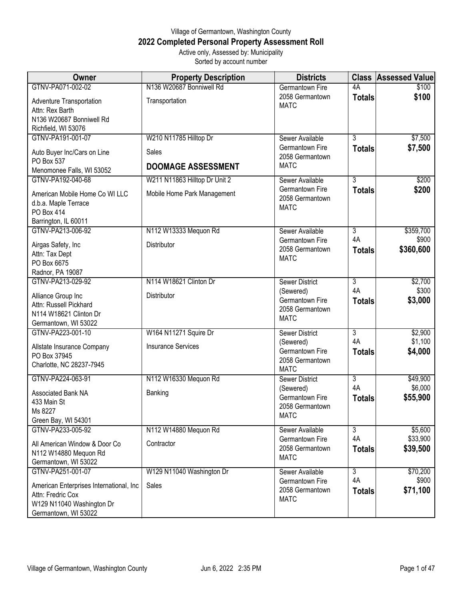## Village of Germantown, Washington County **2022 Completed Personal Property Assessment Roll** Active only, Assessed by: Municipality Sorted by account number

| Owner                                                  | <b>Property Description</b>   | <b>Districts</b>                                  | <b>Class</b>         | <b>Assessed Value</b> |
|--------------------------------------------------------|-------------------------------|---------------------------------------------------|----------------------|-----------------------|
| GTNV-PA071-002-02                                      | N136 W20687 Bonniwell Rd      | <b>Germantown Fire</b>                            | 4A                   | \$100                 |
| Adventure Transportation<br>Attn: Rex Barth            | Transportation                | 2058 Germantown<br><b>MATC</b>                    | <b>Totals</b>        | \$100                 |
| N136 W20687 Bonniwell Rd                               |                               |                                                   |                      |                       |
| Richfield, WI 53076                                    |                               |                                                   |                      |                       |
| GTNV-PA191-001-07                                      | W210 N11785 Hilltop Dr        | Sewer Available                                   | $\overline{3}$       | \$7,500               |
| Auto Buyer Inc/Cars on Line<br>PO Box 537              | Sales                         | Germantown Fire<br>2058 Germantown                | <b>Totals</b>        | \$7,500               |
| Menomonee Falls, WI 53052                              | <b>DOOMAGE ASSESSMENT</b>     | <b>MATC</b>                                       |                      |                       |
| GTNV-PA192-040-68                                      | W211 N11863 Hilltop Dr Unit 2 | Sewer Available                                   | $\overline{3}$       | \$200                 |
| American Mobile Home Co WI LLC<br>d.b.a. Maple Terrace | Mobile Home Park Management   | Germantown Fire<br>2058 Germantown<br><b>MATC</b> | <b>Totals</b>        | \$200                 |
| PO Box 414                                             |                               |                                                   |                      |                       |
| Barrington, IL 60011                                   |                               |                                                   |                      |                       |
| GTNV-PA213-006-92                                      | N112 W13333 Mequon Rd         | Sewer Available<br>Germantown Fire                | $\overline{3}$<br>4A | \$359,700<br>\$900    |
| Airgas Safety, Inc                                     | Distributor                   | 2058 Germantown                                   | <b>Totals</b>        | \$360,600             |
| Attn: Tax Dept                                         |                               | <b>MATC</b>                                       |                      |                       |
| PO Box 6675<br>Radnor, PA 19087                        |                               |                                                   |                      |                       |
| GTNV-PA213-029-92                                      | N114 W18621 Clinton Dr        | <b>Sewer District</b>                             | $\overline{3}$       | \$2,700               |
|                                                        |                               | (Sewered)                                         | 4A                   | \$300                 |
| Alliance Group Inc                                     | Distributor                   | Germantown Fire                                   | <b>Totals</b>        | \$3,000               |
| Attn: Russell Pickhard<br>N114 W18621 Clinton Dr       |                               | 2058 Germantown                                   |                      |                       |
| Germantown, WI 53022                                   |                               | <b>MATC</b>                                       |                      |                       |
| GTNV-PA223-001-10                                      | W164 N11271 Squire Dr         | <b>Sewer District</b>                             | 3                    | \$2,900               |
| Allstate Insurance Company                             | <b>Insurance Services</b>     | (Sewered)                                         | 4A                   | \$1,100               |
| PO Box 37945                                           |                               | Germantown Fire                                   | <b>Totals</b>        | \$4,000               |
| Charlotte, NC 28237-7945                               |                               | 2058 Germantown<br><b>MATC</b>                    |                      |                       |
| GTNV-PA224-063-91                                      | N112 W16330 Mequon Rd         | Sewer District                                    | $\overline{3}$       | \$49,900              |
|                                                        |                               | (Sewered)                                         | 4A                   | \$6,000               |
| Associated Bank NA<br>433 Main St                      | Banking                       | Germantown Fire                                   | <b>Totals</b>        | \$55,900              |
| Ms 8227                                                |                               | 2058 Germantown                                   |                      |                       |
| Green Bay, WI 54301                                    |                               | <b>MATC</b>                                       |                      |                       |
| GTNV-PA233-005-92                                      | N112 W14880 Mequon Rd         | Sewer Available                                   | 3                    | \$5,600               |
| All American Window & Door Co                          | Contractor                    | Germantown Fire                                   | 4A                   | \$33,900              |
| N112 W14880 Mequon Rd                                  |                               | 2058 Germantown                                   | <b>Totals</b>        | \$39,500              |
| Germantown, WI 53022                                   |                               | <b>MATC</b>                                       |                      |                       |
| GTNV-PA251-001-07                                      | W129 N11040 Washington Dr     | Sewer Available                                   | $\overline{3}$       | \$70,200              |
| American Enterprises International, Inc.               | Sales                         | Germantown Fire                                   | 4A                   | \$900                 |
| Attn: Fredric Cox                                      |                               | 2058 Germantown<br><b>MATC</b>                    | <b>Totals</b>        | \$71,100              |
| W129 N11040 Washington Dr                              |                               |                                                   |                      |                       |
| Germantown, WI 53022                                   |                               |                                                   |                      |                       |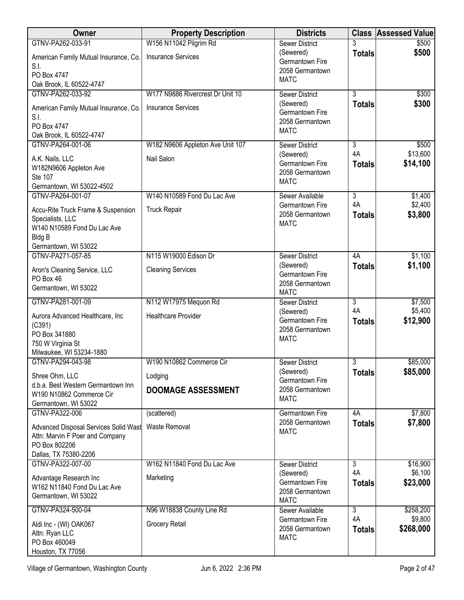| Owner                                            | <b>Property Description</b>      | <b>Districts</b>                   |                      | <b>Class Assessed Value</b> |
|--------------------------------------------------|----------------------------------|------------------------------------|----------------------|-----------------------------|
| GTNV-PA262-033-91                                | W156 N11042 Pilgrim Rd           | <b>Sewer District</b>              |                      | \$500                       |
| American Family Mutual Insurance, Co.            | <b>Insurance Services</b>        | (Sewered)<br>Germantown Fire       | <b>Totals</b>        | \$500                       |
| S.I.<br>PO Box 4747                              |                                  | 2058 Germantown                    |                      |                             |
| Oak Brook, IL 60522-4747                         |                                  | <b>MATC</b>                        |                      |                             |
| GTNV-PA262-033-92                                | W177 N9886 Rivercrest Dr Unit 10 | <b>Sewer District</b>              | $\overline{3}$       | \$300                       |
|                                                  | <b>Insurance Services</b>        | (Sewered)                          | <b>Totals</b>        | \$300                       |
| American Family Mutual Insurance, Co.<br>S.I.    |                                  | Germantown Fire                    |                      |                             |
| PO Box 4747                                      |                                  | 2058 Germantown                    |                      |                             |
| Oak Brook, IL 60522-4747                         |                                  | <b>MATC</b>                        |                      |                             |
| GTNV-PA264-001-06                                | W182 N9606 Appleton Ave Unit 107 | <b>Sewer District</b>              | 3                    | \$500                       |
| A.K. Nails, LLC                                  | Nail Salon                       | (Sewered)                          | 4A                   | \$13,600                    |
| W182N9606 Appleton Ave                           |                                  | Germantown Fire<br>2058 Germantown | <b>Totals</b>        | \$14,100                    |
| <b>Ste 107</b>                                   |                                  | <b>MATC</b>                        |                      |                             |
| Germantown, WI 53022-4502                        |                                  |                                    |                      |                             |
| GTNV-PA264-001-07                                | W140 N10589 Fond Du Lac Ave      | Sewer Available<br>Germantown Fire | $\overline{3}$<br>4A | \$1,400<br>\$2,400          |
| Accu-Rite Truck Frame & Suspension               | <b>Truck Repair</b>              | 2058 Germantown                    | <b>Totals</b>        | \$3,800                     |
| Specialists, LLC                                 |                                  | <b>MATC</b>                        |                      |                             |
| W140 N10589 Fond Du Lac Ave<br><b>Bldg B</b>     |                                  |                                    |                      |                             |
| Germantown, WI 53022                             |                                  |                                    |                      |                             |
| GTNV-PA271-057-85                                | N115 W19000 Edison Dr            | <b>Sewer District</b>              | 4A                   | \$1,100                     |
| Aron's Cleaning Service, LLC                     | <b>Cleaning Services</b>         | (Sewered)                          | <b>Totals</b>        | \$1,100                     |
| PO Box 46                                        |                                  | Germantown Fire                    |                      |                             |
| Germantown, WI 53022                             |                                  | 2058 Germantown<br><b>MATC</b>     |                      |                             |
| GTNV-PA281-001-09                                | N112 W17975 Mequon Rd            | <b>Sewer District</b>              | $\overline{3}$       | \$7,500                     |
|                                                  |                                  | (Sewered)                          | 4A                   | \$5,400                     |
| Aurora Advanced Healthcare, Inc.<br>(C391)       | <b>Healthcare Provider</b>       | Germantown Fire                    | <b>Totals</b>        | \$12,900                    |
| PO Box 341880                                    |                                  | 2058 Germantown                    |                      |                             |
| 750 W Virginia St                                |                                  | <b>MATC</b>                        |                      |                             |
| Milwaukee, WI 53234-1880                         |                                  |                                    |                      |                             |
| GTNV-PA294-043-98                                | W190 N10862 Commerce Cir         | <b>Sewer District</b>              | $\overline{3}$       | \$85,000                    |
| Shree Ohm, LLC                                   | Lodging                          | (Sewered)<br>Germantown Fire       | <b>Totals</b>        | \$85,000                    |
| d.b.a. Best Western Germantown Inn               | <b>DOOMAGE ASSESSMENT</b>        | 2058 Germantown                    |                      |                             |
| W190 N10862 Commerce Cir                         |                                  | <b>MATC</b>                        |                      |                             |
| Germantown, WI 53022<br>GTNV-PA322-006           | (scattered)                      | <b>Germantown Fire</b>             | 4A                   | \$7,800                     |
|                                                  |                                  | 2058 Germantown                    | <b>Totals</b>        | \$7,800                     |
| Advanced Disposal Services Solid Wast            | <b>Waste Removal</b>             | <b>MATC</b>                        |                      |                             |
| Attn: Marvin F Poer and Company<br>PO Box 802206 |                                  |                                    |                      |                             |
| Dallas, TX 75380-2206                            |                                  |                                    |                      |                             |
| GTNV-PA322-007-00                                | W162 N11840 Fond Du Lac Ave      | Sewer District                     | $\overline{3}$       | \$16,900                    |
| Advantage Research Inc                           | Marketing                        | (Sewered)                          | 4A                   | \$6,100                     |
| W162 N11840 Fond Du Lac Ave                      |                                  | Germantown Fire                    | <b>Totals</b>        | \$23,000                    |
| Germantown, WI 53022                             |                                  | 2058 Germantown<br><b>MATC</b>     |                      |                             |
| GTNV-PA324-500-04                                | N96 W18838 County Line Rd        | Sewer Available                    | $\overline{3}$       | \$258,200                   |
|                                                  | Grocery Retail                   | Germantown Fire                    | 4A                   | \$9,800                     |
| Aldi Inc - (WI) OAK067<br>Attn: Ryan LLC         |                                  | 2058 Germantown                    | <b>Totals</b>        | \$268,000                   |
| PO Box 460049                                    |                                  | <b>MATC</b>                        |                      |                             |
| Houston, TX 77056                                |                                  |                                    |                      |                             |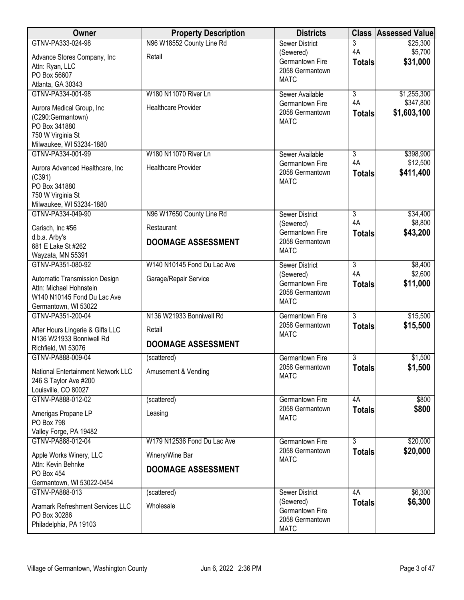| Owner                                            | <b>Property Description</b> | <b>Districts</b>                   |                      | <b>Class Assessed Value</b> |
|--------------------------------------------------|-----------------------------|------------------------------------|----------------------|-----------------------------|
| GTNV-PA333-024-98                                | N96 W18552 County Line Rd   | <b>Sewer District</b>              | 3                    | \$25,300                    |
| Advance Stores Company, Inc                      | Retail                      | (Sewered)<br>Germantown Fire       | 4A                   | \$5,700                     |
| Attn: Ryan, LLC                                  |                             | 2058 Germantown                    | <b>Totals</b>        | \$31,000                    |
| PO Box 56607                                     |                             | <b>MATC</b>                        |                      |                             |
| Atlanta, GA 30343                                |                             |                                    |                      |                             |
| GTNV-PA334-001-98                                | W180 N11070 River Ln        | Sewer Available<br>Germantown Fire | $\overline{3}$<br>4A | \$1,255,300<br>\$347,800    |
| Aurora Medical Group, Inc                        | <b>Healthcare Provider</b>  | 2058 Germantown                    | <b>Totals</b>        | \$1,603,100                 |
| (C290:Germantown)                                |                             | <b>MATC</b>                        |                      |                             |
| PO Box 341880                                    |                             |                                    |                      |                             |
| 750 W Virginia St<br>Milwaukee, WI 53234-1880    |                             |                                    |                      |                             |
| GTNV-PA334-001-99                                | W180 N11070 River Ln        | Sewer Available                    | $\overline{3}$       | \$398,900                   |
|                                                  |                             | Germantown Fire                    | 4A                   | \$12,500                    |
| Aurora Advanced Healthcare, Inc                  | <b>Healthcare Provider</b>  | 2058 Germantown                    | <b>Totals</b>        | \$411,400                   |
| (C391)<br>PO Box 341880                          |                             | <b>MATC</b>                        |                      |                             |
| 750 W Virginia St                                |                             |                                    |                      |                             |
| Milwaukee, WI 53234-1880                         |                             |                                    |                      |                             |
| GTNV-PA334-049-90                                | N96 W17650 County Line Rd   | Sewer District                     | $\overline{3}$       | \$34,400                    |
| Carisch, Inc #56                                 | Restaurant                  | (Sewered)                          | 4A                   | \$8,800                     |
| d.b.a. Arby's                                    |                             | Germantown Fire                    | <b>Totals</b>        | \$43,200                    |
| 681 E Lake St #262                               | <b>DOOMAGE ASSESSMENT</b>   | 2058 Germantown                    |                      |                             |
| Wayzata, MN 55391                                |                             | <b>MATC</b>                        |                      |                             |
| GTNV-PA351-080-92                                | W140 N10145 Fond Du Lac Ave | <b>Sewer District</b>              | $\overline{3}$       | \$8,400                     |
| Automatic Transmission Design                    | Garage/Repair Service       | (Sewered)                          | 4A                   | \$2,600                     |
| Attn: Michael Hohnstein                          |                             | Germantown Fire                    | <b>Totals</b>        | \$11,000                    |
| W140 N10145 Fond Du Lac Ave                      |                             | 2058 Germantown<br><b>MATC</b>     |                      |                             |
| Germantown, WI 53022                             |                             |                                    |                      |                             |
| GTNV-PA351-200-04                                | N136 W21933 Bonniwell Rd    | Germantown Fire                    | $\overline{3}$       | \$15,500                    |
| After Hours Lingerie & Gifts LLC                 | Retail                      | 2058 Germantown<br><b>MATC</b>     | <b>Totals</b>        | \$15,500                    |
| N136 W21933 Bonniwell Rd                         | <b>DOOMAGE ASSESSMENT</b>   |                                    |                      |                             |
| Richfield, WI 53076                              |                             |                                    |                      |                             |
| GTNV-PA888-009-04                                | (scattered)                 | <b>Germantown Fire</b>             | $\overline{3}$       | \$1,500                     |
| National Entertainment Network LLC               | Amusement & Vending         | 2058 Germantown<br><b>MATC</b>     | <b>Totals</b>        | \$1,500                     |
| 246 S Taylor Ave #200                            |                             |                                    |                      |                             |
| Louisville, CO 80027                             |                             |                                    |                      |                             |
| GTNV-PA888-012-02                                | (scattered)                 | Germantown Fire<br>2058 Germantown | 4A                   | \$800<br>\$800              |
| Amerigas Propane LP                              | Leasing                     | <b>MATC</b>                        | <b>Totals</b>        |                             |
| PO Box 798                                       |                             |                                    |                      |                             |
| Valley Forge, PA 19482<br>GTNV-PA888-012-04      | W179 N12536 Fond Du Lac Ave | Germantown Fire                    | $\overline{3}$       | \$20,000                    |
|                                                  |                             | 2058 Germantown                    | <b>Totals</b>        | \$20,000                    |
| Apple Works Winery, LLC                          | Winery/Wine Bar             | <b>MATC</b>                        |                      |                             |
| Attn: Kevin Behnke<br>PO Box 454                 | <b>DOOMAGE ASSESSMENT</b>   |                                    |                      |                             |
| Germantown, WI 53022-0454                        |                             |                                    |                      |                             |
| GTNV-PA888-013                                   | (scattered)                 | <b>Sewer District</b>              | 4A                   | \$6,300                     |
|                                                  |                             | (Sewered)                          | <b>Totals</b>        | \$6,300                     |
| Aramark Refreshment Services LLC<br>PO Box 30286 | Wholesale                   | Germantown Fire                    |                      |                             |
| Philadelphia, PA 19103                           |                             | 2058 Germantown                    |                      |                             |
|                                                  |                             | <b>MATC</b>                        |                      |                             |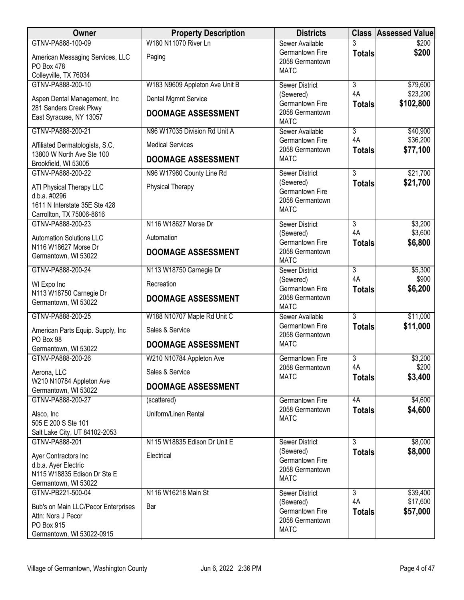| <b>Owner</b>                                                 | <b>Property Description</b>    | <b>Districts</b>                   |                      | <b>Class Assessed Value</b> |
|--------------------------------------------------------------|--------------------------------|------------------------------------|----------------------|-----------------------------|
| GTNV-PA888-100-09                                            | W180 N11070 River Ln           | Sewer Available                    |                      | \$200                       |
| American Messaging Services, LLC<br>PO Box 478               | Paging                         | Germantown Fire<br>2058 Germantown | <b>Totals</b>        | \$200                       |
| Colleyville, TX 76034                                        |                                | <b>MATC</b>                        |                      |                             |
| GTNV-PA888-200-10                                            | W183 N9609 Appleton Ave Unit B | <b>Sewer District</b>              | $\overline{3}$       | \$79,600                    |
| Aspen Dental Management, Inc                                 | Dental Mgmnt Service           | (Sewered)<br>Germantown Fire       | 4A<br><b>Totals</b>  | \$23,200<br>\$102,800       |
| 281 Sanders Creek Pkwy<br>East Syracuse, NY 13057            | <b>DOOMAGE ASSESSMENT</b>      | 2058 Germantown<br><b>MATC</b>     |                      |                             |
| GTNV-PA888-200-21                                            | N96 W17035 Division Rd Unit A  | Sewer Available                    | $\overline{3}$       | \$40,900                    |
| Affiliated Dermatologists, S.C.<br>13800 W North Ave Ste 100 | <b>Medical Services</b>        | Germantown Fire<br>2058 Germantown | 4A<br><b>Totals</b>  | \$36,200<br>\$77,100        |
| Brookfield, WI 53005                                         | <b>DOOMAGE ASSESSMENT</b>      | <b>MATC</b>                        |                      |                             |
| GTNV-PA888-200-22                                            | N96 W17960 County Line Rd      | <b>Sewer District</b>              | $\overline{3}$       | \$21,700                    |
| ATI Physical Therapy LLC<br>d.b.a. #0296                     | Physical Therapy               | (Sewered)<br>Germantown Fire       | <b>Totals</b>        | \$21,700                    |
| 1611 N Interstate 35E Ste 428                                |                                | 2058 Germantown<br><b>MATC</b>     |                      |                             |
| Carrollton, TX 75006-8616                                    |                                |                                    |                      |                             |
| GTNV-PA888-200-23                                            | N116 W18627 Morse Dr           | <b>Sewer District</b>              | $\overline{3}$       | \$3,200                     |
| <b>Automation Solutions LLC</b>                              | Automation                     | (Sewered)<br>Germantown Fire       | 4A<br><b>Totals</b>  | \$3,600<br>\$6,800          |
| N116 W18627 Morse Dr<br>Germantown, WI 53022                 | <b>DOOMAGE ASSESSMENT</b>      | 2058 Germantown<br><b>MATC</b>     |                      |                             |
| GTNV-PA888-200-24                                            | N113 W18750 Carnegie Dr        | <b>Sewer District</b>              | $\overline{3}$       | \$5,300                     |
| WI Expo Inc                                                  | Recreation                     | (Sewered)<br>Germantown Fire       | 4A<br><b>Totals</b>  | \$900<br>\$6,200            |
| N113 W18750 Carnegie Dr<br>Germantown, WI 53022              | <b>DOOMAGE ASSESSMENT</b>      | 2058 Germantown<br><b>MATC</b>     |                      |                             |
| GTNV-PA888-200-25                                            | W188 N10707 Maple Rd Unit C    | Sewer Available                    | $\overline{3}$       | \$11,000                    |
| American Parts Equip. Supply, Inc                            | Sales & Service                | Germantown Fire<br>2058 Germantown | <b>Totals</b>        | \$11,000                    |
| PO Box 98<br>Germantown, WI 53022                            | <b>DOOMAGE ASSESSMENT</b>      | <b>MATC</b>                        |                      |                             |
| GTNV-PA888-200-26                                            | W210 N10784 Appleton Ave       | Germantown Fire                    | $\overline{3}$<br>4A | \$3,200<br>\$200            |
| Aerona, LLC                                                  | Sales & Service                | 2058 Germantown<br><b>MATC</b>     | <b>Totals</b>        | \$3,400                     |
| W210 N10784 Appleton Ave<br>Germantown, WI 53022             | <b>DOOMAGE ASSESSMENT</b>      |                                    |                      |                             |
| GTNV-PA888-200-27                                            | (scattered)                    | Germantown Fire                    | 4A                   | \$4,600                     |
| Alsco, Inc.<br>505 E 200 S Ste 101                           | Uniform/Linen Rental           | 2058 Germantown<br><b>MATC</b>     | <b>Totals</b>        | \$4,600                     |
| Salt Lake City, UT 84102-2053                                |                                |                                    |                      |                             |
| GTNV-PA888-201                                               | N115 W18835 Edison Dr Unit E   | <b>Sewer District</b>              | $\overline{3}$       | \$8,000                     |
| Ayer Contractors Inc<br>d.b.a. Ayer Electric                 | Electrical                     | (Sewered)<br>Germantown Fire       | <b>Totals</b>        | \$8,000                     |
| N115 W18835 Edison Dr Ste E                                  |                                | 2058 Germantown<br><b>MATC</b>     |                      |                             |
| Germantown, WI 53022                                         |                                |                                    |                      |                             |
| GTNV-PB221-500-04                                            | N116 W16218 Main St            | <b>Sewer District</b>              | $\overline{3}$       | \$39,400                    |
| Bub's on Main LLC/Pecor Enterprises                          | Bar                            | (Sewered)<br>Germantown Fire       | 4A                   | \$17,600                    |
| Attn: Nora J Pecor                                           |                                | 2058 Germantown                    | <b>Totals</b>        | \$57,000                    |
| PO Box 915                                                   |                                | <b>MATC</b>                        |                      |                             |
| Germantown, WI 53022-0915                                    |                                |                                    |                      |                             |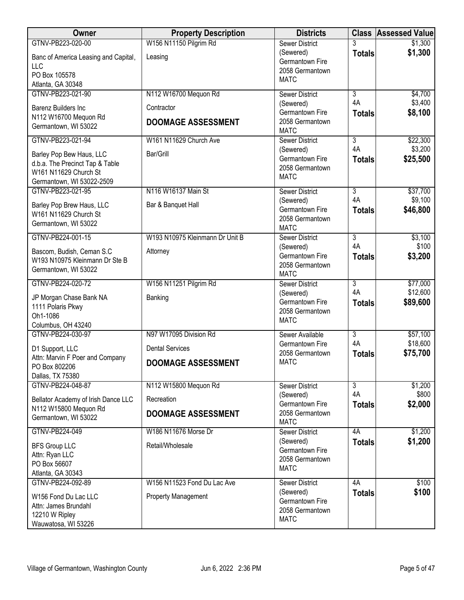| Owner                                                                                                             | <b>Property Description</b>     | <b>Districts</b>                                               |                     | <b>Class Assessed Value</b> |
|-------------------------------------------------------------------------------------------------------------------|---------------------------------|----------------------------------------------------------------|---------------------|-----------------------------|
| GTNV-PB223-020-00                                                                                                 | W156 N11150 Pilgrim Rd          | <b>Sewer District</b><br>(Sewered)                             | <b>Totals</b>       | \$1,300<br>\$1,300          |
| Banc of America Leasing and Capital,<br>LLC                                                                       | Leasing                         | Germantown Fire<br>2058 Germantown                             |                     |                             |
| PO Box 105578<br>Atlanta, GA 30348                                                                                |                                 | <b>MATC</b>                                                    |                     |                             |
| GTNV-PB223-021-90                                                                                                 | N112 W16700 Mequon Rd           | <b>Sewer District</b>                                          | $\overline{3}$      | \$4,700                     |
| <b>Barenz Builders Inc.</b>                                                                                       | Contractor                      | (Sewered)                                                      | 4A                  | \$3,400                     |
| N112 W16700 Mequon Rd<br>Germantown, WI 53022                                                                     | <b>DOOMAGE ASSESSMENT</b>       | Germantown Fire<br>2058 Germantown<br><b>MATC</b>              | <b>Totals</b>       | \$8,100                     |
| GTNV-PB223-021-94                                                                                                 | W161 N11629 Church Ave          | <b>Sewer District</b>                                          | $\overline{3}$      | \$22,300                    |
| Barley Pop Bew Haus, LLC<br>d.b.a. The Precinct Tap & Table<br>W161 N11629 Church St<br>Germantown, WI 53022-2509 | Bar/Grill                       | (Sewered)<br>Germantown Fire<br>2058 Germantown<br><b>MATC</b> | 4A<br><b>Totals</b> | \$3,200<br>\$25,500         |
| GTNV-PB223-021-95                                                                                                 | N116 W16137 Main St             | <b>Sewer District</b>                                          | $\overline{3}$      | \$37,700                    |
| Barley Pop Brew Haus, LLC<br>W161 N11629 Church St<br>Germantown, WI 53022                                        | Bar & Banquet Hall              | (Sewered)<br>Germantown Fire<br>2058 Germantown<br><b>MATC</b> | 4A<br><b>Totals</b> | \$9,100<br>\$46,800         |
| GTNV-PB224-001-15                                                                                                 | W193 N10975 Kleinmann Dr Unit B | <b>Sewer District</b>                                          | $\overline{3}$      | \$3,100                     |
| Bascom, Budish, Ceman S.C<br>W193 N10975 Kleinmann Dr Ste B<br>Germantown, WI 53022                               | Attorney                        | (Sewered)<br>Germantown Fire<br>2058 Germantown<br><b>MATC</b> | 4A<br><b>Totals</b> | \$100<br>\$3,200            |
| GTNV-PB224-020-72                                                                                                 | W156 N11251 Pilgrim Rd          | <b>Sewer District</b>                                          | $\overline{3}$      | \$77,000                    |
| JP Morgan Chase Bank NA<br>1111 Polaris Pkwy<br>Oh1-1086<br>Columbus, OH 43240                                    | Banking                         | (Sewered)<br>Germantown Fire<br>2058 Germantown<br><b>MATC</b> | 4A<br><b>Totals</b> | \$12,600<br>\$89,600        |
| GTNV-PB224-030-97                                                                                                 | N97 W17095 Division Rd          | Sewer Available                                                | $\overline{3}$      | \$57,100                    |
| D1 Support, LLC                                                                                                   | <b>Dental Services</b>          | Germantown Fire<br>2058 Germantown                             | 4A<br><b>Totals</b> | \$18,600<br>\$75,700        |
| Attn: Marvin F Poer and Company<br>PO Box 802206<br>Dallas, TX 75380                                              | <b>DOOMAGE ASSESSMENT</b>       | <b>MATC</b>                                                    |                     |                             |
| GTNV-PB224-048-87                                                                                                 | N112 W15800 Mequon Rd           | <b>Sewer District</b>                                          | 3                   | \$1,200                     |
| Bellator Academy of Irish Dance LLC                                                                               | Recreation                      | (Sewered)<br>Germantown Fire                                   | 4A<br><b>Totals</b> | \$800<br>\$2,000            |
| N112 W15800 Mequon Rd<br>Germantown, WI 53022                                                                     | <b>DOOMAGE ASSESSMENT</b>       | 2058 Germantown<br><b>MATC</b>                                 |                     |                             |
| GTNV-PB224-049                                                                                                    | W186 N11676 Morse Dr            | Sewer District                                                 | 4A                  | \$1,200                     |
| <b>BFS Group LLC</b><br>Attn: Ryan LLC<br>PO Box 56607<br>Atlanta, GA 30343                                       | Retail/Wholesale                | (Sewered)<br>Germantown Fire<br>2058 Germantown<br><b>MATC</b> | <b>Totals</b>       | \$1,200                     |
| GTNV-PB224-092-89                                                                                                 | W156 N11523 Fond Du Lac Ave     | Sewer District                                                 | 4A                  | \$100                       |
| W156 Fond Du Lac LLC<br>Attn: James Brundahl<br>12210 W Ripley<br>Wauwatosa, WI 53226                             | <b>Property Management</b>      | (Sewered)<br>Germantown Fire<br>2058 Germantown<br><b>MATC</b> | <b>Totals</b>       | \$100                       |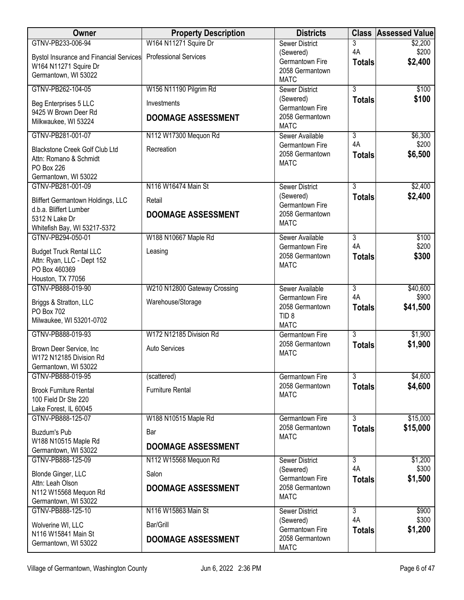| <b>Owner</b>                                                 | <b>Property Description</b>  | <b>Districts</b>                          |                      | <b>Class Assessed Value</b> |
|--------------------------------------------------------------|------------------------------|-------------------------------------------|----------------------|-----------------------------|
| GTNV-PB233-006-94                                            | W164 N11271 Squire Dr        | <b>Sewer District</b>                     | 3                    | \$2,200                     |
| Bystol Insurance and Financial Services                      | <b>Professional Services</b> | (Sewered)<br>Germantown Fire              | 4A                   | \$200<br>\$2,400            |
| W164 N11271 Squire Dr                                        |                              | 2058 Germantown                           | <b>Totals</b>        |                             |
| Germantown, WI 53022                                         |                              | <b>MATC</b>                               |                      |                             |
| GTNV-PB262-104-05                                            | W156 N11190 Pilgrim Rd       | <b>Sewer District</b>                     | $\overline{3}$       | \$100                       |
| Beg Enterprises 5 LLC                                        | Investments                  | (Sewered)<br>Germantown Fire              | <b>Totals</b>        | \$100                       |
| 9425 W Brown Deer Rd                                         | <b>DOOMAGE ASSESSMENT</b>    | 2058 Germantown                           |                      |                             |
| Milkwaukee, WI 53224                                         |                              | <b>MATC</b>                               |                      |                             |
| GTNV-PB281-001-07                                            | N112 W17300 Mequon Rd        | Sewer Available<br>Germantown Fire        | $\overline{3}$<br>4A | \$6,300<br>\$200            |
| Blackstone Creek Golf Club Ltd                               | Recreation                   | 2058 Germantown                           | <b>Totals</b>        | \$6,500                     |
| Attn: Romano & Schmidt<br>PO Box 226                         |                              | <b>MATC</b>                               |                      |                             |
| Germantown, WI 53022                                         |                              |                                           |                      |                             |
| GTNV-PB281-001-09                                            | N116 W16474 Main St          | <b>Sewer District</b>                     | $\overline{3}$       | \$2,400                     |
| Bliffert Germantown Holdings, LLC                            | Retail                       | (Sewered)                                 | <b>Totals</b>        | \$2,400                     |
| d.b.a. Bliffert Lumber                                       | <b>DOOMAGE ASSESSMENT</b>    | Germantown Fire<br>2058 Germantown        |                      |                             |
| 5312 N Lake Dr                                               |                              | <b>MATC</b>                               |                      |                             |
| Whitefish Bay, WI 53217-5372<br>GTNV-PB294-050-01            | W188 N10667 Maple Rd         | Sewer Available                           | $\overline{3}$       | \$100                       |
|                                                              |                              | Germantown Fire                           | 4A                   | \$200                       |
| <b>Budget Truck Rental LLC</b><br>Attn: Ryan, LLC - Dept 152 | Leasing                      | 2058 Germantown                           | <b>Totals</b>        | \$300                       |
| PO Box 460369                                                |                              | <b>MATC</b>                               |                      |                             |
| Houston, TX 77056                                            |                              |                                           |                      |                             |
| GTNV-PB888-019-90                                            | W210 N12800 Gateway Crossing | Sewer Available<br>Germantown Fire        | $\overline{3}$<br>4A | \$40,600<br>\$900           |
| Briggs & Stratton, LLC                                       | Warehouse/Storage            | 2058 Germantown                           | <b>Totals</b>        | \$41,500                    |
| PO Box 702                                                   |                              | TID <sub>8</sub>                          |                      |                             |
| Milwaukee, WI 53201-0702                                     |                              | <b>MATC</b>                               |                      |                             |
| GTNV-PB888-019-93                                            | W172 N12185 Division Rd      | <b>Germantown Fire</b><br>2058 Germantown | $\overline{3}$       | \$1,900                     |
| Brown Deer Service, Inc                                      | <b>Auto Services</b>         | <b>MATC</b>                               | <b>Totals</b>        | \$1,900                     |
| W172 N12185 Division Rd<br>Germantown, WI 53022              |                              |                                           |                      |                             |
| GTNV-PB888-019-95                                            | (scattered)                  | Germantown Fire                           | 3                    | \$4,600                     |
| <b>Brook Furniture Rental</b>                                | <b>Furniture Rental</b>      | 2058 Germantown                           | <b>Totals</b>        | \$4,600                     |
| 100 Field Dr Ste 220                                         |                              | <b>MATC</b>                               |                      |                             |
| Lake Forest, IL 60045                                        |                              |                                           |                      |                             |
| GTNV-PB888-125-07                                            | W188 N10515 Maple Rd         | Germantown Fire                           | $\overline{3}$       | \$15,000                    |
| Buzdum's Pub                                                 | Bar                          | 2058 Germantown<br><b>MATC</b>            | <b>Totals</b>        | \$15,000                    |
| W188 N10515 Maple Rd                                         | <b>DOOMAGE ASSESSMENT</b>    |                                           |                      |                             |
| Germantown, WI 53022<br>GTNV-PB888-125-09                    | N112 W15568 Mequon Rd        | <b>Sewer District</b>                     | $\overline{3}$       | \$1,200                     |
|                                                              |                              | (Sewered)                                 | 4A                   | \$300                       |
| Blonde Ginger, LLC<br>Attn: Leah Olson                       | Salon                        | Germantown Fire                           | <b>Totals</b>        | \$1,500                     |
| N112 W15568 Mequon Rd                                        | <b>DOOMAGE ASSESSMENT</b>    | 2058 Germantown                           |                      |                             |
| Germantown, WI 53022                                         |                              | <b>MATC</b>                               |                      |                             |
| GTNV-PB888-125-10                                            | N116 W15863 Main St          | <b>Sewer District</b>                     | $\overline{3}$<br>4A | \$900                       |
| Wolverine WI, LLC                                            | Bar/Grill                    | (Sewered)<br>Germantown Fire              | <b>Totals</b>        | \$300<br>\$1,200            |
| N116 W15841 Main St                                          | <b>DOOMAGE ASSESSMENT</b>    | 2058 Germantown                           |                      |                             |
| Germantown, WI 53022                                         |                              | <b>MATC</b>                               |                      |                             |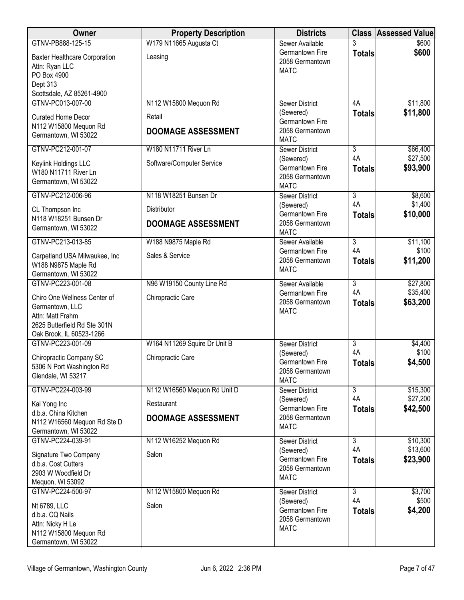| <b>Owner</b>                                                                                                                    | <b>Property Description</b>         | <b>Districts</b>                                               |                      | <b>Class Assessed Value</b> |
|---------------------------------------------------------------------------------------------------------------------------------|-------------------------------------|----------------------------------------------------------------|----------------------|-----------------------------|
| GTNV-PB888-125-15                                                                                                               | W179 N11665 Augusta Ct              | Sewer Available                                                |                      | \$600                       |
| <b>Baxter Healthcare Corporation</b><br>Attn: Ryan LLC<br>PO Box 4900<br>Dept 313<br>Scottsdale, AZ 85261-4900                  | Leasing                             | Germantown Fire<br>2058 Germantown<br><b>MATC</b>              | <b>Totals</b>        | \$600                       |
| GTNV-PC013-007-00                                                                                                               | N112 W15800 Mequon Rd               | <b>Sewer District</b>                                          | 4A                   | \$11,800                    |
| <b>Curated Home Decor</b><br>N112 W15800 Mequon Rd<br>Germantown, WI 53022                                                      | Retail<br><b>DOOMAGE ASSESSMENT</b> | (Sewered)<br>Germantown Fire<br>2058 Germantown<br><b>MATC</b> | <b>Totals</b>        | \$11,800                    |
| GTNV-PC212-001-07                                                                                                               | W180 N11711 River Ln                | <b>Sewer District</b>                                          | $\overline{3}$       | \$66,400                    |
| Keylink Holdings LLC<br>W180 N11711 River Ln<br>Germantown, WI 53022                                                            | Software/Computer Service           | (Sewered)<br>Germantown Fire<br>2058 Germantown<br><b>MATC</b> | 4A<br><b>Totals</b>  | \$27,500<br>\$93,900        |
| GTNV-PC212-006-96                                                                                                               | N118 W18251 Bunsen Dr               | <b>Sewer District</b>                                          | $\overline{3}$       | \$8,600                     |
| CL Thompson Inc<br>N118 W18251 Bunsen Dr                                                                                        | Distributor                         | (Sewered)<br>Germantown Fire                                   | 4A<br><b>Totals</b>  | \$1,400<br>\$10,000         |
| Germantown, WI 53022                                                                                                            | <b>DOOMAGE ASSESSMENT</b>           | 2058 Germantown<br><b>MATC</b>                                 |                      |                             |
| GTNV-PC213-013-85                                                                                                               | W188 N9875 Maple Rd                 | Sewer Available                                                | $\overline{3}$       | \$11,100                    |
| Carpetland USA Milwaukee, Inc<br>W188 N9875 Maple Rd<br>Germantown, WI 53022                                                    | Sales & Service                     | Germantown Fire<br>2058 Germantown<br><b>MATC</b>              | 4A<br><b>Totals</b>  | \$100<br>\$11,200           |
| GTNV-PC223-001-08                                                                                                               | N96 W19150 County Line Rd           | Sewer Available                                                | $\overline{3}$       | \$27,800                    |
| Chiro One Wellness Center of<br>Germantown, LLC<br>Attn: Matt Frahm<br>2625 Butterfield Rd Ste 301N<br>Oak Brook, IL 60523-1266 | Chiropractic Care                   | Germantown Fire<br>2058 Germantown<br><b>MATC</b>              | 4A<br><b>Totals</b>  | \$35,400<br>\$63,200        |
| GTNV-PC223-001-09                                                                                                               | W164 N11269 Squire Dr Unit B        | <b>Sewer District</b>                                          | 3                    | \$4,400                     |
| Chiropractic Company SC<br>5306 N Port Washington Rd<br>Glendale, WI 53217                                                      | Chiropractic Care                   | (Sewered)<br>Germantown Fire<br>2058 Germantown<br><b>MATC</b> | 4A<br><b>Totals</b>  | \$100<br>\$4,500            |
| GTNV-PC224-003-99                                                                                                               | N112 W16560 Mequon Rd Unit D        | <b>Sewer District</b>                                          | $\overline{3}$       | \$15,300                    |
| Kai Yong Inc<br>d.b.a. China Kitchen                                                                                            | Restaurant                          | (Sewered)<br>Germantown Fire                                   | 4A<br><b>Totals</b>  | \$27,200<br>\$42,500        |
| N112 W16560 Mequon Rd Ste D<br>Germantown, WI 53022                                                                             | <b>DOOMAGE ASSESSMENT</b>           | 2058 Germantown<br><b>MATC</b>                                 |                      |                             |
| GTNV-PC224-039-91                                                                                                               | N112 W16252 Mequon Rd               | <b>Sewer District</b>                                          | $\overline{3}$       | \$10,300                    |
| Signature Two Company<br>d.b.a. Cost Cutters<br>2903 W Woodfield Dr<br>Mequon, WI 53092                                         | Salon                               | (Sewered)<br>Germantown Fire<br>2058 Germantown<br><b>MATC</b> | 4A<br><b>Totals</b>  | \$13,600<br>\$23,900        |
| GTNV-PC224-500-97                                                                                                               | N112 W15800 Mequon Rd               | <b>Sewer District</b>                                          | $\overline{3}$<br>4A | \$3,700                     |
| Nt 6789, LLC<br>d.b.a. CQ Nails<br>Attn: Nicky H Le<br>N112 W15800 Mequon Rd<br>Germantown, WI 53022                            | Salon                               | (Sewered)<br>Germantown Fire<br>2058 Germantown<br><b>MATC</b> | <b>Totals</b>        | \$500<br>\$4,200            |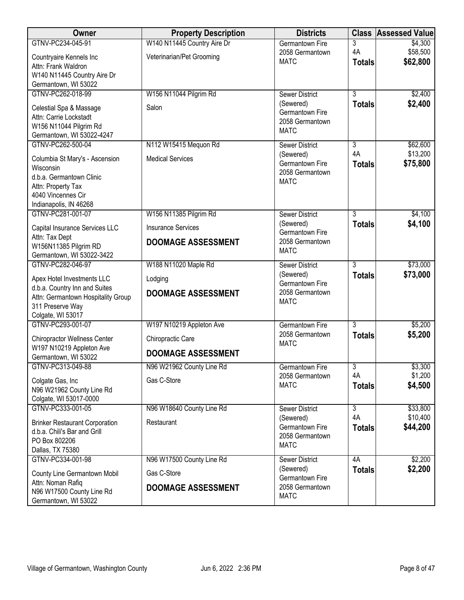| Owner                                          | <b>Property Description</b> | <b>Districts</b>                   |                | <b>Class Assessed Value</b> |
|------------------------------------------------|-----------------------------|------------------------------------|----------------|-----------------------------|
| GTNV-PC234-045-91                              | W140 N11445 Country Aire Dr | Germantown Fire                    | 3              | \$4,300                     |
| Countryaire Kennels Inc                        | Veterinarian/Pet Grooming   | 2058 Germantown                    | 4A             | \$58,500                    |
| Attn: Frank Waldron                            |                             | <b>MATC</b>                        | <b>Totals</b>  | \$62,800                    |
| W140 N11445 Country Aire Dr                    |                             |                                    |                |                             |
| Germantown, WI 53022                           |                             |                                    |                |                             |
| GTNV-PC262-018-99                              | W156 N11044 Pilgrim Rd      | <b>Sewer District</b>              | $\overline{3}$ | \$2,400                     |
| Celestial Spa & Massage                        | Salon                       | (Sewered)                          | <b>Totals</b>  | \$2,400                     |
| Attn: Carrie Lockstadt                         |                             | Germantown Fire<br>2058 Germantown |                |                             |
| W156 N11044 Pilgrim Rd                         |                             | <b>MATC</b>                        |                |                             |
| Germantown, WI 53022-4247                      |                             |                                    |                |                             |
| GTNV-PC262-500-04                              | N112 W15415 Mequon Rd       | <b>Sewer District</b>              | 3              | \$62,600                    |
| Columbia St Mary's - Ascension                 | <b>Medical Services</b>     | (Sewered)                          | 4A             | \$13,200                    |
| Wisconsin                                      |                             | Germantown Fire<br>2058 Germantown | <b>Totals</b>  | \$75,800                    |
| d.b.a. Germantown Clinic                       |                             | <b>MATC</b>                        |                |                             |
| Attn: Property Tax                             |                             |                                    |                |                             |
| 4040 Vincennes Cir                             |                             |                                    |                |                             |
| Indianapolis, IN 46268                         |                             |                                    |                |                             |
| GTNV-PC281-001-07                              | W156 N11385 Pilgrim Rd      | <b>Sewer District</b><br>(Sewered) | 3              | \$4,100<br>\$4,100          |
| Capital Insurance Services LLC                 | <b>Insurance Services</b>   | Germantown Fire                    | <b>Totals</b>  |                             |
| Attn: Tax Dept                                 | <b>DOOMAGE ASSESSMENT</b>   | 2058 Germantown                    |                |                             |
| W156N11385 Pilgrim RD                          |                             | <b>MATC</b>                        |                |                             |
| Germantown, WI 53022-3422                      |                             |                                    |                |                             |
| GTNV-PC282-046-97                              | W188 N11020 Maple Rd        | Sewer District<br>(Sewered)        | $\overline{3}$ | \$73,000                    |
| Apex Hotel Investments LLC                     | Lodging                     | Germantown Fire                    | <b>Totals</b>  | \$73,000                    |
| d.b.a. Country Inn and Suites                  | <b>DOOMAGE ASSESSMENT</b>   | 2058 Germantown                    |                |                             |
| Attn: Germantown Hospitality Group             |                             | <b>MATC</b>                        |                |                             |
| 311 Preserve Way<br>Colgate, WI 53017          |                             |                                    |                |                             |
| GTNV-PC293-001-07                              | W197 N10219 Appleton Ave    | Germantown Fire                    | $\overline{3}$ | \$5,200                     |
|                                                |                             | 2058 Germantown                    | <b>Totals</b>  | \$5,200                     |
| <b>Chiropractor Wellness Center</b>            | Chiropractic Care           | <b>MATC</b>                        |                |                             |
| W197 N10219 Appleton Ave                       | <b>DOOMAGE ASSESSMENT</b>   |                                    |                |                             |
| Germantown, WI 53022<br>GTNV-PC313-049-88      | N96 W21962 County Line Rd   | Germantown Fire                    | $\overline{3}$ | \$3,300                     |
|                                                |                             | 2058 Germantown                    | 4A             | \$1,200                     |
| Colgate Gas, Inc.                              | Gas C-Store                 | <b>MATC</b>                        | <b>Totals</b>  | \$4,500                     |
| N96 W21962 County Line Rd                      |                             |                                    |                |                             |
| Colgate, WI 53017-0000<br>GTNV-PC333-001-05    | N96 W18640 County Line Rd   | Sewer District                     | $\overline{3}$ | \$33,800                    |
|                                                |                             | (Sewered)                          | 4A             | \$10,400                    |
| <b>Brinker Restaurant Corporation</b>          | Restaurant                  | Germantown Fire                    | <b>Totals</b>  | \$44,200                    |
| d.b.a. Chili's Bar and Grill                   |                             | 2058 Germantown                    |                |                             |
| PO Box 802206<br>Dallas, TX 75380              |                             | <b>MATC</b>                        |                |                             |
| GTNV-PC334-001-98                              | N96 W17500 County Line Rd   | <b>Sewer District</b>              | 4A             | \$2,200                     |
|                                                |                             | (Sewered)                          | <b>Totals</b>  | \$2,200                     |
| County Line Germantown Mobil                   | Gas C-Store                 | Germantown Fire                    |                |                             |
| Attn: Noman Rafiq<br>N96 W17500 County Line Rd | <b>DOOMAGE ASSESSMENT</b>   | 2058 Germantown                    |                |                             |
| Germantown, WI 53022                           |                             | <b>MATC</b>                        |                |                             |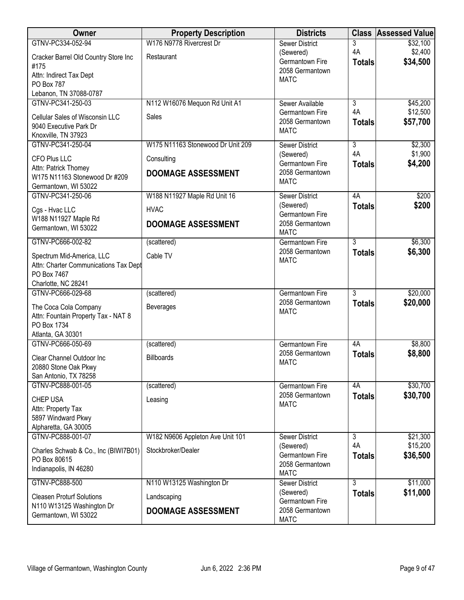| Owner                                                                            | <b>Property Description</b>       | <b>Districts</b>                                  |                           | <b>Class Assessed Value</b> |
|----------------------------------------------------------------------------------|-----------------------------------|---------------------------------------------------|---------------------------|-----------------------------|
| GTNV-PC334-052-94                                                                | W176 N9778 Rivercrest Dr          | <b>Sewer District</b>                             | 3                         | \$32,100                    |
| Cracker Barrel Old Country Store Inc<br>#175                                     | Restaurant                        | (Sewered)<br>Germantown Fire<br>2058 Germantown   | 4A<br><b>Totals</b>       | \$2,400<br>\$34,500         |
| Attn: Indirect Tax Dept<br>PO Box 787                                            |                                   | <b>MATC</b>                                       |                           |                             |
| Lebanon, TN 37088-0787                                                           |                                   |                                                   |                           |                             |
| GTNV-PC341-250-03                                                                | N112 W16076 Mequon Rd Unit A1     | Sewer Available                                   | $\overline{3}$<br>4A      | \$45,200<br>\$12,500        |
| Cellular Sales of Wisconsin LLC<br>9040 Executive Park Dr<br>Knoxville, TN 37923 | Sales                             | Germantown Fire<br>2058 Germantown<br><b>MATC</b> | <b>Totals</b>             | \$57,700                    |
| GTNV-PC341-250-04                                                                | W175 N11163 Stonewood Dr Unit 209 | <b>Sewer District</b>                             | $\overline{\overline{3}}$ | \$2,300                     |
| CFO Plus LLC                                                                     | Consulting                        | (Sewered)<br>Germantown Fire                      | 4A<br><b>Totals</b>       | \$1,900<br>\$4,200          |
| Attn: Patrick Thomey<br>W175 N11163 Stonewood Dr #209<br>Germantown, WI 53022    | <b>DOOMAGE ASSESSMENT</b>         | 2058 Germantown<br><b>MATC</b>                    |                           |                             |
| GTNV-PC341-250-06                                                                | W188 N11927 Maple Rd Unit 16      | <b>Sewer District</b>                             | 4A                        | \$200                       |
| Cgs - Hvac LLC                                                                   | <b>HVAC</b>                       | (Sewered)<br>Germantown Fire                      | <b>Totals</b>             | \$200                       |
| W188 N11927 Maple Rd<br>Germantown, WI 53022                                     | <b>DOOMAGE ASSESSMENT</b>         | 2058 Germantown<br><b>MATC</b>                    |                           |                             |
| GTNV-PC666-002-82                                                                | (scattered)                       | <b>Germantown Fire</b>                            | $\overline{3}$            | \$6,300                     |
| Spectrum Mid-America, LLC<br>Attn: Charter Communications Tax Dept               | Cable TV                          | 2058 Germantown<br><b>MATC</b>                    | <b>Totals</b>             | \$6,300                     |
| PO Box 7467                                                                      |                                   |                                                   |                           |                             |
| Charlotte, NC 28241                                                              |                                   |                                                   | $\overline{3}$            |                             |
| GTNV-PC666-029-68                                                                | (scattered)                       | Germantown Fire<br>2058 Germantown                | <b>Totals</b>             | \$20,000<br>\$20,000        |
| The Coca Cola Company                                                            | <b>Beverages</b>                  | <b>MATC</b>                                       |                           |                             |
| Attn: Fountain Property Tax - NAT 8<br>PO Box 1734                               |                                   |                                                   |                           |                             |
| Atlanta, GA 30301                                                                |                                   |                                                   |                           |                             |
| GTNV-PC666-050-69                                                                | (scattered)                       | <b>Germantown Fire</b>                            | 4A                        | \$8,800                     |
| Clear Channel Outdoor Inc                                                        | <b>Billboards</b>                 | 2058 Germantown                                   | <b>Totals</b>             | \$8,800                     |
| 20880 Stone Oak Pkwy                                                             |                                   | <b>MATC</b>                                       |                           |                             |
| San Antonio, TX 78258                                                            |                                   |                                                   |                           |                             |
| GTNV-PC888-001-05                                                                | (scattered)                       | <b>Germantown Fire</b>                            | 4A                        | \$30,700                    |
| <b>CHEP USA</b><br>Attn: Property Tax                                            | Leasing                           | 2058 Germantown<br><b>MATC</b>                    | <b>Totals</b>             | \$30,700                    |
| 5897 Windward Pkwy                                                               |                                   |                                                   |                           |                             |
| Alpharetta, GA 30005                                                             |                                   |                                                   |                           |                             |
| GTNV-PC888-001-07                                                                | W182 N9606 Appleton Ave Unit 101  | <b>Sewer District</b>                             | $\overline{3}$            | \$21,300                    |
| Charles Schwab & Co., Inc (BIWI7B01)<br>PO Box 80615                             | Stockbroker/Dealer                | (Sewered)<br>Germantown Fire                      | 4A<br><b>Totals</b>       | \$15,200<br>\$36,500        |
| Indianapolis, IN 46280                                                           |                                   | 2058 Germantown<br><b>MATC</b>                    |                           |                             |
| GTNV-PC888-500                                                                   | N110 W13125 Washington Dr         | <b>Sewer District</b>                             | $\overline{3}$            | \$11,000                    |
| <b>Cleasen Proturf Solutions</b>                                                 | Landscaping                       | (Sewered)<br>Germantown Fire                      | <b>Totals</b>             | \$11,000                    |
| N110 W13125 Washington Dr<br>Germantown, WI 53022                                | <b>DOOMAGE ASSESSMENT</b>         | 2058 Germantown<br><b>MATC</b>                    |                           |                             |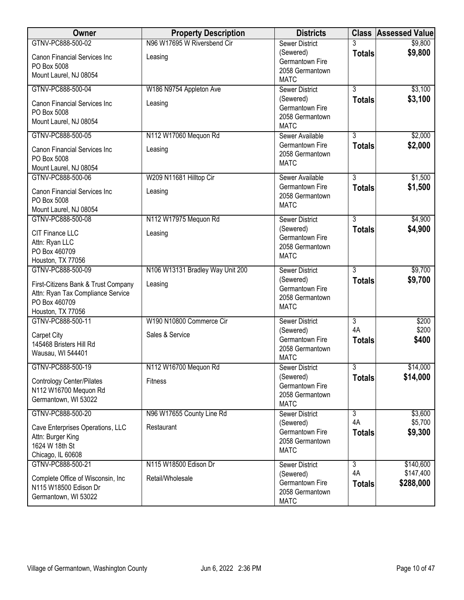| Owner                                                                                                          | <b>Property Description</b>      | <b>Districts</b>                                               |                     | <b>Class Assessed Value</b> |
|----------------------------------------------------------------------------------------------------------------|----------------------------------|----------------------------------------------------------------|---------------------|-----------------------------|
| GTNV-PC888-500-02                                                                                              | N96 W17695 W Riversbend Cir      | <b>Sewer District</b>                                          | 3                   | \$9,800                     |
| <b>Canon Financial Services Inc</b><br>PO Box 5008                                                             | Leasing                          | (Sewered)<br>Germantown Fire<br>2058 Germantown                | <b>Totals</b>       | \$9,800                     |
| Mount Laurel, NJ 08054                                                                                         |                                  | <b>MATC</b>                                                    |                     |                             |
| GTNV-PC888-500-04                                                                                              | W186 N9754 Appleton Ave          | <b>Sewer District</b>                                          | $\overline{3}$      | \$3,100                     |
| <b>Canon Financial Services Inc</b><br>PO Box 5008<br>Mount Laurel, NJ 08054                                   | Leasing                          | (Sewered)<br>Germantown Fire<br>2058 Germantown<br><b>MATC</b> | <b>Totals</b>       | \$3,100                     |
| GTNV-PC888-500-05                                                                                              | N112 W17060 Mequon Rd            | Sewer Available                                                | $\overline{3}$      | \$2,000                     |
| <b>Canon Financial Services Inc</b><br>PO Box 5008<br>Mount Laurel, NJ 08054                                   | Leasing                          | Germantown Fire<br>2058 Germantown<br><b>MATC</b>              | <b>Totals</b>       | \$2,000                     |
| GTNV-PC888-500-06                                                                                              | W209 N11681 Hilltop Cir          | Sewer Available                                                | $\overline{3}$      | \$1,500                     |
| Canon Financial Services Inc<br>PO Box 5008<br>Mount Laurel, NJ 08054                                          | Leasing                          | Germantown Fire<br>2058 Germantown<br><b>MATC</b>              | <b>Totals</b>       | \$1,500                     |
| GTNV-PC888-500-08                                                                                              | N112 W17975 Mequon Rd            | Sewer District                                                 | $\overline{3}$      | \$4,900                     |
| CIT Finance LLC<br>Attn: Ryan LLC<br>PO Box 460709<br>Houston, TX 77056                                        | Leasing                          | (Sewered)<br>Germantown Fire<br>2058 Germantown<br><b>MATC</b> | <b>Totals</b>       | \$4,900                     |
| GTNV-PC888-500-09                                                                                              | N106 W13131 Bradley Way Unit 200 | <b>Sewer District</b>                                          | $\overline{3}$      | \$9,700                     |
| First-Citizens Bank & Trust Company<br>Attn: Ryan Tax Compliance Service<br>PO Box 460709<br>Houston, TX 77056 | Leasing                          | (Sewered)<br>Germantown Fire<br>2058 Germantown<br><b>MATC</b> | <b>Totals</b>       | \$9,700                     |
| GTNV-PC888-500-11                                                                                              | W190 N10800 Commerce Cir         | <b>Sewer District</b>                                          | $\overline{3}$      | \$200                       |
| Carpet City<br>145468 Bristers Hill Rd<br>Wausau, WI 544401                                                    | Sales & Service                  | (Sewered)<br>Germantown Fire<br>2058 Germantown<br><b>MATC</b> | 4A<br><b>Totals</b> | \$200<br>\$400              |
| GTNV-PC888-500-19                                                                                              | N112 W16700 Mequon Rd            | <b>Sewer District</b>                                          | $\overline{3}$      | \$14,000                    |
| Contrology Center/Pilates<br>N112 W16700 Mequon Rd<br>Germantown, WI 53022                                     | Fitness                          | (Sewered)<br>Germantown Fire<br>2058 Germantown<br><b>MATC</b> | <b>Totals</b>       | \$14,000                    |
| GTNV-PC888-500-20                                                                                              | N96 W17655 County Line Rd        | <b>Sewer District</b>                                          | $\overline{3}$      | \$3,600                     |
| Cave Enterprises Operations, LLC<br>Attn: Burger King<br>1624 W 18th St<br>Chicago, IL 60608                   | Restaurant                       | (Sewered)<br>Germantown Fire<br>2058 Germantown<br><b>MATC</b> | 4A<br><b>Totals</b> | \$5,700<br>\$9,300          |
| GTNV-PC888-500-21                                                                                              | N115 W18500 Edison Dr            | Sewer District                                                 | $\overline{3}$      | \$140,600                   |
| Complete Office of Wisconsin, Inc<br>N115 W18500 Edison Dr<br>Germantown, WI 53022                             | Retail/Wholesale                 | (Sewered)<br>Germantown Fire<br>2058 Germantown<br><b>MATC</b> | 4A<br><b>Totals</b> | \$147,400<br>\$288,000      |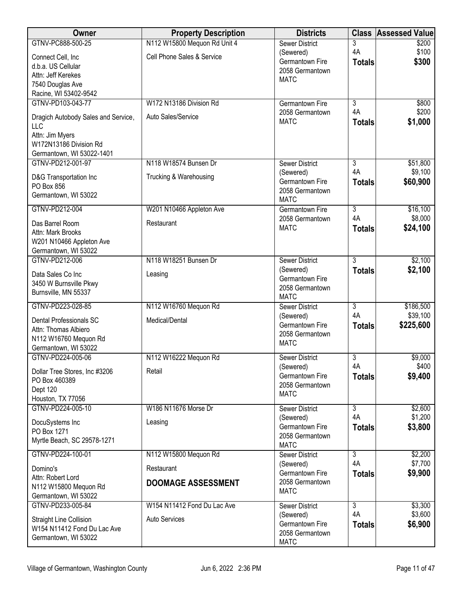| Owner                                      | <b>Property Description</b>  | <b>Districts</b>                          | <b>Class</b>        | <b>Assessed Value</b> |
|--------------------------------------------|------------------------------|-------------------------------------------|---------------------|-----------------------|
| GTNV-PC888-500-25                          | N112 W15800 Mequon Rd Unit 4 | <b>Sewer District</b>                     | 3                   | \$200                 |
| Connect Cell, Inc                          | Cell Phone Sales & Service   | (Sewered)                                 | 4A                  | \$100                 |
| d.b.a. US Cellular                         |                              | Germantown Fire<br>2058 Germantown        | <b>Totals</b>       | \$300                 |
| Attn: Jeff Kerekes                         |                              | <b>MATC</b>                               |                     |                       |
| 7540 Douglas Ave                           |                              |                                           |                     |                       |
| Racine, WI 53402-9542                      |                              |                                           |                     |                       |
| GTNV-PD103-043-77                          | W172 N13186 Division Rd      | <b>Germantown Fire</b><br>2058 Germantown | 3<br>4A             | \$800<br>\$200        |
| Dragich Autobody Sales and Service,<br>LLC | Auto Sales/Service           | <b>MATC</b>                               | <b>Totals</b>       | \$1,000               |
| Attn: Jim Myers<br>W172N13186 Division Rd  |                              |                                           |                     |                       |
| Germantown, WI 53022-1401                  |                              |                                           |                     |                       |
| GTNV-PD212-001-97                          | N118 W18574 Bunsen Dr        | <b>Sewer District</b>                     | $\overline{3}$      | \$51,800              |
| D&G Transportation Inc<br>PO Box 856       | Trucking & Warehousing       | (Sewered)<br>Germantown Fire              | 4A<br><b>Totals</b> | \$9,100<br>\$60,900   |
| Germantown, WI 53022                       |                              | 2058 Germantown<br><b>MATC</b>            |                     |                       |
| GTNV-PD212-004                             | W201 N10466 Appleton Ave     | Germantown Fire                           | $\overline{3}$      | \$16,100              |
|                                            |                              | 2058 Germantown                           | 4A                  | \$8,000               |
| Das Barrel Room<br>Attn: Mark Brooks       | Restaurant                   | <b>MATC</b>                               | <b>Totals</b>       | \$24,100              |
| W201 N10466 Appleton Ave                   |                              |                                           |                     |                       |
| Germantown, WI 53022                       |                              |                                           |                     |                       |
| GTNV-PD212-006                             | N118 W18251 Bunsen Dr        | <b>Sewer District</b>                     | $\overline{3}$      | \$2,100               |
| Data Sales Co Inc                          | Leasing                      | (Sewered)<br>Germantown Fire              | <b>Totals</b>       | \$2,100               |
| 3450 W Burnsville Pkwy                     |                              | 2058 Germantown                           |                     |                       |
| Burnsville, MN 55337                       |                              | <b>MATC</b>                               |                     |                       |
| GTNV-PD223-028-85                          | N112 W16760 Mequon Rd        | <b>Sewer District</b>                     | $\overline{3}$      | \$186,500             |
| Dental Professionals SC                    | Medical/Dental               | (Sewered)                                 | 4A                  | \$39,100              |
| Attn: Thomas Albiero                       |                              | Germantown Fire<br>2058 Germantown        | <b>Totals</b>       | \$225,600             |
| N112 W16760 Mequon Rd                      |                              | <b>MATC</b>                               |                     |                       |
| Germantown, WI 53022                       |                              |                                           |                     |                       |
| GTNV-PD224-005-06                          | N112 W16222 Mequon Rd        | <b>Sewer District</b>                     | 3                   | \$9,000               |
| Dollar Tree Stores, Inc #3206              | Retail                       | (Sewered)<br>Germantown Fire              | 4A                  | \$400<br>\$9,400      |
| PO Box 460389                              |                              | 2058 Germantown                           | <b>Totals</b>       |                       |
| Dept 120                                   |                              | <b>MATC</b>                               |                     |                       |
| Houston, TX 77056<br>GTNV-PD224-005-10     | W186 N11676 Morse Dr         |                                           | $\overline{3}$      |                       |
|                                            |                              | <b>Sewer District</b><br>(Sewered)        | 4A                  | \$2,600<br>\$1,200    |
| DocuSystems Inc                            | Leasing                      | Germantown Fire                           | <b>Totals</b>       | \$3,800               |
| PO Box 1271                                |                              | 2058 Germantown                           |                     |                       |
| Myrtle Beach, SC 29578-1271                |                              | <b>MATC</b>                               |                     |                       |
| GTNV-PD224-100-01                          | N112 W15800 Mequon Rd        | Sewer District                            | $\overline{3}$      | \$2,200               |
| Domino's                                   | Restaurant                   | (Sewered)                                 | 4A                  | \$7,700               |
| Attn: Robert Lord                          |                              | Germantown Fire<br>2058 Germantown        | <b>Totals</b>       | \$9,900               |
| N112 W15800 Mequon Rd                      | <b>DOOMAGE ASSESSMENT</b>    | <b>MATC</b>                               |                     |                       |
| Germantown, WI 53022                       |                              |                                           |                     |                       |
| GTNV-PD233-005-84                          | W154 N11412 Fond Du Lac Ave  | <b>Sewer District</b>                     | 3                   | \$3,300               |
| Straight Line Collision                    | <b>Auto Services</b>         | (Sewered)<br>Germantown Fire              | 4A                  | \$3,600               |
| W154 N11412 Fond Du Lac Ave                |                              | 2058 Germantown                           | <b>Totals</b>       | \$6,900               |
| Germantown, WI 53022                       |                              | <b>MATC</b>                               |                     |                       |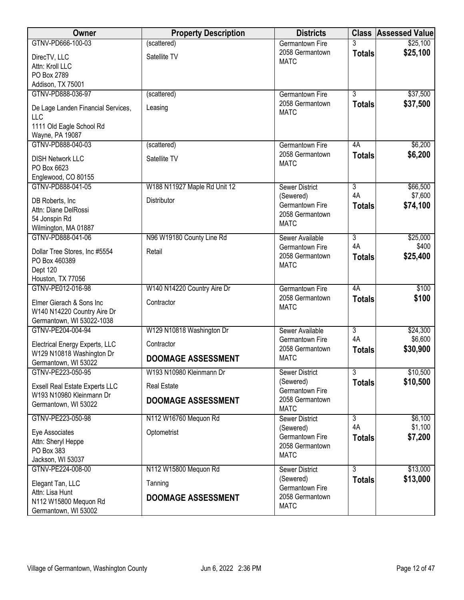| Owner                                             | <b>Property Description</b>  | <b>Districts</b>       | <b>Class</b>   | <b>Assessed Value</b> |
|---------------------------------------------------|------------------------------|------------------------|----------------|-----------------------|
| GTNV-PD666-100-03                                 | (scattered)                  | Germantown Fire        |                | \$25,100              |
| DirecTV, LLC                                      | Satellite TV                 | 2058 Germantown        | <b>Totals</b>  | \$25,100              |
| Attn: Kroll LLC                                   |                              | <b>MATC</b>            |                |                       |
| PO Box 2789                                       |                              |                        |                |                       |
| Addison, TX 75001                                 |                              |                        |                |                       |
| GTNV-PD888-036-97                                 | (scattered)                  | <b>Germantown Fire</b> | $\overline{3}$ | \$37,500              |
| De Lage Landen Financial Services,                | Leasing                      | 2058 Germantown        | <b>Totals</b>  | \$37,500              |
| <b>LLC</b>                                        |                              | <b>MATC</b>            |                |                       |
| 1111 Old Eagle School Rd                          |                              |                        |                |                       |
| Wayne, PA 19087                                   |                              |                        |                |                       |
| GTNV-PD888-040-03                                 | (scattered)                  | Germantown Fire        | 4A             | \$6,200               |
| <b>DISH Network LLC</b>                           | Satellite TV                 | 2058 Germantown        | <b>Totals</b>  | \$6,200               |
| PO Box 6623                                       |                              | <b>MATC</b>            |                |                       |
| Englewood, CO 80155                               |                              |                        |                |                       |
| GTNV-PD888-041-05                                 | W188 N11927 Maple Rd Unit 12 | <b>Sewer District</b>  | $\overline{3}$ | \$66,500              |
| DB Roberts, Inc                                   | Distributor                  | (Sewered)              | 4A             | \$7,600               |
| Attn: Diane DelRossi                              |                              | Germantown Fire        | <b>Totals</b>  | \$74,100              |
| 54 Jonspin Rd                                     |                              | 2058 Germantown        |                |                       |
| Wilmington, MA 01887                              |                              | <b>MATC</b>            |                |                       |
| GTNV-PD888-041-06                                 | N96 W19180 County Line Rd    | Sewer Available        | $\overline{3}$ | \$25,000              |
| Dollar Tree Stores, Inc #5554                     | Retail                       | Germantown Fire        | 4A             | \$400                 |
| PO Box 460389                                     |                              | 2058 Germantown        | <b>Totals</b>  | \$25,400              |
| Dept 120                                          |                              | <b>MATC</b>            |                |                       |
| Houston, TX 77056                                 |                              |                        |                |                       |
| GTNV-PE012-016-98                                 | W140 N14220 Country Aire Dr  | <b>Germantown Fire</b> | 4A             | \$100                 |
| Elmer Gierach & Sons Inc                          | Contractor                   | 2058 Germantown        | <b>Totals</b>  | \$100                 |
| W140 N14220 Country Aire Dr                       |                              | <b>MATC</b>            |                |                       |
| Germantown, WI 53022-1038                         |                              |                        |                |                       |
| GTNV-PE204-004-94                                 | W129 N10818 Washington Dr    | Sewer Available        | $\overline{3}$ | \$24,300              |
|                                                   |                              | Germantown Fire        | 4A             | \$6,600               |
| Electrical Energy Experts, LLC                    | Contractor                   | 2058 Germantown        | <b>Totals</b>  | \$30,900              |
| W129 N10818 Washington Dr<br>Germantown, WI 53022 | <b>DOOMAGE ASSESSMENT</b>    | <b>MATC</b>            |                |                       |
| GTNV-PE223-050-95                                 | W193 N10980 Kleinmann Dr     | Sewer District         | $\overline{3}$ | \$10,500              |
|                                                   |                              | (Sewered)              | <b>Totals</b>  | \$10,500              |
| Exsell Real Estate Experts LLC                    | <b>Real Estate</b>           | Germantown Fire        |                |                       |
| W193 N10980 Kleinmann Dr                          | <b>DOOMAGE ASSESSMENT</b>    | 2058 Germantown        |                |                       |
| Germantown, WI 53022                              |                              | <b>MATC</b>            |                |                       |
| GTNV-PE223-050-98                                 | N112 W16760 Mequon Rd        | <b>Sewer District</b>  | 3              | \$6,100               |
| Eye Associates                                    | Optometrist                  | (Sewered)              | 4A             | \$1,100               |
| Attn: Sheryl Heppe                                |                              | Germantown Fire        | <b>Totals</b>  | \$7,200               |
| PO Box 383                                        |                              | 2058 Germantown        |                |                       |
| Jackson, WI 53037                                 |                              | <b>MATC</b>            |                |                       |
| GTNV-PE224-008-00                                 | N112 W15800 Mequon Rd        | <b>Sewer District</b>  | 3              | \$13,000              |
| Elegant Tan, LLC                                  | Tanning                      | (Sewered)              | <b>Totals</b>  | \$13,000              |
| Attn: Lisa Hunt                                   |                              | Germantown Fire        |                |                       |
| N112 W15800 Mequon Rd                             | <b>DOOMAGE ASSESSMENT</b>    | 2058 Germantown        |                |                       |
| Germantown, WI 53002                              |                              | <b>MATC</b>            |                |                       |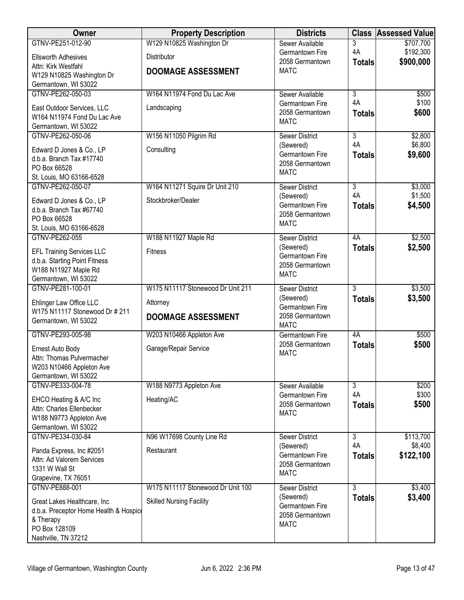| Owner                                                 | <b>Property Description</b>       | <b>Districts</b>                   | <b>Class</b>         | <b>Assessed Value</b>  |
|-------------------------------------------------------|-----------------------------------|------------------------------------|----------------------|------------------------|
| GTNV-PE251-012-90                                     | W129 N10825 Washington Dr         | Sewer Available                    | 3                    | \$707,700              |
| <b>Ellsworth Adhesives</b>                            | <b>Distributor</b>                | Germantown Fire<br>2058 Germantown | 4A<br><b>Totals</b>  | \$192,300<br>\$900,000 |
| Attn: Kirk Westfahl                                   | <b>DOOMAGE ASSESSMENT</b>         | <b>MATC</b>                        |                      |                        |
| W129 N10825 Washington Dr<br>Germantown, WI 53022     |                                   |                                    |                      |                        |
| GTNV-PE262-050-03                                     | W164 N11974 Fond Du Lac Ave       | Sewer Available                    | $\overline{3}$       | \$500                  |
| East Outdoor Services, LLC                            | Landscaping                       | Germantown Fire                    | 4A                   | \$100                  |
| W164 N11974 Fond Du Lac Ave                           |                                   | 2058 Germantown<br><b>MATC</b>     | <b>Totals</b>        | \$600                  |
| Germantown, WI 53022                                  |                                   |                                    |                      |                        |
| GTNV-PE262-050-06                                     | W156 N11050 Pilgrim Rd            | <b>Sewer District</b>              | $\overline{3}$<br>4A | \$2,800<br>\$6,800     |
| Edward D Jones & Co., LP                              | Consulting                        | (Sewered)<br>Germantown Fire       | <b>Totals</b>        | \$9,600                |
| d.b.a. Branch Tax #17740<br>PO Box 66528              |                                   | 2058 Germantown                    |                      |                        |
| St. Louis, MO 63166-6528                              |                                   | <b>MATC</b>                        |                      |                        |
| GTNV-PE262-050-07                                     | W164 N11271 Squire Dr Unit 210    | <b>Sewer District</b>              | $\overline{3}$       | \$3,000                |
| Edward D Jones & Co., LP                              | Stockbroker/Dealer                | (Sewered)                          | 4A                   | \$1,500                |
| d.b.a. Branch Tax #67740                              |                                   | Germantown Fire<br>2058 Germantown | <b>Totals</b>        | \$4,500                |
| PO Box 66528                                          |                                   | <b>MATC</b>                        |                      |                        |
| St. Louis, MO 63166-6528<br>GTNV-PE262-055            |                                   |                                    | 4A                   | \$2,500                |
|                                                       | W188 N11927 Maple Rd              | <b>Sewer District</b><br>(Sewered) | <b>Totals</b>        | \$2,500                |
| <b>EFL Training Services LLC</b>                      | <b>Fitness</b>                    | Germantown Fire                    |                      |                        |
| d.b.a. Starting Point Fitness<br>W188 N11927 Maple Rd |                                   | 2058 Germantown                    |                      |                        |
| Germantown, WI 53022                                  |                                   | <b>MATC</b>                        |                      |                        |
| GTNV-PE281-100-01                                     | W175 N11117 Stonewood Dr Unit 211 | <b>Sewer District</b>              | $\overline{3}$       | \$3,500                |
| Ehlinger Law Office LLC                               | Attorney                          | (Sewered)<br>Germantown Fire       | <b>Totals</b>        | \$3,500                |
| W175 N11117 Stonewood Dr # 211                        | <b>DOOMAGE ASSESSMENT</b>         | 2058 Germantown                    |                      |                        |
| Germantown, WI 53022                                  |                                   | <b>MATC</b>                        |                      |                        |
| GTNV-PE293-005-98                                     | W203 N10466 Appleton Ave          | <b>Germantown Fire</b>             | 4A                   | \$500                  |
| Ernest Auto Body                                      | Garage/Repair Service             | 2058 Germantown<br><b>MATC</b>     | <b>Totals</b>        | \$500                  |
| Attn: Thomas Pulvermacher                             |                                   |                                    |                      |                        |
| W203 N10466 Appleton Ave<br>Germantown, WI 53022      |                                   |                                    |                      |                        |
| GTNV-PE333-004-78                                     | W188 N9773 Appleton Ave           | Sewer Available                    | $\overline{3}$       | \$200                  |
| EHCO Heating & A/C Inc                                | Heating/AC                        | Germantown Fire                    | 4A                   | \$300                  |
| Attn: Charles Ellenbecker                             |                                   | 2058 Germantown<br><b>MATC</b>     | <b>Totals</b>        | \$500                  |
| W188 N9773 Appleton Ave                               |                                   |                                    |                      |                        |
| Germantown, WI 53022<br>GTNV-PE334-030-84             | N96 W17698 County Line Rd         | <b>Sewer District</b>              | $\overline{3}$       | \$113,700              |
|                                                       |                                   | (Sewered)                          | 4A                   | \$8,400                |
| Panda Express, Inc #2051<br>Attn: Ad Valorem Services | Restaurant                        | Germantown Fire                    | <b>Totals</b>        | \$122,100              |
| 1331 W Wall St                                        |                                   | 2058 Germantown                    |                      |                        |
| Grapevine, TX 76051                                   |                                   | <b>MATC</b>                        |                      |                        |
| GTNV-PE888-001                                        | W175 N11117 Stonewood Dr Unit 100 | <b>Sewer District</b>              | $\overline{3}$       | \$3,400                |
| Great Lakes Healthcare, Inc                           | <b>Skilled Nursing Facility</b>   | (Sewered)<br>Germantown Fire       | <b>Totals</b>        | \$3,400                |
| d.b.a. Preceptor Home Health & Hospice                |                                   | 2058 Germantown                    |                      |                        |
| & Therapy<br>PO Box 128109                            |                                   | <b>MATC</b>                        |                      |                        |
| Nashville, TN 37212                                   |                                   |                                    |                      |                        |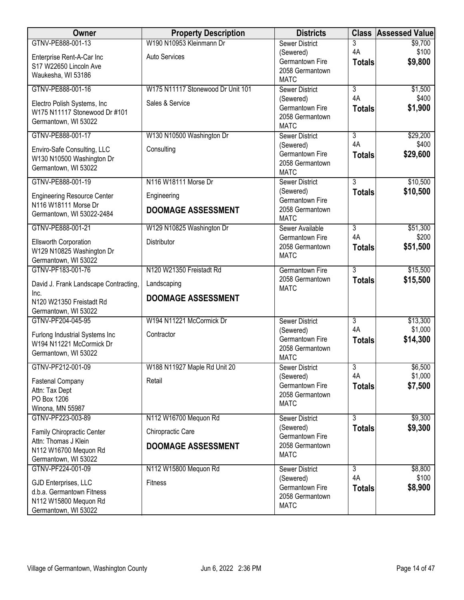| Owner                                              | <b>Property Description</b>       | <b>Districts</b>                   |                     | <b>Class Assessed Value</b> |
|----------------------------------------------------|-----------------------------------|------------------------------------|---------------------|-----------------------------|
| GTNV-PE888-001-13                                  | W190 N10953 Kleinmann Dr          | <b>Sewer District</b>              | 3                   | \$9,700                     |
| Enterprise Rent-A-Car Inc                          | <b>Auto Services</b>              | (Sewered)<br>Germantown Fire       | 4A<br><b>Totals</b> | \$100<br>\$9,800            |
| S17 W22650 Lincoln Ave                             |                                   | 2058 Germantown                    |                     |                             |
| Waukesha, WI 53186                                 |                                   | <b>MATC</b>                        |                     |                             |
| GTNV-PE888-001-16                                  | W175 N11117 Stonewood Dr Unit 101 | <b>Sewer District</b>              | $\overline{3}$      | \$1,500                     |
| Electro Polish Systems, Inc                        | Sales & Service                   | (Sewered)<br>Germantown Fire       | 4A                  | \$400                       |
| W175 N11117 Stonewood Dr #101                      |                                   | 2058 Germantown                    | <b>Totals</b>       | \$1,900                     |
| Germantown, WI 53022                               |                                   | <b>MATC</b>                        |                     |                             |
| GTNV-PE888-001-17                                  | W130 N10500 Washington Dr         | <b>Sewer District</b>              | $\overline{3}$      | \$29,200                    |
| Enviro-Safe Consulting, LLC                        | Consulting                        | (Sewered)                          | 4A                  | \$400                       |
| W130 N10500 Washington Dr                          |                                   | Germantown Fire<br>2058 Germantown | <b>Totals</b>       | \$29,600                    |
| Germantown, WI 53022                               |                                   | <b>MATC</b>                        |                     |                             |
| GTNV-PE888-001-19                                  | N116 W18111 Morse Dr              | <b>Sewer District</b>              | $\overline{3}$      | \$10,500                    |
| <b>Engineering Resource Center</b>                 | Engineering                       | (Sewered)<br>Germantown Fire       | <b>Totals</b>       | \$10,500                    |
| N116 W18111 Morse Dr                               | <b>DOOMAGE ASSESSMENT</b>         | 2058 Germantown                    |                     |                             |
| Germantown, WI 53022-2484                          |                                   | <b>MATC</b>                        |                     |                             |
| GTNV-PE888-001-21                                  | W129 N10825 Washington Dr         | Sewer Available                    | $\overline{3}$      | \$51,300                    |
| <b>Ellsworth Corporation</b>                       | Distributor                       | Germantown Fire<br>2058 Germantown | 4A<br><b>Totals</b> | \$200<br>\$51,500           |
| W129 N10825 Washington Dr                          |                                   | <b>MATC</b>                        |                     |                             |
| Germantown, WI 53022<br>GTNV-PF183-001-76          | N120 W21350 Freistadt Rd          | <b>Germantown Fire</b>             | 3                   | \$15,500                    |
|                                                    |                                   | 2058 Germantown                    | <b>Totals</b>       | \$15,500                    |
| David J. Frank Landscape Contracting,              | Landscaping                       | <b>MATC</b>                        |                     |                             |
| Inc.<br>N120 W21350 Freistadt Rd                   | <b>DOOMAGE ASSESSMENT</b>         |                                    |                     |                             |
| Germantown, WI 53022                               |                                   |                                    |                     |                             |
| GTNV-PF204-045-95                                  | W194 N11221 McCormick Dr          | <b>Sewer District</b>              | $\overline{3}$      | \$13,300                    |
| Furlong Industrial Systems Inc                     | Contractor                        | (Sewered)                          | 4A                  | \$1,000                     |
| W194 N11221 McCormick Dr                           |                                   | Germantown Fire<br>2058 Germantown | <b>Totals</b>       | \$14,300                    |
| Germantown, WI 53022                               |                                   | <b>MATC</b>                        |                     |                             |
| GTNV-PF212-001-09                                  | W188 N11927 Maple Rd Unit 20      | <b>Sewer District</b>              | $\overline{3}$      | \$6,500                     |
| <b>Fastenal Company</b>                            | Retail                            | (Sewered)                          | 4A                  | \$1,000                     |
| Attn: Tax Dept                                     |                                   | Germantown Fire<br>2058 Germantown | <b>Totals</b>       | \$7,500                     |
| PO Box 1206                                        |                                   | <b>MATC</b>                        |                     |                             |
| Winona, MN 55987<br>GTNV-PF223-003-89              | N112 W16700 Mequon Rd             | Sewer District                     | $\overline{3}$      | \$9,300                     |
| Family Chiropractic Center                         | Chiropractic Care                 | (Sewered)                          | <b>Totals</b>       | \$9,300                     |
| Attn: Thomas J Klein                               |                                   | Germantown Fire<br>2058 Germantown |                     |                             |
| N112 W16700 Mequon Rd                              | <b>DOOMAGE ASSESSMENT</b>         | <b>MATC</b>                        |                     |                             |
| Germantown, WI 53022<br>GTNV-PF224-001-09          |                                   |                                    |                     | \$8,800                     |
|                                                    | N112 W15800 Mequon Rd             | <b>Sewer District</b><br>(Sewered) | 3<br>4A             | \$100                       |
| GJD Enterprises, LLC                               | Fitness                           | Germantown Fire                    | <b>Totals</b>       | \$8,900                     |
| d.b.a. Germantown Fitness<br>N112 W15800 Mequon Rd |                                   | 2058 Germantown                    |                     |                             |
| Germantown, WI 53022                               |                                   | <b>MATC</b>                        |                     |                             |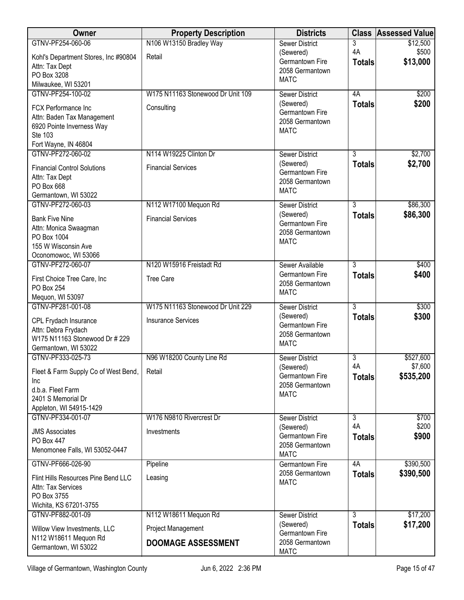| Owner                                                     | <b>Property Description</b>       | <b>Districts</b>                   | <b>Class</b>   | <b>Assessed Value</b> |
|-----------------------------------------------------------|-----------------------------------|------------------------------------|----------------|-----------------------|
| GTNV-PF254-060-06                                         | N106 W13150 Bradley Way           | <b>Sewer District</b>              | 3              | \$12,500              |
| Kohl's Department Stores, Inc #90804                      | Retail                            | (Sewered)<br>Germantown Fire       | 4A             | \$500<br>\$13,000     |
| Attn: Tax Dept                                            |                                   | 2058 Germantown                    | <b>Totals</b>  |                       |
| PO Box 3208                                               |                                   | <b>MATC</b>                        |                |                       |
| Milwaukee, WI 53201<br>GTNV-PF254-100-02                  | W175 N11163 Stonewood Dr Unit 109 | <b>Sewer District</b>              | 4A             | \$200                 |
|                                                           |                                   | (Sewered)                          | <b>Totals</b>  | \$200                 |
| FCX Performance Inc                                       | Consulting                        | Germantown Fire                    |                |                       |
| Attn: Baden Tax Management<br>6920 Pointe Inverness Way   |                                   | 2058 Germantown                    |                |                       |
| Ste 103                                                   |                                   | <b>MATC</b>                        |                |                       |
| Fort Wayne, IN 46804                                      |                                   |                                    |                |                       |
| GTNV-PF272-060-02                                         | N114 W19225 Clinton Dr            | <b>Sewer District</b>              | 3              | \$2,700               |
| <b>Financial Control Solutions</b>                        | <b>Financial Services</b>         | (Sewered)                          | <b>Totals</b>  | \$2,700               |
| Attn: Tax Dept                                            |                                   | Germantown Fire<br>2058 Germantown |                |                       |
| PO Box 668                                                |                                   | <b>MATC</b>                        |                |                       |
| Germantown, WI 53022                                      |                                   |                                    |                |                       |
| GTNV-PF272-060-03                                         | N112 W17100 Mequon Rd             | <b>Sewer District</b><br>(Sewered) | $\overline{3}$ | \$86,300<br>\$86,300  |
| <b>Bank Five Nine</b>                                     | <b>Financial Services</b>         | Germantown Fire                    | <b>Totals</b>  |                       |
| Attn: Monica Swaagman                                     |                                   | 2058 Germantown                    |                |                       |
| PO Box 1004<br>155 W Wisconsin Ave                        |                                   | <b>MATC</b>                        |                |                       |
| Oconomowoc, WI 53066                                      |                                   |                                    |                |                       |
| GTNV-PF272-060-07                                         | N120 W15916 Freistadt Rd          | Sewer Available                    | $\overline{3}$ | \$400                 |
| First Choice Tree Care, Inc                               | <b>Tree Care</b>                  | Germantown Fire                    | <b>Totals</b>  | \$400                 |
| PO Box 254                                                |                                   | 2058 Germantown                    |                |                       |
| Mequon, WI 53097                                          |                                   | <b>MATC</b>                        |                |                       |
| GTNV-PF281-001-08                                         | W175 N11163 Stonewood Dr Unit 229 | <b>Sewer District</b>              | $\overline{3}$ | \$300                 |
| CPL Frydach Insurance                                     | <b>Insurance Services</b>         | (Sewered)                          | <b>Totals</b>  | \$300                 |
| Attn: Debra Frydach                                       |                                   | Germantown Fire<br>2058 Germantown |                |                       |
| W175 N11163 Stonewood Dr # 229                            |                                   | <b>MATC</b>                        |                |                       |
| Germantown, WI 53022                                      |                                   |                                    |                |                       |
| GTNV-PF333-025-73                                         | N96 W18200 County Line Rd         | <b>Sewer District</b><br>(Sewered) | 3<br>4A        | \$527,600<br>\$7,600  |
| Fleet & Farm Supply Co of West Bend,                      | Retail                            | Germantown Fire                    | <b>Totals</b>  | \$535,200             |
| Inc                                                       |                                   | 2058 Germantown                    |                |                       |
| d.b.a. Fleet Farm<br>2401 S Memorial Dr                   |                                   | <b>MATC</b>                        |                |                       |
| Appleton, WI 54915-1429                                   |                                   |                                    |                |                       |
| GTNV-PF334-001-07                                         | W176 N9810 Rivercrest Dr          | <b>Sewer District</b>              | 3              | \$700                 |
| <b>JMS Associates</b>                                     | Investments                       | (Sewered)                          | 4A             | \$200                 |
| PO Box 447                                                |                                   | Germantown Fire                    | <b>Totals</b>  | \$900                 |
| Menomonee Falls, WI 53052-0447                            |                                   | 2058 Germantown<br><b>MATC</b>     |                |                       |
| GTNV-PF666-026-90                                         | Pipeline                          | <b>Germantown Fire</b>             | 4A             | \$390,500             |
|                                                           |                                   | 2058 Germantown                    | <b>Totals</b>  | \$390,500             |
| Flint Hills Resources Pine Bend LLC<br>Attn: Tax Services | Leasing                           | <b>MATC</b>                        |                |                       |
| PO Box 3755                                               |                                   |                                    |                |                       |
| Wichita, KS 67201-3755                                    |                                   |                                    |                |                       |
| GTNV-PF882-001-09                                         | N112 W18611 Mequon Rd             | <b>Sewer District</b>              | 3              | \$17,200              |
| Willow View Investments, LLC                              | Project Management                | (Sewered)                          | <b>Totals</b>  | \$17,200              |
| N112 W18611 Mequon Rd                                     | <b>DOOMAGE ASSESSMENT</b>         | Germantown Fire<br>2058 Germantown |                |                       |
| Germantown, WI 53022                                      |                                   | <b>MATC</b>                        |                |                       |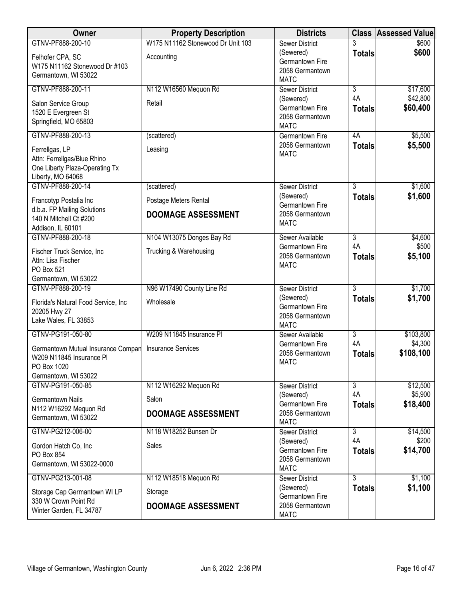| Owner                                                                                                 | <b>Property Description</b>       | <b>Districts</b>                                               |                     | <b>Class Assessed Value</b> |
|-------------------------------------------------------------------------------------------------------|-----------------------------------|----------------------------------------------------------------|---------------------|-----------------------------|
| GTNV-PF888-200-10                                                                                     | W175 N11162 Stonewood Dr Unit 103 | <b>Sewer District</b>                                          |                     | \$600                       |
| Felhofer CPA, SC<br>W175 N11162 Stonewood Dr #103<br>Germantown, WI 53022                             | Accounting                        | (Sewered)<br>Germantown Fire<br>2058 Germantown<br><b>MATC</b> | <b>Totals</b>       | \$600                       |
| GTNV-PF888-200-11                                                                                     | N112 W16560 Mequon Rd             | <b>Sewer District</b>                                          | 3                   | \$17,600                    |
| Salon Service Group<br>1520 E Evergreen St<br>Springfield, MO 65803                                   | Retail                            | (Sewered)<br>Germantown Fire<br>2058 Germantown<br><b>MATC</b> | 4A<br><b>Totals</b> | \$42,800<br>\$60,400        |
| GTNV-PF888-200-13                                                                                     | (scattered)                       | Germantown Fire                                                | 4A                  | \$5,500                     |
| Ferrellgas, LP<br>Attn: Ferrellgas/Blue Rhino<br>One Liberty Plaza-Operating Tx<br>Liberty, MO 64068  | Leasing                           | 2058 Germantown<br><b>MATC</b>                                 | <b>Totals</b>       | \$5,500                     |
| GTNV-PF888-200-14                                                                                     | (scattered)                       | <b>Sewer District</b>                                          | $\overline{3}$      | \$1,600                     |
| Francotyp Postalia Inc<br>d.b.a. FP Mailing Solutions                                                 | Postage Meters Rental             | (Sewered)<br>Germantown Fire                                   | <b>Totals</b>       | \$1,600                     |
| 140 N Mitchell Ct #200<br>Addison, IL 60101                                                           | <b>DOOMAGE ASSESSMENT</b>         | 2058 Germantown<br><b>MATC</b>                                 |                     |                             |
| GTNV-PF888-200-18                                                                                     | N104 W13075 Donges Bay Rd         | Sewer Available                                                | 3                   | \$4,600                     |
| Fischer Truck Service, Inc<br>Attn: Lisa Fischer<br>PO Box 521                                        | Trucking & Warehousing            | Germantown Fire<br>2058 Germantown<br><b>MATC</b>              | 4A<br><b>Totals</b> | \$500<br>\$5,100            |
| Germantown, WI 53022<br>GTNV-PF888-200-19                                                             | N96 W17490 County Line Rd         | <b>Sewer District</b>                                          | $\overline{3}$      | \$1,700                     |
| Florida's Natural Food Service, Inc<br>20205 Hwy 27<br>Lake Wales, FL 33853                           | Wholesale                         | (Sewered)<br>Germantown Fire<br>2058 Germantown<br><b>MATC</b> | <b>Totals</b>       | \$1,700                     |
| GTNV-PG191-050-80                                                                                     | W209 N11845 Insurance PI          | Sewer Available                                                | $\overline{3}$      | \$103,800                   |
| Germantown Mutual Insurance Compan<br>W209 N11845 Insurance PI<br>PO Box 1020<br>Germantown, WI 53022 | <b>Insurance Services</b>         | Germantown Fire<br>2058 Germantown<br><b>MATC</b>              | 4A<br><b>Totals</b> | \$4,300<br>\$108,100        |
| GTNV-PG191-050-85                                                                                     | N112 W16292 Mequon Rd             | <b>Sewer District</b>                                          | $\overline{3}$      | \$12,500                    |
| <b>Germantown Nails</b><br>N112 W16292 Mequon Rd                                                      | Salon                             | (Sewered)<br>Germantown Fire                                   | 4A<br><b>Totals</b> | \$5,900<br>\$18,400         |
| Germantown, WI 53022                                                                                  | <b>DOOMAGE ASSESSMENT</b>         | 2058 Germantown<br><b>MATC</b>                                 |                     |                             |
| GTNV-PG212-006-00                                                                                     | N118 W18252 Bunsen Dr             | <b>Sewer District</b>                                          | $\overline{3}$      | \$14,500                    |
| Gordon Hatch Co, Inc<br>PO Box 854<br>Germantown, WI 53022-0000                                       | Sales                             | (Sewered)<br>Germantown Fire<br>2058 Germantown                | 4A<br><b>Totals</b> | \$200<br>\$14,700           |
| GTNV-PG213-001-08                                                                                     | N112 W18518 Mequon Rd             | <b>MATC</b><br><b>Sewer District</b>                           | $\overline{3}$      | \$1,100                     |
| Storage Cap Germantown WI LP                                                                          | Storage                           | (Sewered)<br>Germantown Fire                                   | <b>Totals</b>       | \$1,100                     |
| 330 W Crown Point Rd<br>Winter Garden, FL 34787                                                       | <b>DOOMAGE ASSESSMENT</b>         | 2058 Germantown<br><b>MATC</b>                                 |                     |                             |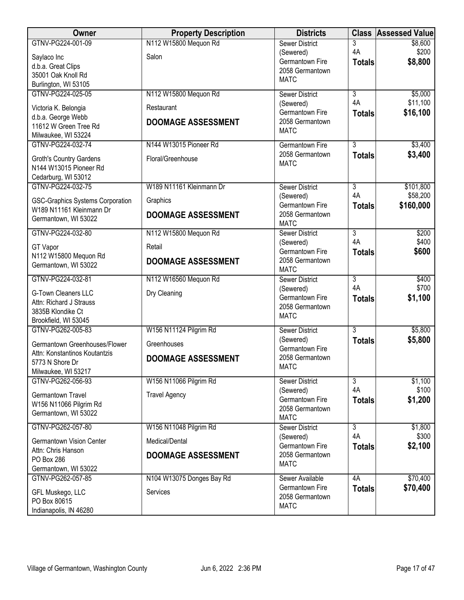| Owner                                   | <b>Property Description</b> | <b>Districts</b>                   | <b>Class</b>   | <b>Assessed Value</b> |
|-----------------------------------------|-----------------------------|------------------------------------|----------------|-----------------------|
| GTNV-PG224-001-09                       | N112 W15800 Mequon Rd       | <b>Sewer District</b>              | 3              | \$8,600               |
| Saylaco Inc                             | Salon                       | (Sewered)                          | 4A             | \$200                 |
| d.b.a. Great Clips                      |                             | Germantown Fire<br>2058 Germantown | <b>Totals</b>  | \$8,800               |
| 35001 Oak Knoll Rd                      |                             | <b>MATC</b>                        |                |                       |
| Burlington, WI 53105                    |                             |                                    |                |                       |
| GTNV-PG224-025-05                       | N112 W15800 Mequon Rd       | <b>Sewer District</b>              | $\overline{3}$ | \$5,000               |
| Victoria K. Belongia                    | Restaurant                  | (Sewered)                          | 4A             | \$11,100              |
| d.b.a. George Webb                      |                             | Germantown Fire<br>2058 Germantown | <b>Totals</b>  | \$16,100              |
| 11612 W Green Tree Rd                   | <b>DOOMAGE ASSESSMENT</b>   | <b>MATC</b>                        |                |                       |
| Milwaukee, WI 53224                     |                             |                                    |                |                       |
| GTNV-PG224-032-74                       | N144 W13015 Pioneer Rd      | Germantown Fire                    | $\overline{3}$ | \$3,400               |
| <b>Groth's Country Gardens</b>          | Floral/Greenhouse           | 2058 Germantown                    | <b>Totals</b>  | \$3,400               |
| N144 W13015 Pioneer Rd                  |                             | <b>MATC</b>                        |                |                       |
| Cedarburg, WI 53012                     |                             |                                    |                |                       |
| GTNV-PG224-032-75                       | W189 N11161 Kleinmann Dr    | <b>Sewer District</b>              | $\overline{3}$ | \$101,800             |
| <b>GSC-Graphics Systems Corporation</b> | Graphics                    | (Sewered)                          | 4A             | \$58,200              |
| W189 N11161 Kleinmann Dr                |                             | Germantown Fire                    | <b>Totals</b>  | \$160,000             |
| Germantown, WI 53022                    | <b>DOOMAGE ASSESSMENT</b>   | 2058 Germantown<br><b>MATC</b>     |                |                       |
| GTNV-PG224-032-80                       | N112 W15800 Mequon Rd       | <b>Sewer District</b>              | 3              | \$200                 |
|                                         |                             | (Sewered)                          | 4A             | \$400                 |
| <b>GT Vapor</b>                         | Retail                      | Germantown Fire                    | <b>Totals</b>  | \$600                 |
| N112 W15800 Mequon Rd                   | <b>DOOMAGE ASSESSMENT</b>   | 2058 Germantown                    |                |                       |
| Germantown, WI 53022                    |                             | <b>MATC</b>                        |                |                       |
| GTNV-PG224-032-81                       | N112 W16560 Mequon Rd       | <b>Sewer District</b>              | 3              | \$400                 |
| <b>G-Town Cleaners LLC</b>              | Dry Cleaning                | (Sewered)                          | 4A             | \$700                 |
| Attn: Richard J Strauss                 |                             | Germantown Fire                    | <b>Totals</b>  | \$1,100               |
| 3835B Klondike Ct                       |                             | 2058 Germantown<br><b>MATC</b>     |                |                       |
| Brookfield, WI 53045                    |                             |                                    |                |                       |
| GTNV-PG262-005-83                       | W156 N11124 Pilgrim Rd      | <b>Sewer District</b>              | 3              | \$5,800               |
| Germantown Greenhouses/Flower           | Greenhouses                 | (Sewered)                          | <b>Totals</b>  | \$5,800               |
| Attn: Konstantinos Koutantzis           |                             | Germantown Fire<br>2058 Germantown |                |                       |
| 5773 N Shore Dr                         | <b>DOOMAGE ASSESSMENT</b>   | <b>MATC</b>                        |                |                       |
| Milwaukee, WI 53217                     |                             |                                    |                |                       |
| GTNV-PG262-056-93                       | W156 N11066 Pilgrim Rd      | <b>Sewer District</b>              | $\overline{3}$ | \$1,100               |
| Germantown Travel                       | <b>Travel Agency</b>        | (Sewered)                          | 4A             | \$100                 |
| W156 N11066 Pilgrim Rd                  |                             | Germantown Fire<br>2058 Germantown | <b>Totals</b>  | \$1,200               |
| Germantown, WI 53022                    |                             | <b>MATC</b>                        |                |                       |
| GTNV-PG262-057-80                       | W156 N11048 Pilgrim Rd      | <b>Sewer District</b>              | $\overline{3}$ | \$1,800               |
|                                         |                             | (Sewered)                          | 4A             | \$300                 |
| <b>Germantown Vision Center</b>         | Medical/Dental              | Germantown Fire                    | <b>Totals</b>  | \$2,100               |
| Attn: Chris Hanson<br>PO Box 286        | <b>DOOMAGE ASSESSMENT</b>   | 2058 Germantown                    |                |                       |
| Germantown, WI 53022                    |                             | <b>MATC</b>                        |                |                       |
| GTNV-PG262-057-85                       | N104 W13075 Donges Bay Rd   | Sewer Available                    | 4A             | \$70,400              |
|                                         |                             | Germantown Fire                    | <b>Totals</b>  | \$70,400              |
| GFL Muskego, LLC<br>PO Box 80615        | Services                    | 2058 Germantown                    |                |                       |
| Indianapolis, IN 46280                  |                             | <b>MATC</b>                        |                |                       |
|                                         |                             |                                    |                |                       |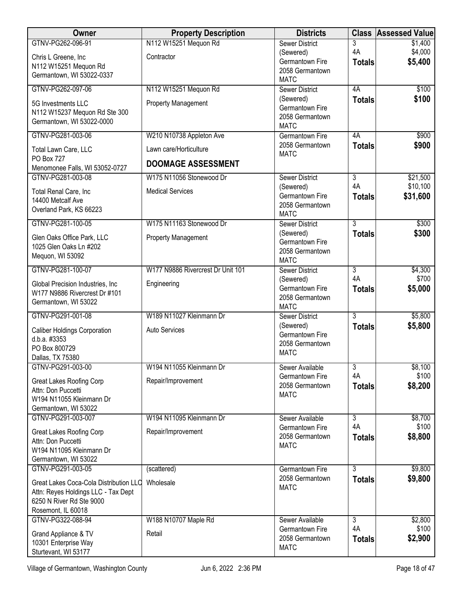| Owner                                          | <b>Property Description</b>       | <b>Districts</b>                      | <b>Class</b>                    | <b>Assessed Value</b> |
|------------------------------------------------|-----------------------------------|---------------------------------------|---------------------------------|-----------------------|
| GTNV-PG262-096-91                              | N112 W15251 Mequon Rd             | <b>Sewer District</b>                 | 3                               | \$1,400               |
| Chris L Greene, Inc                            | Contractor                        | (Sewered)                             | 4A                              | \$4,000               |
| N112 W15251 Mequon Rd                          |                                   | Germantown Fire<br>2058 Germantown    | <b>Totals</b>                   | \$5,400               |
| Germantown, WI 53022-0337                      |                                   | <b>MATC</b>                           |                                 |                       |
| GTNV-PG262-097-06                              | N112 W15251 Mequon Rd             | <b>Sewer District</b>                 | 4A                              | \$100                 |
| 5G Investments LLC                             | <b>Property Management</b>        | (Sewered)                             | <b>Totals</b>                   | \$100                 |
| N112 W15237 Mequon Rd Ste 300                  |                                   | Germantown Fire                       |                                 |                       |
| Germantown, WI 53022-0000                      |                                   | 2058 Germantown                       |                                 |                       |
| GTNV-PG281-003-06                              | W210 N10738 Appleton Ave          | <b>MATC</b><br><b>Germantown Fire</b> | 4A                              | \$900                 |
|                                                |                                   | 2058 Germantown                       | <b>Totals</b>                   | \$900                 |
| Total Lawn Care, LLC<br>PO Box 727             | Lawn care/Horticulture            | <b>MATC</b>                           |                                 |                       |
| Menomonee Falls, WI 53052-0727                 | <b>DOOMAGE ASSESSMENT</b>         |                                       |                                 |                       |
| GTNV-PG281-003-08                              | W175 N11056 Stonewood Dr          | <b>Sewer District</b>                 | $\overline{3}$                  | \$21,500              |
|                                                | <b>Medical Services</b>           | (Sewered)                             | 4A                              | \$10,100              |
| Total Renal Care, Inc<br>14400 Metcalf Ave     |                                   | Germantown Fire                       | <b>Totals</b>                   | \$31,600              |
| Overland Park, KS 66223                        |                                   | 2058 Germantown                       |                                 |                       |
|                                                |                                   | <b>MATC</b>                           |                                 |                       |
| GTNV-PG281-100-05                              | W175 N11163 Stonewood Dr          | <b>Sewer District</b><br>(Sewered)    | $\overline{3}$<br><b>Totals</b> | \$300<br>\$300        |
| Glen Oaks Office Park, LLC                     | <b>Property Management</b>        | Germantown Fire                       |                                 |                       |
| 1025 Glen Oaks Ln #202                         |                                   | 2058 Germantown                       |                                 |                       |
| Mequon, WI 53092                               |                                   | <b>MATC</b>                           |                                 |                       |
| GTNV-PG281-100-07                              | W177 N9886 Rivercrest Dr Unit 101 | <b>Sewer District</b>                 | 3                               | \$4,300               |
| Global Precision Industries, Inc.              | Engineering                       | (Sewered)                             | 4A                              | \$700                 |
| W177 N9886 Rivercrest Dr #101                  |                                   | Germantown Fire<br>2058 Germantown    | <b>Totals</b>                   | \$5,000               |
| Germantown, WI 53022                           |                                   | <b>MATC</b>                           |                                 |                       |
| GTNV-PG291-001-08                              | W189 N11027 Kleinmann Dr          | <b>Sewer District</b>                 | $\overline{3}$                  | \$5,800               |
| <b>Caliber Holdings Corporation</b>            | Auto Services                     | (Sewered)                             | <b>Totals</b>                   | \$5,800               |
| d.b.a. #3353                                   |                                   | Germantown Fire                       |                                 |                       |
| PO Box 800729                                  |                                   | 2058 Germantown<br><b>MATC</b>        |                                 |                       |
| Dallas, TX 75380                               |                                   |                                       |                                 |                       |
| GTNV-PG291-003-00                              | W194 N11055 Kleinmann Dr          | Sewer Available                       | $\overline{3}$                  | \$8,100               |
| Great Lakes Roofing Corp                       | Repair/Improvement                | Germantown Fire<br>2058 Germantown    | 4A                              | \$100<br>\$8,200      |
| Attn: Don Puccetti                             |                                   | <b>MATC</b>                           | <b>Totals</b>                   |                       |
| W194 N11055 Kleinmann Dr                       |                                   |                                       |                                 |                       |
| Germantown, WI 53022<br>GTNV-PG291-003-007     | W194 N11095 Kleinmann Dr          | Sewer Available                       | $\overline{3}$                  | \$8,700               |
|                                                |                                   | Germantown Fire                       | 4A                              | \$100                 |
| Great Lakes Roofing Corp                       | Repair/Improvement                | 2058 Germantown                       | <b>Totals</b>                   | \$8,800               |
| Attn: Don Puccetti<br>W194 N11095 Kleinmann Dr |                                   | <b>MATC</b>                           |                                 |                       |
| Germantown, WI 53022                           |                                   |                                       |                                 |                       |
| GTNV-PG291-003-05                              | (scattered)                       | Germantown Fire                       | 3                               | \$9,800               |
| Great Lakes Coca-Cola Distribution LLC         | Wholesale                         | 2058 Germantown                       | <b>Totals</b>                   | \$9,800               |
| Attn: Reyes Holdings LLC - Tax Dept            |                                   | <b>MATC</b>                           |                                 |                       |
| 6250 N River Rd Ste 9000                       |                                   |                                       |                                 |                       |
| Rosemont, IL 60018                             |                                   |                                       |                                 |                       |
| GTNV-PG322-088-94                              | W188 N10707 Maple Rd              | Sewer Available                       | 3                               | \$2,800               |
| Grand Appliance & TV                           | Retail                            | Germantown Fire<br>2058 Germantown    | 4A                              | \$100                 |
| 10301 Enterprise Way                           |                                   | <b>MATC</b>                           | <b>Totals</b>                   | \$2,900               |
| Sturtevant, WI 53177                           |                                   |                                       |                                 |                       |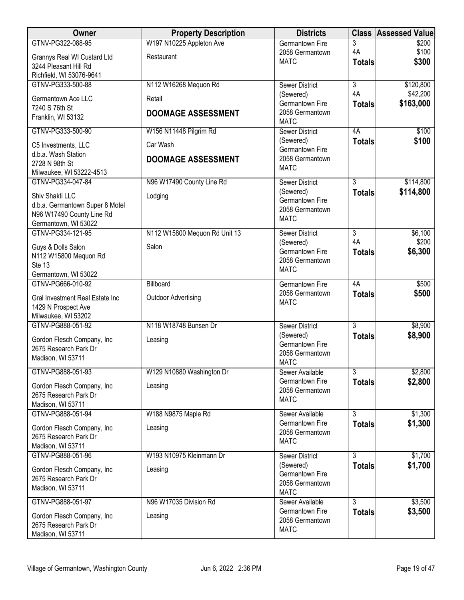| <b>Owner</b>                                  | <b>Property Description</b>   | <b>Districts</b>                   |                | <b>Class Assessed Value</b> |
|-----------------------------------------------|-------------------------------|------------------------------------|----------------|-----------------------------|
| GTNV-PG322-088-95                             | W197 N10225 Appleton Ave      | <b>Germantown Fire</b>             | 3              | \$200                       |
| Grannys Real WI Custard Ltd                   | Restaurant                    | 2058 Germantown<br><b>MATC</b>     | 4A             | \$100<br>\$300              |
| 3244 Pleasant Hill Rd                         |                               |                                    | <b>Totals</b>  |                             |
| Richfield, WI 53076-9641<br>GTNV-PG333-500-88 | N112 W16268 Mequon Rd         |                                    | $\overline{3}$ |                             |
|                                               |                               | <b>Sewer District</b><br>(Sewered) | 4A             | \$120,800<br>\$42,200       |
| Germantown Ace LLC                            | Retail                        | Germantown Fire                    | <b>Totals</b>  | \$163,000                   |
| 7240 S 76th St<br>Franklin, WI 53132          | <b>DOOMAGE ASSESSMENT</b>     | 2058 Germantown                    |                |                             |
|                                               |                               | <b>MATC</b>                        |                |                             |
| GTNV-PG333-500-90                             | W156 N11448 Pilgrim Rd        | <b>Sewer District</b>              | 4A             | \$100                       |
| C5 Investments, LLC                           | Car Wash                      | (Sewered)<br>Germantown Fire       | <b>Totals</b>  | \$100                       |
| d.b.a. Wash Station<br>2728 N 98th St         | <b>DOOMAGE ASSESSMENT</b>     | 2058 Germantown                    |                |                             |
| Milwaukee, WI 53222-4513                      |                               | <b>MATC</b>                        |                |                             |
| GTNV-PG334-047-84                             | N96 W17490 County Line Rd     | <b>Sewer District</b>              | $\overline{3}$ | \$114,800                   |
| Shiv Shakti LLC                               | Lodging                       | (Sewered)                          | <b>Totals</b>  | \$114,800                   |
| d.b.a. Germantown Super 8 Motel               |                               | Germantown Fire                    |                |                             |
| N96 W17490 County Line Rd                     |                               | 2058 Germantown<br><b>MATC</b>     |                |                             |
| Germantown, WI 53022                          |                               |                                    |                |                             |
| GTNV-PG334-121-95                             | N112 W15800 Mequon Rd Unit 13 | <b>Sewer District</b>              | 3<br>4A        | \$6,100<br>\$200            |
| Guys & Dolls Salon                            | Salon                         | (Sewered)<br>Germantown Fire       | <b>Totals</b>  | \$6,300                     |
| N112 W15800 Mequon Rd                         |                               | 2058 Germantown                    |                |                             |
| Ste 13<br>Germantown, WI 53022                |                               | <b>MATC</b>                        |                |                             |
| GTNV-PG666-010-92                             | Billboard                     | Germantown Fire                    | 4A             | \$500                       |
| Gral Investment Real Estate Inc               | <b>Outdoor Advertising</b>    | 2058 Germantown                    | <b>Totals</b>  | \$500                       |
| 1429 N Prospect Ave                           |                               | <b>MATC</b>                        |                |                             |
| Milwaukee, WI 53202                           |                               |                                    |                |                             |
| GTNV-PG888-051-92                             | N118 W18748 Bunsen Dr         | <b>Sewer District</b>              | $\overline{3}$ | \$8,900                     |
| Gordon Flesch Company, Inc.                   | Leasing                       | (Sewered)<br>Germantown Fire       | <b>Totals</b>  | \$8,900                     |
| 2675 Research Park Dr                         |                               | 2058 Germantown                    |                |                             |
| Madison, WI 53711                             |                               | <b>MATC</b>                        |                |                             |
| GTNV-PG888-051-93                             | W129 N10880 Washington Dr     | Sewer Available                    | $\overline{3}$ | \$2,800                     |
| Gordon Flesch Company, Inc                    | Leasing                       | Germantown Fire<br>2058 Germantown | <b>Totals</b>  | \$2,800                     |
| 2675 Research Park Dr                         |                               | <b>MATC</b>                        |                |                             |
| Madison, WI 53711                             |                               |                                    | $\overline{3}$ |                             |
| GTNV-PG888-051-94                             | W188 N9875 Maple Rd           | Sewer Available<br>Germantown Fire | <b>Totals</b>  | \$1,300<br>\$1,300          |
| Gordon Flesch Company, Inc                    | Leasing                       | 2058 Germantown                    |                |                             |
| 2675 Research Park Dr<br>Madison, WI 53711    |                               | <b>MATC</b>                        |                |                             |
| GTNV-PG888-051-96                             | W193 N10975 Kleinmann Dr      | Sewer District                     | $\overline{3}$ | \$1,700                     |
| Gordon Flesch Company, Inc                    | Leasing                       | (Sewered)                          | <b>Totals</b>  | \$1,700                     |
| 2675 Research Park Dr                         |                               | Germantown Fire                    |                |                             |
| Madison, WI 53711                             |                               | 2058 Germantown<br><b>MATC</b>     |                |                             |
| GTNV-PG888-051-97                             | N96 W17035 Division Rd        | Sewer Available                    | 3              | \$3,500                     |
| Gordon Flesch Company, Inc                    | Leasing                       | Germantown Fire                    | <b>Totals</b>  | \$3,500                     |
| 2675 Research Park Dr                         |                               | 2058 Germantown                    |                |                             |
| Madison, WI 53711                             |                               | <b>MATC</b>                        |                |                             |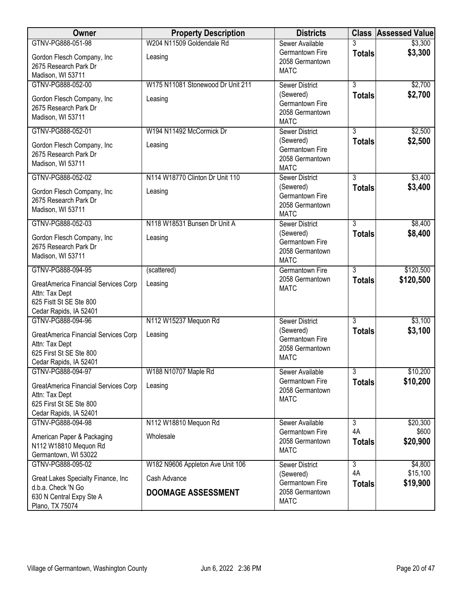| Owner                                                                                                       | <b>Property Description</b>               | <b>Districts</b>                                               |                     | <b>Class Assessed Value</b> |
|-------------------------------------------------------------------------------------------------------------|-------------------------------------------|----------------------------------------------------------------|---------------------|-----------------------------|
| GTNV-PG888-051-98                                                                                           | W204 N11509 Goldendale Rd                 | Sewer Available                                                | 3                   | \$3,300                     |
| Gordon Flesch Company, Inc<br>2675 Research Park Dr<br>Madison, WI 53711                                    | Leasing                                   | Germantown Fire<br>2058 Germantown<br><b>MATC</b>              | <b>Totals</b>       | \$3,300                     |
| GTNV-PG888-052-00                                                                                           | W175 N11081 Stonewood Dr Unit 211         | <b>Sewer District</b>                                          | $\overline{3}$      | \$2,700                     |
| Gordon Flesch Company, Inc<br>2675 Research Park Dr<br>Madison, WI 53711                                    | Leasing                                   | (Sewered)<br>Germantown Fire<br>2058 Germantown<br><b>MATC</b> | <b>Totals</b>       | \$2,700                     |
| GTNV-PG888-052-01                                                                                           | W194 N11492 McCormick Dr                  | <b>Sewer District</b>                                          | $\overline{3}$      | \$2,500                     |
| Gordon Flesch Company, Inc<br>2675 Research Park Dr<br>Madison, WI 53711                                    | Leasing                                   | (Sewered)<br>Germantown Fire<br>2058 Germantown<br><b>MATC</b> | <b>Totals</b>       | \$2,500                     |
| GTNV-PG888-052-02                                                                                           | N114 W18770 Clinton Dr Unit 110           | <b>Sewer District</b>                                          | 3                   | \$3,400                     |
| Gordon Flesch Company, Inc<br>2675 Research Park Dr<br>Madison, WI 53711                                    | Leasing                                   | (Sewered)<br>Germantown Fire<br>2058 Germantown<br><b>MATC</b> | <b>Totals</b>       | \$3,400                     |
| GTNV-PG888-052-03                                                                                           | N118 W18531 Bunsen Dr Unit A              | <b>Sewer District</b>                                          | $\overline{3}$      | \$8,400                     |
| Gordon Flesch Company, Inc<br>2675 Research Park Dr<br>Madison, WI 53711                                    | Leasing                                   | (Sewered)<br>Germantown Fire<br>2058 Germantown<br><b>MATC</b> | <b>Totals</b>       | \$8,400                     |
| GTNV-PG888-094-95                                                                                           | (scattered)                               | <b>Germantown Fire</b>                                         | 3                   | \$120,500                   |
| GreatAmerica Financial Services Corp<br>Attn: Tax Dept<br>625 Fistt St SE Ste 800<br>Cedar Rapids, IA 52401 | Leasing                                   | 2058 Germantown<br><b>MATC</b>                                 | <b>Totals</b>       | \$120,500                   |
| GTNV-PG888-094-96                                                                                           | N112 W15237 Mequon Rd                     | <b>Sewer District</b>                                          | $\overline{3}$      | \$3,100                     |
| GreatAmerica Financial Services Corp<br>Attn: Tax Dept<br>625 First St SE Ste 800<br>Cedar Rapids, IA 52401 | Leasing                                   | (Sewered)<br>Germantown Fire<br>2058 Germantown<br><b>MATC</b> | <b>Totals</b>       | \$3,100                     |
| GTNV-PG888-094-97                                                                                           | W188 N10707 Maple Rd                      | Sewer Available                                                | $\overline{3}$      | \$10,200                    |
| GreatAmerica Financial Services Corp<br>Attn: Tax Dept<br>625 First St SE Ste 800<br>Cedar Rapids, IA 52401 | Leasing                                   | Germantown Fire<br>2058 Germantown<br><b>MATC</b>              | <b>Totals</b>       | \$10,200                    |
| GTNV-PG888-094-98                                                                                           | N112 W18810 Mequon Rd                     | Sewer Available                                                | 3                   | \$20,300                    |
| American Paper & Packaging<br>N112 W18810 Mequon Rd<br>Germantown, WI 53022                                 | Wholesale                                 | Germantown Fire<br>2058 Germantown<br><b>MATC</b>              | 4A<br><b>Totals</b> | \$600<br>\$20,900           |
| GTNV-PG888-095-02                                                                                           | W182 N9606 Appleton Ave Unit 106          | <b>Sewer District</b>                                          | 3                   | \$4,800                     |
| Great Lakes Specialty Finance, Inc<br>d.b.a. Check 'N Go<br>630 N Central Expy Ste A<br>Plano, TX 75074     | Cash Advance<br><b>DOOMAGE ASSESSMENT</b> | (Sewered)<br>Germantown Fire<br>2058 Germantown<br><b>MATC</b> | 4A<br><b>Totals</b> | \$15,100<br>\$19,900        |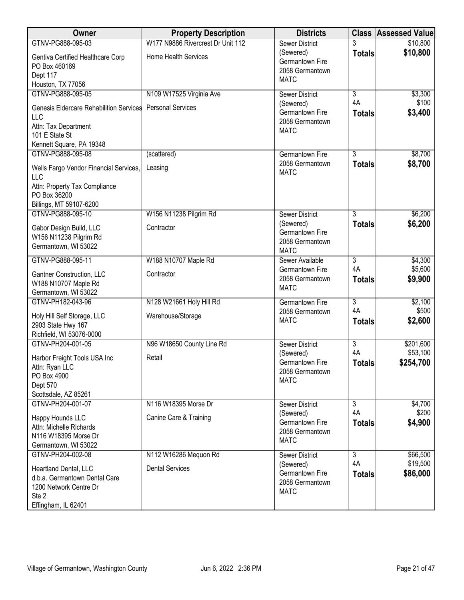| <b>Owner</b>                                                                                                     | <b>Property Description</b>       | <b>Districts</b>                                               | <b>Class</b>        | <b>Assessed Value</b> |
|------------------------------------------------------------------------------------------------------------------|-----------------------------------|----------------------------------------------------------------|---------------------|-----------------------|
| GTNV-PG888-095-03                                                                                                | W177 N9886 Rivercrest Dr Unit 112 | <b>Sewer District</b>                                          |                     | \$10,800              |
| Gentiva Certified Healthcare Corp<br>PO Box 460169<br>Dept 117                                                   | <b>Home Health Services</b>       | (Sewered)<br>Germantown Fire<br>2058 Germantown                | <b>Totals</b>       | \$10,800              |
| Houston, TX 77056                                                                                                |                                   | <b>MATC</b>                                                    |                     |                       |
| GTNV-PG888-095-05                                                                                                | N109 W17525 Virginia Ave          | <b>Sewer District</b>                                          | $\overline{3}$      | \$3,300               |
| <b>Genesis Eldercare Rehabilition Services</b><br>LLC<br>Attn: Tax Department<br>101 E State St                  | <b>Personal Services</b>          | (Sewered)<br>Germantown Fire<br>2058 Germantown<br><b>MATC</b> | 4A<br><b>Totals</b> | \$100<br>\$3,400      |
| Kennett Square, PA 19348                                                                                         |                                   |                                                                |                     |                       |
| GTNV-PG888-095-08                                                                                                | (scattered)                       | Germantown Fire                                                | $\overline{3}$      | \$8,700               |
| Wells Fargo Vendor Financial Services,<br>LLC                                                                    | Leasing                           | 2058 Germantown<br><b>MATC</b>                                 | <b>Totals</b>       | \$8,700               |
| Attn: Property Tax Compliance<br>PO Box 36200<br>Billings, MT 59107-6200                                         |                                   |                                                                |                     |                       |
| GTNV-PG888-095-10                                                                                                | W156 N11238 Pilgrim Rd            | <b>Sewer District</b>                                          | $\overline{3}$      | \$6,200               |
| Gabor Design Build, LLC<br>W156 N11238 Pilgrim Rd<br>Germantown, WI 53022                                        | Contractor                        | (Sewered)<br>Germantown Fire<br>2058 Germantown<br><b>MATC</b> | <b>Totals</b>       | \$6,200               |
| GTNV-PG888-095-11                                                                                                | W188 N10707 Maple Rd              | Sewer Available                                                | 3                   | \$4,300               |
| Gantner Construction, LLC<br>W188 N10707 Maple Rd<br>Germantown, WI 53022                                        | Contractor                        | Germantown Fire<br>2058 Germantown<br><b>MATC</b>              | 4A<br><b>Totals</b> | \$5,600<br>\$9,900    |
| GTNV-PH182-043-96                                                                                                | N128 W21661 Holy Hill Rd          | Germantown Fire                                                | $\overline{3}$      | \$2,100               |
| Holy Hill Self Storage, LLC<br>2903 State Hwy 167<br>Richfield, WI 53076-0000                                    | Warehouse/Storage                 | 2058 Germantown<br><b>MATC</b>                                 | 4A<br><b>Totals</b> | \$500<br>\$2,600      |
| GTNV-PH204-001-05                                                                                                | N96 W18650 County Line Rd         | <b>Sewer District</b>                                          | $\overline{3}$      | \$201,600             |
| Harbor Freight Tools USA Inc<br>Attn: Ryan LLC<br>PO Box 4900<br>Dept 570<br>Scottsdale, AZ 85261                | Retail                            | (Sewered)<br>Germantown Fire<br>2058 Germantown<br><b>MATC</b> | 4A<br><b>Totals</b> | \$53,100<br>\$254,700 |
| GTNV-PH204-001-07                                                                                                | N116 W18395 Morse Dr              | <b>Sewer District</b>                                          | $\overline{3}$      | \$4,700               |
| Happy Hounds LLC<br>Attn: Michelle Richards<br>N116 W18395 Morse Dr<br>Germantown, WI 53022                      | Canine Care & Training            | (Sewered)<br>Germantown Fire<br>2058 Germantown<br><b>MATC</b> | 4A<br><b>Totals</b> | \$200<br>\$4,900      |
| GTNV-PH204-002-08                                                                                                | N112 W16286 Mequon Rd             | <b>Sewer District</b>                                          | $\overline{3}$      | \$66,500              |
| Heartland Dental, LLC<br>d.b.a. Germantown Dental Care<br>1200 Network Centre Dr<br>Ste 2<br>Effingham, IL 62401 | <b>Dental Services</b>            | (Sewered)<br>Germantown Fire<br>2058 Germantown<br><b>MATC</b> | 4A<br><b>Totals</b> | \$19,500<br>\$86,000  |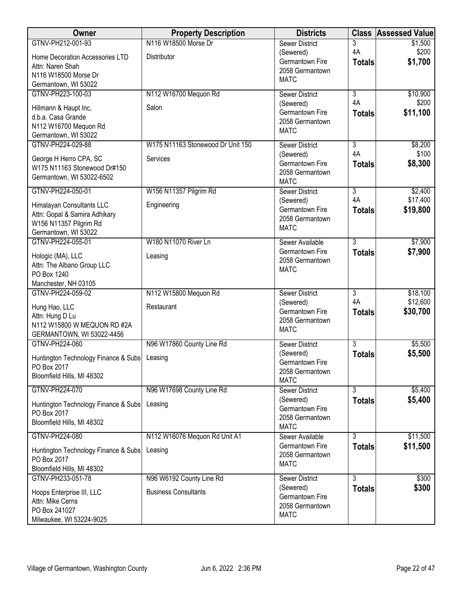| Owner                                     | <b>Property Description</b>       | <b>Districts</b>                   |                           | <b>Class Assessed Value</b> |
|-------------------------------------------|-----------------------------------|------------------------------------|---------------------------|-----------------------------|
| GTNV-PH212-001-93                         | N116 W18500 Morse Dr              | <b>Sewer District</b>              | 3                         | \$1,500                     |
| Home Decoration Accessories LTD           | Distributor                       | (Sewered)                          | 4A                        | \$200                       |
| Attn: Naren Shah                          |                                   | Germantown Fire<br>2058 Germantown | <b>Totals</b>             | \$1,700                     |
| N116 W18500 Morse Dr                      |                                   | <b>MATC</b>                        |                           |                             |
| Germantown, WI 53022                      |                                   |                                    |                           |                             |
| GTNV-PH223-100-03                         | N112 W16700 Mequon Rd             | <b>Sewer District</b>              | $\overline{\overline{3}}$ | \$10,900                    |
| Hillmann & Haupt Inc,                     | Salon                             | (Sewered)                          | 4A                        | \$200                       |
| d.b.a. Casa Grande                        |                                   | Germantown Fire                    | <b>Totals</b>             | \$11,100                    |
| N112 W16700 Mequon Rd                     |                                   | 2058 Germantown                    |                           |                             |
| Germantown, WI 53022                      |                                   | <b>MATC</b>                        |                           |                             |
| GTNV-PH224-029-88                         | W175 N11163 Stonewood Dr Unit 150 | <b>Sewer District</b>              | $\overline{3}$            | \$8,200                     |
| George H Herro CPA, SC                    | Services                          | (Sewered)                          | 4A                        | \$100                       |
| W175 N11163 Stonewood Dr#150              |                                   | Germantown Fire                    | <b>Totals</b>             | \$8,300                     |
| Germantown, WI 53022-6502                 |                                   | 2058 Germantown                    |                           |                             |
|                                           |                                   | <b>MATC</b>                        |                           |                             |
| GTNV-PH224-050-01                         | W156 N11357 Pilgrim Rd            | Sewer District                     | $\overline{3}$<br>4A      | \$2,400<br>\$17,400         |
| Himalayan Consultants LLC                 | Engineering                       | (Sewered)<br>Germantown Fire       |                           | \$19,800                    |
| Attn: Gopal & Samira Adhikary             |                                   | 2058 Germantown                    | <b>Totals</b>             |                             |
| W156 N11357 Pilgrim Rd                    |                                   | <b>MATC</b>                        |                           |                             |
| Germantown, WI 53022                      |                                   |                                    |                           |                             |
| GTNV-PH224-055-01                         | W180 N11070 River Ln              | Sewer Available                    | 3                         | \$7,900                     |
| Hologic (MA), LLC                         | Leasing                           | Germantown Fire<br>2058 Germantown | <b>Totals</b>             | \$7,900                     |
| Attn: The Albano Group LLC                |                                   | <b>MATC</b>                        |                           |                             |
| PO Box 1240                               |                                   |                                    |                           |                             |
| Manchester, NH 03105                      |                                   |                                    |                           |                             |
| GTNV-PH224-059-02                         | N112 W15800 Mequon Rd             | <b>Sewer District</b>              | $\overline{3}$            | \$18,100                    |
| Hung Hao, LLC                             | Restaurant                        | (Sewered)                          | 4A                        | \$12,600                    |
| Attn: Hung D Lu                           |                                   | Germantown Fire<br>2058 Germantown | <b>Totals</b>             | \$30,700                    |
| N112 W15800 W MEQUON RD #2A               |                                   | <b>MATC</b>                        |                           |                             |
| GERMANTOWN, WI 53022-4456                 |                                   |                                    |                           |                             |
| GTNV-PH224-060                            | N96 W17860 County Line Rd         | <b>Sewer District</b>              | $\overline{3}$            | \$5,500                     |
| Huntington Technology Finance & Subs      | Leasing                           | (Sewered)                          | <b>Totals</b>             | \$5,500                     |
| PO Box 2017                               |                                   | Germantown Fire<br>2058 Germantown |                           |                             |
| Bloomfield Hills, MI 48302                |                                   | <b>MATC</b>                        |                           |                             |
| GTNV-PH224-070                            | N96 W17698 County Line Rd         | Sewer District                     | $\overline{3}$            | \$5,400                     |
|                                           |                                   | (Sewered)                          | <b>Totals</b>             | \$5,400                     |
| Huntington Technology Finance & Subs      | Leasing                           | Germantown Fire                    |                           |                             |
| PO Box 2017<br>Bloomfield Hills, MI 48302 |                                   | 2058 Germantown                    |                           |                             |
|                                           |                                   | <b>MATC</b>                        |                           |                             |
| GTNV-PH224-080                            | N112 W16076 Mequon Rd Unit A1     | Sewer Available                    | $\overline{3}$            | \$11,500                    |
| Huntington Technology Finance & Subs      | Leasing                           | Germantown Fire                    | <b>Totals</b>             | \$11,500                    |
| PO Box 2017                               |                                   | 2058 Germantown                    |                           |                             |
| Bloomfield Hills, MI 48302                |                                   | <b>MATC</b>                        |                           |                             |
| GTNV-PH233-051-78                         | N96 W6192 County Line Rd          | Sewer District                     | 3                         | \$300                       |
| Hoops Enterprise III, LLC                 | <b>Business Consultants</b>       | (Sewered)                          | <b>Totals</b>             | \$300                       |
| Attn: Mike Cerns                          |                                   | Germantown Fire                    |                           |                             |
| PO Box 241027                             |                                   | 2058 Germantown                    |                           |                             |
| Milwaukee, WI 53224-9025                  |                                   | <b>MATC</b>                        |                           |                             |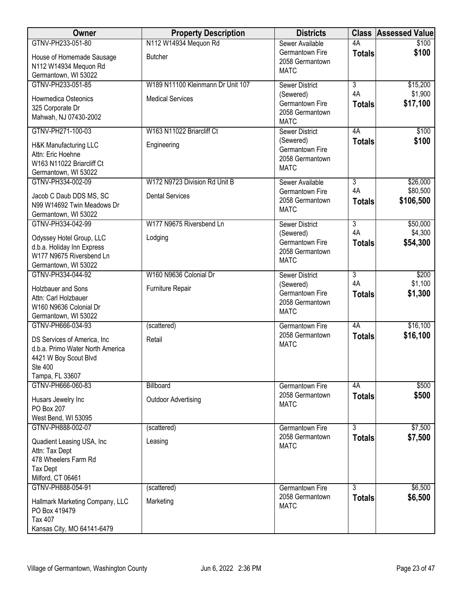| Owner                                                                                                                  | <b>Property Description</b>       | <b>Districts</b>                                               |                     | <b>Class Assessed Value</b> |
|------------------------------------------------------------------------------------------------------------------------|-----------------------------------|----------------------------------------------------------------|---------------------|-----------------------------|
| GTNV-PH233-051-80                                                                                                      | N112 W14934 Mequon Rd             | Sewer Available                                                | 4A                  | \$100                       |
| House of Homemade Sausage<br>N112 W14934 Mequon Rd<br>Germantown, WI 53022                                             | <b>Butcher</b>                    | Germantown Fire<br>2058 Germantown<br><b>MATC</b>              | <b>Totals</b>       | \$100                       |
| GTNV-PH233-051-85                                                                                                      | W189 N11100 Kleinmann Dr Unit 107 | <b>Sewer District</b>                                          | $\overline{3}$      | \$15,200                    |
| Howmedica Osteonics<br>325 Corporate Dr<br>Mahwah, NJ 07430-2002                                                       | <b>Medical Services</b>           | (Sewered)<br>Germantown Fire<br>2058 Germantown<br><b>MATC</b> | 4A<br><b>Totals</b> | \$1,900<br>\$17,100         |
| GTNV-PH271-100-03                                                                                                      | W163 N11022 Briarcliff Ct         | <b>Sewer District</b>                                          | 4A                  | \$100                       |
| H&K Manufacturing LLC<br>Attn: Eric Hoehne<br>W163 N11022 Briarcliff Ct<br>Germantown, WI 53022                        | Engineering                       | (Sewered)<br>Germantown Fire<br>2058 Germantown<br><b>MATC</b> | <b>Totals</b>       | \$100                       |
| GTNV-PH334-002-09                                                                                                      | W172 N9723 Division Rd Unit B     | Sewer Available                                                | $\overline{3}$      | \$26,000                    |
| Jacob C Daub DDS MS, SC<br>N99 W14692 Twin Meadows Dr<br>Germantown, WI 53022                                          | <b>Dental Services</b>            | Germantown Fire<br>2058 Germantown<br><b>MATC</b>              | 4A<br><b>Totals</b> | \$80,500<br>\$106,500       |
| GTNV-PH334-042-99                                                                                                      | W177 N9675 Riversbend Ln          | <b>Sewer District</b>                                          | $\overline{3}$      | \$50,000                    |
| Odyssey Hotel Group, LLC<br>d.b.a. Holiday Inn Express<br>W177 N9675 Riversbend Ln<br>Germantown, WI 53022             | Lodging                           | (Sewered)<br>Germantown Fire<br>2058 Germantown<br><b>MATC</b> | 4A<br><b>Totals</b> | \$4,300<br>\$54,300         |
| GTNV-PH334-044-92                                                                                                      | W160 N9636 Colonial Dr            | <b>Sewer District</b>                                          | $\overline{3}$      | \$200                       |
| Holzbauer and Sons<br>Attn: Carl Holzbauer<br>W160 N9636 Colonial Dr<br>Germantown, WI 53022                           | Furniture Repair                  | (Sewered)<br>Germantown Fire<br>2058 Germantown<br><b>MATC</b> | 4A<br><b>Totals</b> | \$1,100<br>\$1,300          |
| GTNV-PH666-034-93                                                                                                      | (scattered)                       | <b>Germantown Fire</b>                                         | 4A                  | \$16,100                    |
| DS Services of America, Inc<br>d.b.a. Primo Water North America<br>4421 W Boy Scout Blvd<br>Ste 400<br>Tampa, FL 33607 | Retail                            | 2058 Germantown<br><b>MATC</b>                                 | <b>Totals</b>       | \$16,100                    |
| GTNV-PH666-060-83                                                                                                      | Billboard                         | <b>Germantown Fire</b>                                         | 4A                  | \$500                       |
| Husars Jewelry Inc<br>PO Box 207<br>West Bend, WI 53095                                                                | <b>Outdoor Advertising</b>        | 2058 Germantown<br><b>MATC</b>                                 | <b>Totals</b>       | \$500                       |
| GTNV-PH888-002-07                                                                                                      | (scattered)                       | Germantown Fire                                                | $\overline{3}$      | \$7,500                     |
| Quadient Leasing USA, Inc.<br>Attn: Tax Dept<br>478 Wheelers Farm Rd<br><b>Tax Dept</b><br>Milford, CT 06461           | Leasing                           | 2058 Germantown<br><b>MATC</b>                                 | <b>Totals</b>       | \$7,500                     |
| GTNV-PH888-054-91                                                                                                      | (scattered)                       | <b>Germantown Fire</b>                                         | $\overline{3}$      | \$6,500                     |
| Hallmark Marketing Company, LLC<br>PO Box 419479<br>Tax 407<br>Kansas City, MO 64141-6479                              | Marketing                         | 2058 Germantown<br><b>MATC</b>                                 | <b>Totals</b>       | \$6,500                     |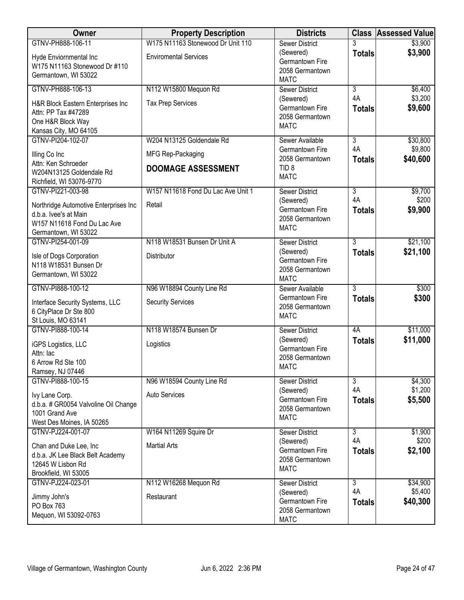| Owner                                                                                                                 | <b>Property Description</b>        | <b>Districts</b>                                               |                      | <b>Class Assessed Value</b> |
|-----------------------------------------------------------------------------------------------------------------------|------------------------------------|----------------------------------------------------------------|----------------------|-----------------------------|
| GTNV-PH888-106-11                                                                                                     | W175 N11163 Stonewood Dr Unit 110  | <b>Sewer District</b>                                          | 3                    | \$3,900                     |
| Hyde Enviornmental Inc<br>W175 N11163 Stonewood Dr #110<br>Germantown, WI 53022                                       | <b>Enviromental Services</b>       | (Sewered)<br>Germantown Fire<br>2058 Germantown<br><b>MATC</b> | <b>Totals</b>        | \$3,900                     |
| GTNV-PH888-106-13                                                                                                     | N112 W15800 Mequon Rd              | <b>Sewer District</b>                                          | 3                    | \$6,400                     |
| H&R Block Eastern Enterprises Inc<br>Attn: PP Tax #47289<br>One H&R Block Way<br>Kansas City, MO 64105                | <b>Tax Prep Services</b>           | (Sewered)<br>Germantown Fire<br>2058 Germantown<br><b>MATC</b> | 4A<br><b>Totals</b>  | \$3,200<br>\$9,600          |
| GTNV-PI204-102-07                                                                                                     | W204 N13125 Goldendale Rd          | Sewer Available                                                | $\overline{3}$       | \$30,800                    |
| Illing Co Inc                                                                                                         | MFG Rep-Packaging                  | Germantown Fire<br>2058 Germantown                             | 4A<br><b>Totals</b>  | \$9,800<br>\$40,600         |
| Attn: Ken Schroeder<br>W204N13125 Goldendale Rd<br>Richfield, WI 53076-9770                                           | <b>DOOMAGE ASSESSMENT</b>          | TID <sub>8</sub><br><b>MATC</b>                                |                      |                             |
| GTNV-PI221-003-98                                                                                                     | W157 N11618 Fond Du Lac Ave Unit 1 | <b>Sewer District</b>                                          | $\overline{3}$       | \$9,700                     |
| Northridge Automotive Enterprises Inc<br>d.b.a. Ivee's at Main<br>W157 N11618 Fond Du Lac Ave<br>Germantown, WI 53022 | Retail                             | (Sewered)<br>Germantown Fire<br>2058 Germantown<br><b>MATC</b> | 4A<br><b>Totals</b>  | \$200<br>\$9,900            |
| GTNV-PI254-001-09                                                                                                     | N118 W18531 Bunsen Dr Unit A       | <b>Sewer District</b>                                          | 3                    | \$21,100                    |
| Isle of Dogs Corporation<br>N118 W18531 Bunsen Dr<br>Germantown, WI 53022                                             | Distributor                        | (Sewered)<br>Germantown Fire<br>2058 Germantown<br><b>MATC</b> | <b>Totals</b>        | \$21,100                    |
| GTNV-PI888-100-12                                                                                                     | N96 W18894 County Line Rd          | Sewer Available                                                | $\overline{3}$       | \$300                       |
| Interface Security Systems, LLC<br>6 CityPlace Dr Ste 800<br>St Louis, MO 63141                                       | <b>Security Services</b>           | Germantown Fire<br>2058 Germantown<br><b>MATC</b>              | <b>Totals</b>        | \$300                       |
| GTNV-PI888-100-14                                                                                                     | N118 W18574 Bunsen Dr              | <b>Sewer District</b>                                          | 4A                   | \$11,000                    |
| iGPS Logistics, LLC<br>Attn: lac<br>6 Arrow Rd Ste 100<br>Ramsey, NJ 07446                                            | Logistics                          | (Sewered)<br>Germantown Fire<br>2058 Germantown<br><b>MATC</b> | <b>Totals</b>        | \$11,000                    |
| GTNV-PI888-100-15                                                                                                     | N96 W18594 County Line Rd          | Sewer District                                                 | $\overline{3}$       | \$4,300                     |
| Ivy Lane Corp.<br>d.b.a. # GR0054 Valvoline Oil Change<br>1001 Grand Ave<br>West Des Moines, IA 50265                 | <b>Auto Services</b>               | (Sewered)<br>Germantown Fire<br>2058 Germantown<br><b>MATC</b> | 4A<br><b>Totals</b>  | \$1,200<br>\$5,500          |
| GTNV-PJ224-001-07                                                                                                     | W164 N11269 Squire Dr              | <b>Sewer District</b>                                          | 3                    | \$1,900                     |
| Chan and Duke Lee, Inc<br>d.b.a. JK Lee Black Belt Academy<br>12645 W Lisbon Rd<br>Brookfield, WI 53005               | <b>Martial Arts</b>                | (Sewered)<br>Germantown Fire<br>2058 Germantown<br><b>MATC</b> | 4A<br><b>Totals</b>  | \$200<br>\$2,100            |
| GTNV-PJ224-023-01                                                                                                     | N112 W16268 Mequon Rd              | <b>Sewer District</b>                                          | $\overline{3}$<br>4A | \$34,900                    |
| Jimmy John's<br>PO Box 763<br>Mequon, WI 53092-0763                                                                   | Restaurant                         | (Sewered)<br>Germantown Fire<br>2058 Germantown<br><b>MATC</b> | <b>Totals</b>        | \$5,400<br>\$40,300         |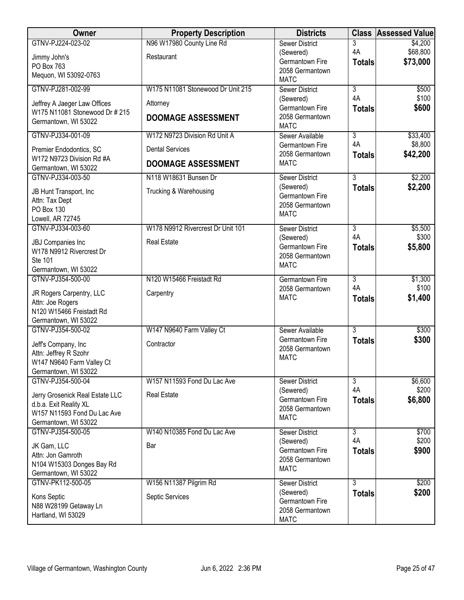| Owner                                               | <b>Property Description</b>       | <b>Districts</b>                   | <b>Class</b>         | <b>Assessed Value</b> |
|-----------------------------------------------------|-----------------------------------|------------------------------------|----------------------|-----------------------|
| GTNV-PJ224-023-02                                   | N96 W17980 County Line Rd         | <b>Sewer District</b>              | 3                    | \$4,200               |
| Jimmy John's                                        | Restaurant                        | (Sewered)<br>Germantown Fire       | 4A                   | \$68,800              |
| PO Box 763                                          |                                   | 2058 Germantown                    | <b>Totals</b>        | \$73,000              |
| Mequon, WI 53092-0763                               |                                   | <b>MATC</b>                        |                      |                       |
| GTNV-PJ281-002-99                                   | W175 N11081 Stonewood Dr Unit 215 | <b>Sewer District</b>              | $\overline{3}$       | \$500                 |
| Jeffrey A Jaeger Law Offices                        | Attorney                          | (Sewered)                          | 4A                   | \$100                 |
| W175 N11081 Stonewood Dr # 215                      |                                   | Germantown Fire<br>2058 Germantown | <b>Totals</b>        | \$600                 |
| Germantown, WI 53022                                | <b>DOOMAGE ASSESSMENT</b>         | <b>MATC</b>                        |                      |                       |
| GTNV-PJ334-001-09                                   | W172 N9723 Division Rd Unit A     | Sewer Available                    | $\overline{3}$       | \$33,400              |
| Premier Endodontics, SC                             | <b>Dental Services</b>            | Germantown Fire                    | 4A                   | \$8,800               |
| W172 N9723 Division Rd #A                           | <b>DOOMAGE ASSESSMENT</b>         | 2058 Germantown<br><b>MATC</b>     | <b>Totals</b>        | \$42,200              |
| Germantown, WI 53022                                |                                   |                                    |                      |                       |
| GTNV-PJ334-003-50                                   | N118 W18631 Bunsen Dr             | <b>Sewer District</b>              | $\overline{3}$       | \$2,200               |
| JB Hunt Transport, Inc.                             | Trucking & Warehousing            | (Sewered)<br>Germantown Fire       | <b>Totals</b>        | \$2,200               |
| Attn: Tax Dept                                      |                                   | 2058 Germantown                    |                      |                       |
| PO Box 130                                          |                                   | <b>MATC</b>                        |                      |                       |
| Lowell, AR 72745                                    |                                   |                                    |                      |                       |
| GTNV-PJ334-003-60                                   | W178 N9912 Rivercrest Dr Unit 101 | <b>Sewer District</b><br>(Sewered) | $\overline{3}$<br>4A | \$5,500<br>\$300      |
| JBJ Companies Inc                                   | <b>Real Estate</b>                | Germantown Fire                    | <b>Totals</b>        | \$5,800               |
| W178 N9912 Rivercrest Dr                            |                                   | 2058 Germantown                    |                      |                       |
| Ste 101<br>Germantown, WI 53022                     |                                   | <b>MATC</b>                        |                      |                       |
| GTNV-PJ354-500-00                                   | N120 W15466 Freistadt Rd          | <b>Germantown Fire</b>             | $\overline{3}$       | \$1,300               |
|                                                     | Carpentry                         | 2058 Germantown                    | 4A                   | \$100                 |
| JR Rogers Carpentry, LLC<br>Attn: Joe Rogers        |                                   | <b>MATC</b>                        | <b>Totals</b>        | \$1,400               |
| N120 W15466 Freistadt Rd                            |                                   |                                    |                      |                       |
| Germantown, WI 53022                                |                                   |                                    |                      |                       |
| GTNV-PJ354-500-02                                   | W147 N9640 Farm Valley Ct         | Sewer Available                    | 3                    | \$300                 |
| Jeff's Company, Inc                                 | Contractor                        | Germantown Fire<br>2058 Germantown | <b>Totals</b>        | \$300                 |
| Attn: Jeffrey R Szohr                               |                                   | <b>MATC</b>                        |                      |                       |
| W147 N9640 Farm Valley Ct                           |                                   |                                    |                      |                       |
| Germantown, WI 53022                                |                                   |                                    | $\overline{3}$       |                       |
| GTNV-PJ354-500-04                                   | W157 N11593 Fond Du Lac Ave       | <b>Sewer District</b><br>(Sewered) | 4A                   | \$6,600<br>\$200      |
| Jerry Grosenick Real Estate LLC                     | <b>Real Estate</b>                | Germantown Fire                    | <b>Totals</b>        | \$6,800               |
| d.b.a. Exit Reality XL                              |                                   | 2058 Germantown                    |                      |                       |
| W157 N11593 Fond Du Lac Ave<br>Germantown, WI 53022 |                                   | <b>MATC</b>                        |                      |                       |
| GTNV-PJ354-500-05                                   | W140 N10385 Fond Du Lac Ave       | Sewer District                     | $\overline{3}$       | \$700                 |
|                                                     |                                   | (Sewered)                          | 4A                   | \$200                 |
| JK Gam, LLC<br>Attn: Jon Gamroth                    | Bar                               | Germantown Fire                    | <b>Totals</b>        | \$900                 |
| N104 W15303 Donges Bay Rd                           |                                   | 2058 Germantown                    |                      |                       |
| Germantown, WI 53022                                |                                   | <b>MATC</b>                        |                      |                       |
| GTNV-PK112-500-05                                   | W156 N11387 Pilgrim Rd            | <b>Sewer District</b>              | $\overline{3}$       | \$200                 |
| Kons Septic                                         | Septic Services                   | (Sewered)                          | <b>Totals</b>        | \$200                 |
| N88 W28199 Getaway Ln                               |                                   | Germantown Fire<br>2058 Germantown |                      |                       |
| Hartland, WI 53029                                  |                                   | <b>MATC</b>                        |                      |                       |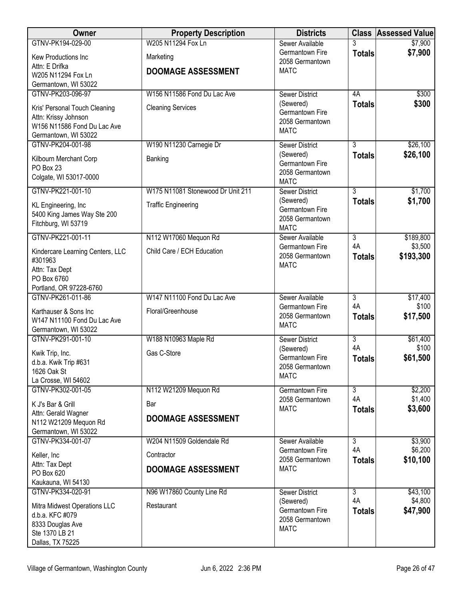| Owner                                              | <b>Property Description</b>       | <b>Districts</b>                   |                      | <b>Class Assessed Value</b> |
|----------------------------------------------------|-----------------------------------|------------------------------------|----------------------|-----------------------------|
| GTNV-PK194-029-00                                  | W205 N11294 Fox Ln                | Sewer Available                    |                      | \$7,900                     |
| Kew Productions Inc                                | Marketing                         | Germantown Fire<br>2058 Germantown | <b>Totals</b>        | \$7,900                     |
| Attn: E Drifka                                     | <b>DOOMAGE ASSESSMENT</b>         | <b>MATC</b>                        |                      |                             |
| W205 N11294 Fox Ln<br>Germantown, WI 53022         |                                   |                                    |                      |                             |
| GTNV-PK203-096-97                                  | W156 N11586 Fond Du Lac Ave       | <b>Sewer District</b>              | 4A                   | \$300                       |
| Kris' Personal Touch Cleaning                      | <b>Cleaning Services</b>          | (Sewered)                          | <b>Totals</b>        | \$300                       |
| Attn: Krissy Johnson                               |                                   | Germantown Fire                    |                      |                             |
| W156 N11586 Fond Du Lac Ave                        |                                   | 2058 Germantown<br><b>MATC</b>     |                      |                             |
| Germantown, WI 53022                               |                                   |                                    |                      |                             |
| GTNV-PK204-001-98                                  | W190 N11230 Carnegie Dr           | <b>Sewer District</b><br>(Sewered) | $\overline{3}$       | \$26,100<br>\$26,100        |
| Kilbourn Merchant Corp                             | Banking                           | Germantown Fire                    | <b>Totals</b>        |                             |
| PO Box 23<br>Colgate, WI 53017-0000                |                                   | 2058 Germantown                    |                      |                             |
|                                                    |                                   | <b>MATC</b>                        |                      |                             |
| GTNV-PK221-001-10                                  | W175 N11081 Stonewood Dr Unit 211 | <b>Sewer District</b><br>(Sewered) | $\overline{3}$       | \$1,700                     |
| KL Engineering, Inc                                | <b>Traffic Engineering</b>        | Germantown Fire                    | <b>Totals</b>        | \$1,700                     |
| 5400 King James Way Ste 200<br>Fitchburg, WI 53719 |                                   | 2058 Germantown                    |                      |                             |
|                                                    |                                   | <b>MATC</b>                        |                      |                             |
| GTNV-PK221-001-11                                  | N112 W17060 Mequon Rd             | Sewer Available<br>Germantown Fire | $\overline{3}$<br>4A | \$189,800<br>\$3,500        |
| Kindercare Learning Centers, LLC                   | Child Care / ECH Education        | 2058 Germantown                    | <b>Totals</b>        | \$193,300                   |
| #301963<br>Attn: Tax Dept                          |                                   | <b>MATC</b>                        |                      |                             |
| PO Box 6760                                        |                                   |                                    |                      |                             |
| Portland, OR 97228-6760                            |                                   |                                    |                      |                             |
| GTNV-PK261-011-86                                  | W147 N11100 Fond Du Lac Ave       | Sewer Available                    | 3                    | \$17,400                    |
| Karthauser & Sons Inc                              | Floral/Greenhouse                 | Germantown Fire<br>2058 Germantown | 4A                   | \$100<br>\$17,500           |
| W147 N11100 Fond Du Lac Ave                        |                                   | <b>MATC</b>                        | <b>Totals</b>        |                             |
| Germantown, WI 53022<br>GTNV-PK291-001-10          | W188 N10963 Maple Rd              | <b>Sewer District</b>              | $\overline{3}$       | \$61,400                    |
|                                                    |                                   | (Sewered)                          | 4A                   | \$100                       |
| Kwik Trip, Inc.<br>d.b.a. Kwik Trip #631           | Gas C-Store                       | Germantown Fire                    | <b>Totals</b>        | \$61,500                    |
| 1626 Oak St                                        |                                   | 2058 Germantown                    |                      |                             |
| La Crosse, WI 54602                                |                                   | <b>MATC</b>                        |                      |                             |
| GTNV-PK302-001-05                                  | N112 W21209 Mequon Rd             | Germantown Fire                    | $\overline{3}$       | \$2,200                     |
| K J's Bar & Grill                                  | Bar                               | 2058 Germantown<br><b>MATC</b>     | 4A<br><b>Totals</b>  | \$1,400<br>\$3,600          |
| Attn: Gerald Wagner                                | <b>DOOMAGE ASSESSMENT</b>         |                                    |                      |                             |
| N112 W21209 Mequon Rd<br>Germantown, WI 53022      |                                   |                                    |                      |                             |
| GTNV-PK334-001-07                                  | W204 N11509 Goldendale Rd         | Sewer Available                    | $\overline{3}$       | \$3,900                     |
| Keller, Inc                                        | Contractor                        | Germantown Fire                    | 4A                   | \$6,200                     |
| Attn: Tax Dept                                     |                                   | 2058 Germantown                    | <b>Totals</b>        | \$10,100                    |
| PO Box 620                                         | <b>DOOMAGE ASSESSMENT</b>         | <b>MATC</b>                        |                      |                             |
| Kaukauna, WI 54130                                 |                                   |                                    |                      |                             |
| GTNV-PK334-020-91                                  | N96 W17860 County Line Rd         | <b>Sewer District</b><br>(Sewered) | $\overline{3}$<br>4A | \$43,100<br>\$4,800         |
| Mitra Midwest Operations LLC                       | Restaurant                        | Germantown Fire                    | <b>Totals</b>        | \$47,900                    |
| d.b.a. KFC #079<br>8333 Douglas Ave                |                                   | 2058 Germantown                    |                      |                             |
| Ste 1370 LB 21                                     |                                   | <b>MATC</b>                        |                      |                             |
| Dallas, TX 75225                                   |                                   |                                    |                      |                             |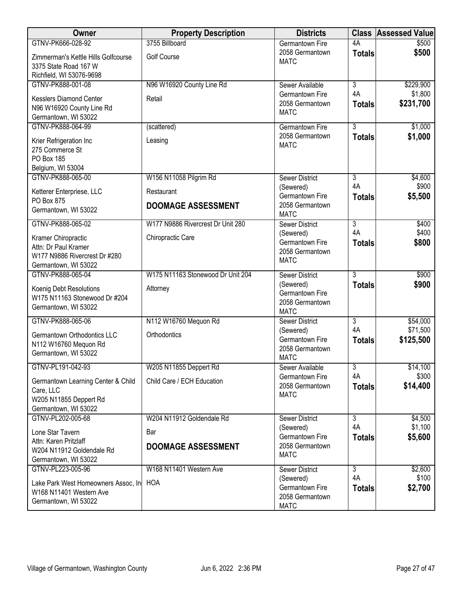| Owner                                                                                                | <b>Property Description</b>       | <b>Districts</b>                                               |                           | <b>Class Assessed Value</b> |
|------------------------------------------------------------------------------------------------------|-----------------------------------|----------------------------------------------------------------|---------------------------|-----------------------------|
| GTNV-PK666-028-92                                                                                    | 3755 Billboard                    | <b>Germantown Fire</b>                                         | 4A                        | \$500                       |
| Zimmerman's Kettle Hills Golfcourse<br>3375 State Road 167 W<br>Richfield, WI 53076-9698             | <b>Golf Course</b>                | 2058 Germantown<br><b>MATC</b>                                 | <b>Totals</b>             | \$500                       |
| GTNV-PK888-001-08                                                                                    | N96 W16920 County Line Rd         | Sewer Available                                                | 3                         | \$229,900                   |
| Kesslers Diamond Center<br>N96 W16920 County Line Rd<br>Germantown, WI 53022                         | Retail                            | Germantown Fire<br>2058 Germantown<br><b>MATC</b>              | 4A<br><b>Totals</b>       | \$1,800<br>\$231,700        |
| GTNV-PK888-064-99                                                                                    | (scattered)                       | <b>Germantown Fire</b>                                         | $\overline{3}$            | \$1,000                     |
| Krier Refrigeration Inc<br>275 Commerce St<br><b>PO Box 185</b><br>Belgium, WI 53004                 | Leasing                           | 2058 Germantown<br><b>MATC</b>                                 | <b>Totals</b>             | \$1,000                     |
| GTNV-PK888-065-00                                                                                    | W156 N11058 Pilgrim Rd            | <b>Sewer District</b>                                          | $\overline{3}$            | \$4,600                     |
| Ketterer Enterpriese, LLC                                                                            | Restaurant                        | (Sewered)<br>Germantown Fire                                   | 4A                        | \$900                       |
| PO Box 875<br>Germantown, WI 53022                                                                   | <b>DOOMAGE ASSESSMENT</b>         | 2058 Germantown<br><b>MATC</b>                                 | <b>Totals</b>             | \$5,500                     |
| GTNV-PK888-065-02                                                                                    | W177 N9886 Rivercrest Dr Unit 280 | <b>Sewer District</b>                                          | $\overline{3}$            | \$400                       |
| Kramer Chiropractic<br>Attn: Dr Paul Kramer<br>W177 N9886 Rivercrest Dr #280<br>Germantown, WI 53022 | Chiropractic Care                 | (Sewered)<br>Germantown Fire<br>2058 Germantown<br><b>MATC</b> | 4A<br><b>Totals</b>       | \$400<br>\$800              |
| GTNV-PK888-065-04                                                                                    | W175 N11163 Stonewood Dr Unit 204 | <b>Sewer District</b>                                          | $\overline{3}$            | \$900                       |
| Koenig Debt Resolutions<br>W175 N11163 Stonewood Dr #204<br>Germantown, WI 53022                     | Attorney                          | (Sewered)<br>Germantown Fire<br>2058 Germantown<br><b>MATC</b> | <b>Totals</b>             | \$900                       |
| GTNV-PK888-065-06                                                                                    | N112 W16760 Mequon Rd             | <b>Sewer District</b>                                          | $\overline{\overline{3}}$ | \$54,000                    |
| Germantown Orthodontics LLC<br>N112 W16760 Mequon Rd<br>Germantown, WI 53022                         | Orthodontics                      | (Sewered)<br>Germantown Fire<br>2058 Germantown<br><b>MATC</b> | 4A<br><b>Totals</b>       | \$71,500<br>\$125,500       |
| GTNV-PL191-042-93                                                                                    | W205 N11855 Deppert Rd            | Sewer Available                                                | 3                         | \$14,100                    |
| Germantown Learning Center & Child<br>Care, LLC<br>W205 N11855 Deppert Rd<br>Germantown, WI 53022    | Child Care / ECH Education        | Germantown Fire<br>2058 Germantown<br><b>MATC</b>              | 4A<br><b>Totals</b>       | \$300<br>\$14,400           |
| GTNV-PL202-005-68                                                                                    | W204 N11912 Goldendale Rd         | <b>Sewer District</b>                                          | 3                         | \$4,500                     |
| Lone Star Tavern<br>Attn: Karen Pritzlaff<br>W204 N11912 Goldendale Rd<br>Germantown, WI 53022       | Bar<br><b>DOOMAGE ASSESSMENT</b>  | (Sewered)<br>Germantown Fire<br>2058 Germantown<br><b>MATC</b> | 4A<br><b>Totals</b>       | \$1,100<br>\$5,600          |
| GTNV-PL223-005-96                                                                                    | W168 N11401 Western Ave           | Sewer District                                                 | $\overline{3}$            | \$2,600                     |
| Lake Park West Homeowners Assoc, In<br>W168 N11401 Western Ave<br>Germantown, WI 53022               | HOA                               | (Sewered)<br>Germantown Fire<br>2058 Germantown<br><b>MATC</b> | 4A<br><b>Totals</b>       | \$100<br>\$2,700            |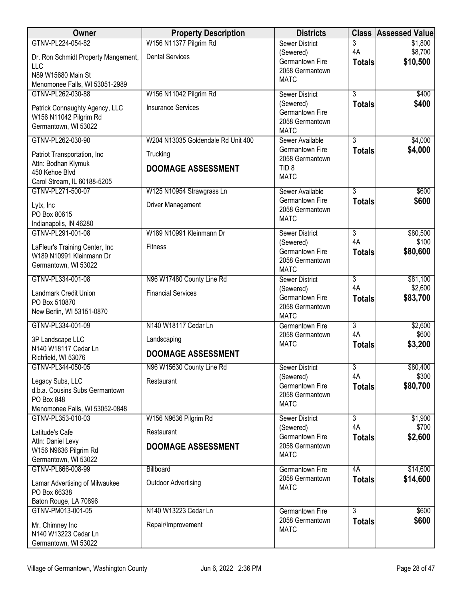| Owner                                                    | <b>Property Description</b>        | <b>Districts</b>                   | <b>Class</b>         | <b>Assessed Value</b> |
|----------------------------------------------------------|------------------------------------|------------------------------------|----------------------|-----------------------|
| GTNV-PL224-054-82                                        | W156 N11377 Pilgrim Rd             | <b>Sewer District</b>              | 3                    | \$1,800               |
| Dr. Ron Schmidt Property Mangement,                      | <b>Dental Services</b>             | (Sewered)<br>Germantown Fire       | 4A                   | \$8,700<br>\$10,500   |
| <b>LLC</b>                                               |                                    | 2058 Germantown                    | <b>Totals</b>        |                       |
| N89 W15680 Main St<br>Menomonee Falls, WI 53051-2989     |                                    | <b>MATC</b>                        |                      |                       |
| GTNV-PL262-030-88                                        | W156 N11042 Pilgrim Rd             | <b>Sewer District</b>              | $\overline{3}$       | \$400                 |
|                                                          | <b>Insurance Services</b>          | (Sewered)                          | <b>Totals</b>        | \$400                 |
| Patrick Connaughty Agency, LLC<br>W156 N11042 Pilgrim Rd |                                    | Germantown Fire                    |                      |                       |
| Germantown, WI 53022                                     |                                    | 2058 Germantown<br><b>MATC</b>     |                      |                       |
| GTNV-PL262-030-90                                        | W204 N13035 Goldendale Rd Unit 400 | Sewer Available                    | $\overline{3}$       | \$4,000               |
|                                                          |                                    | Germantown Fire                    | <b>Totals</b>        | \$4,000               |
| Patriot Transportation, Inc<br>Attn: Bodhan Klymuk       | Trucking                           | 2058 Germantown                    |                      |                       |
| 450 Kehoe Blvd                                           | <b>DOOMAGE ASSESSMENT</b>          | TID <sub>8</sub>                   |                      |                       |
| Carol Stream, IL 60188-5205                              |                                    | <b>MATC</b>                        |                      |                       |
| GTNV-PL271-500-07                                        | W125 N10954 Strawgrass Ln          | Sewer Available                    | $\overline{3}$       | \$600                 |
| Lytx, Inc                                                | <b>Driver Management</b>           | Germantown Fire<br>2058 Germantown | <b>Totals</b>        | \$600                 |
| PO Box 80615                                             |                                    | <b>MATC</b>                        |                      |                       |
| Indianapolis, IN 46280                                   |                                    |                                    |                      |                       |
| GTNV-PL291-001-08                                        | W189 N10991 Kleinmann Dr           | <b>Sewer District</b><br>(Sewered) | 3<br>4A              | \$80,500<br>\$100     |
| LaFleur's Training Center, Inc                           | <b>Fitness</b>                     | Germantown Fire                    | <b>Totals</b>        | \$80,600              |
| W189 N10991 Kleinmann Dr<br>Germantown, WI 53022         |                                    | 2058 Germantown                    |                      |                       |
|                                                          |                                    | <b>MATC</b>                        |                      |                       |
| GTNV-PL334-001-08                                        | N96 W17480 County Line Rd          | <b>Sewer District</b>              | 3<br>4A              | \$81,100<br>\$2,600   |
| Landmark Credit Union                                    | <b>Financial Services</b>          | (Sewered)<br>Germantown Fire       | <b>Totals</b>        | \$83,700              |
| PO Box 510870                                            |                                    | 2058 Germantown                    |                      |                       |
| New Berlin, WI 53151-0870                                |                                    | <b>MATC</b>                        |                      |                       |
| GTNV-PL334-001-09                                        | N140 W18117 Cedar Ln               | <b>Germantown Fire</b>             | $\overline{3}$<br>4A | \$2,600<br>\$600      |
| 3P Landscape LLC                                         | Landscaping                        | 2058 Germantown<br><b>MATC</b>     | <b>Totals</b>        | \$3,200               |
| N140 W18117 Cedar Ln                                     | <b>DOOMAGE ASSESSMENT</b>          |                                    |                      |                       |
| Richfield, WI 53076<br>GTNV-PL344-050-05                 | N96 W15630 County Line Rd          | <b>Sewer District</b>              | $\overline{3}$       | \$80,400              |
|                                                          |                                    | (Sewered)                          | 4A                   | \$300                 |
| Legacy Subs, LLC<br>d.b.a. Cousins Subs Germantown       | Restaurant                         | Germantown Fire                    | <b>Totals</b>        | \$80,700              |
| PO Box 848                                               |                                    | 2058 Germantown                    |                      |                       |
| Menomonee Falls, WI 53052-0848                           |                                    | <b>MATC</b>                        |                      |                       |
| GTNV-PL353-010-03                                        | W156 N9636 Pilgrim Rd              | <b>Sewer District</b>              | $\overline{3}$       | \$1,900               |
| Latitude's Cafe                                          | Restaurant                         | (Sewered)<br>Germantown Fire       | 4A                   | \$700<br>\$2,600      |
| Attn: Daniel Levy                                        | <b>DOOMAGE ASSESSMENT</b>          | 2058 Germantown                    | <b>Totals</b>        |                       |
| W156 N9636 Pilgrim Rd                                    |                                    | <b>MATC</b>                        |                      |                       |
| Germantown, WI 53022<br>GTNV-PL666-008-99                | Billboard                          | Germantown Fire                    | 4A                   | \$14,600              |
|                                                          |                                    | 2058 Germantown                    | <b>Totals</b>        | \$14,600              |
| Lamar Advertising of Milwaukee<br>PO Box 66338           | <b>Outdoor Advertising</b>         | <b>MATC</b>                        |                      |                       |
| Baton Rouge, LA 70896                                    |                                    |                                    |                      |                       |
| GTNV-PM013-001-05                                        | N140 W13223 Cedar Ln               | <b>Germantown Fire</b>             | $\overline{3}$       | \$600                 |
| Mr. Chimney Inc                                          | Repair/Improvement                 | 2058 Germantown                    | <b>Totals</b>        | \$600                 |
| N140 W13223 Cedar Ln                                     |                                    | <b>MATC</b>                        |                      |                       |
| Germantown, WI 53022                                     |                                    |                                    |                      |                       |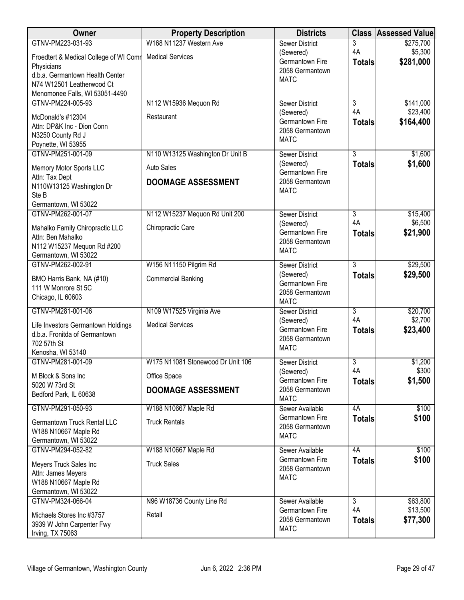| Owner                                                                                                   | <b>Property Description</b>       | <b>Districts</b>                                               | <b>Class</b>        | <b>Assessed Value</b> |
|---------------------------------------------------------------------------------------------------------|-----------------------------------|----------------------------------------------------------------|---------------------|-----------------------|
| GTNV-PM223-031-93                                                                                       | W168 N11237 Western Ave           | <b>Sewer District</b>                                          | 3                   | \$275,700             |
| Froedtert & Medical College of WI Comr<br>Physicians<br>d.b.a. Germantown Health Center                 | <b>Medical Services</b>           | (Sewered)<br>Germantown Fire<br>2058 Germantown                | 4A<br><b>Totals</b> | \$5,300<br>\$281,000  |
| N74 W12501 Leatherwood Ct<br>Menomonee Falls, WI 53051-4490                                             |                                   | <b>MATC</b>                                                    |                     |                       |
| GTNV-PM224-005-93                                                                                       | N112 W15936 Mequon Rd             | <b>Sewer District</b>                                          | $\overline{3}$      | \$141,000             |
| McDonald's #12304<br>Attn: DP&K Inc - Dion Conn<br>N3250 County Rd J<br>Poynette, WI 53955              | Restaurant                        | (Sewered)<br>Germantown Fire<br>2058 Germantown<br><b>MATC</b> | 4A<br><b>Totals</b> | \$23,400<br>\$164,400 |
| GTNV-PM251-001-09                                                                                       | N110 W13125 Washington Dr Unit B  | <b>Sewer District</b>                                          | $\overline{3}$      | \$1,600               |
| Memory Motor Sports LLC<br>Attn: Tax Dept                                                               | <b>Auto Sales</b>                 | (Sewered)<br>Germantown Fire                                   | <b>Totals</b>       | \$1,600               |
| N110W13125 Washington Dr<br>Ste B                                                                       | <b>DOOMAGE ASSESSMENT</b>         | 2058 Germantown<br><b>MATC</b>                                 |                     |                       |
| Germantown, WI 53022                                                                                    |                                   |                                                                |                     |                       |
| GTNV-PM262-001-07                                                                                       | N112 W15237 Mequon Rd Unit 200    | <b>Sewer District</b>                                          | $\overline{3}$      | \$15,400              |
| Mahalko Family Chiropractic LLC<br>Attn: Ben Mahalko                                                    | Chiropractic Care                 | (Sewered)<br>Germantown Fire                                   | 4A<br><b>Totals</b> | \$6,500<br>\$21,900   |
| N112 W15237 Mequon Rd #200<br>Germantown, WI 53022                                                      |                                   | 2058 Germantown<br><b>MATC</b>                                 |                     |                       |
| GTNV-PM262-002-91                                                                                       | W156 N11150 Pilgrim Rd            | <b>Sewer District</b>                                          | $\overline{3}$      | \$29,500              |
| BMO Harris Bank, NA (#10)<br>111 W Monrore St 5C<br>Chicago, IL 60603                                   | <b>Commercial Banking</b>         | (Sewered)<br>Germantown Fire<br>2058 Germantown<br><b>MATC</b> | <b>Totals</b>       | \$29,500              |
| GTNV-PM281-001-06                                                                                       | N109 W17525 Virginia Ave          | <b>Sewer District</b>                                          | $\overline{3}$      | \$20,700              |
| Life Investors Germantown Holdings<br>d.b.a. Fronitda of Germantown<br>702 57th St<br>Kenosha, WI 53140 | <b>Medical Services</b>           | (Sewered)<br>Germantown Fire<br>2058 Germantown<br><b>MATC</b> | 4A<br><b>Totals</b> | \$2,700<br>\$23,400   |
| GTNV-PM281-001-09                                                                                       | W175 N11081 Stonewood Dr Unit 106 | <b>Sewer District</b>                                          | $\overline{3}$      | \$1,200               |
| M Block & Sons Inc                                                                                      | Office Space                      | (Sewered)<br>Germantown Fire                                   | 4A<br><b>Totals</b> | \$300<br>\$1,500      |
| 5020 W 73rd St<br>Bedford Park, IL 60638                                                                | <b>DOOMAGE ASSESSMENT</b>         | 2058 Germantown<br><b>MATC</b>                                 |                     |                       |
| GTNV-PM291-050-93                                                                                       | W188 N10667 Maple Rd              | Sewer Available                                                | 4A                  | \$100                 |
| Germantown Truck Rental LLC<br>W188 N10667 Maple Rd                                                     | <b>Truck Rentals</b>              | Germantown Fire<br>2058 Germantown<br><b>MATC</b>              | <b>Totals</b>       | \$100                 |
| Germantown, WI 53022<br>GTNV-PM294-052-82                                                               | W188 N10667 Maple Rd              | Sewer Available                                                | 4A                  | \$100                 |
| Meyers Truck Sales Inc<br>Attn: James Meyers<br>W188 N10667 Maple Rd<br>Germantown, WI 53022            | <b>Truck Sales</b>                | Germantown Fire<br>2058 Germantown<br><b>MATC</b>              | <b>Totals</b>       | \$100                 |
| GTNV-PM324-066-04                                                                                       | N96 W18736 County Line Rd         | Sewer Available                                                | 3                   | \$63,800              |
| Michaels Stores Inc #3757<br>3939 W John Carpenter Fwy<br>Irving, TX 75063                              | Retail                            | Germantown Fire<br>2058 Germantown<br><b>MATC</b>              | 4A<br><b>Totals</b> | \$13,500<br>\$77,300  |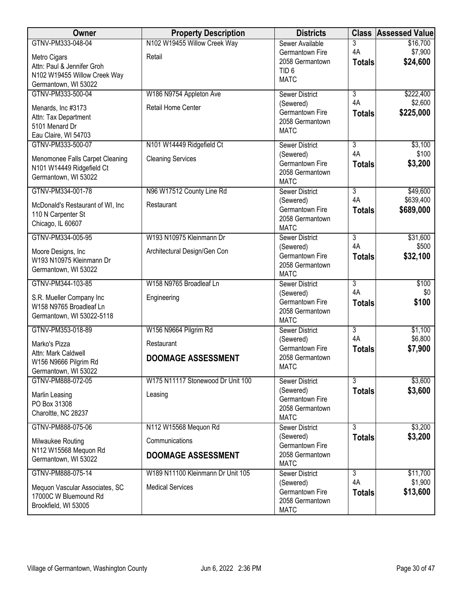| <b>Owner</b>                                                                                                            | <b>Property Description</b>                                          | <b>Districts</b>                                                                         | <b>Class</b>                          | <b>Assessed Value</b>              |
|-------------------------------------------------------------------------------------------------------------------------|----------------------------------------------------------------------|------------------------------------------------------------------------------------------|---------------------------------------|------------------------------------|
| GTNV-PM333-048-04<br>Metro Cigars<br>Attn: Paul & Jennifer Groh<br>N102 W19455 Willow Creek Way<br>Germantown, WI 53022 | N102 W19455 Willow Creek Way<br>Retail                               | Sewer Available<br>Germantown Fire<br>2058 Germantown<br>TID <sub>6</sub><br><b>MATC</b> | 3<br>4A<br><b>Totals</b>              | \$16,700<br>\$7,900<br>\$24,600    |
| GTNV-PM333-500-04<br>Menards, Inc #3173<br>Attn: Tax Department<br>5101 Menard Dr<br>Eau Claire, WI 54703               | W186 N9754 Appleton Ave<br>Retail Home Center                        | <b>Sewer District</b><br>(Sewered)<br>Germantown Fire<br>2058 Germantown<br><b>MATC</b>  | $\overline{3}$<br>4A<br><b>Totals</b> | \$222,400<br>\$2,600<br>\$225,000  |
| GTNV-PM333-500-07<br>Menomonee Falls Carpet Cleaning<br>N101 W14449 Ridgefield Ct<br>Germantown, WI 53022               | N101 W14449 Ridgefield Ct<br><b>Cleaning Services</b>                | <b>Sewer District</b><br>(Sewered)<br>Germantown Fire<br>2058 Germantown<br><b>MATC</b>  | $\overline{3}$<br>4A<br><b>Totals</b> | \$3,100<br>\$100<br>\$3,200        |
| GTNV-PM334-001-78<br>McDonald's Restaurant of WI, Inc.<br>110 N Carpenter St<br>Chicago, IL 60607                       | N96 W17512 County Line Rd<br>Restaurant                              | <b>Sewer District</b><br>(Sewered)<br>Germantown Fire<br>2058 Germantown<br><b>MATC</b>  | $\overline{3}$<br>4A<br><b>Totals</b> | \$49,600<br>\$639,400<br>\$689,000 |
| GTNV-PM334-005-95<br>Moore Designs, Inc<br>W193 N10975 Kleinmann Dr<br>Germantown, WI 53022                             | W193 N10975 Kleinmann Dr<br>Architectural Design/Gen Con             | <b>Sewer District</b><br>(Sewered)<br>Germantown Fire<br>2058 Germantown<br><b>MATC</b>  | $\overline{3}$<br>4A<br><b>Totals</b> | \$31,600<br>\$500<br>\$32,100      |
| GTNV-PM344-103-85<br>S.R. Mueller Company Inc<br>W158 N9765 Broadleaf Ln<br>Germantown, WI 53022-5118                   | W158 N9765 Broadleaf Ln<br>Engineering                               | <b>Sewer District</b><br>(Sewered)<br>Germantown Fire<br>2058 Germantown<br><b>MATC</b>  | $\overline{3}$<br>4A<br><b>Totals</b> | \$100<br>\$0<br>\$100              |
| GTNV-PM353-018-89<br>Marko's Pizza<br>Attn: Mark Caldwell<br>W156 N9666 Pilgrim Rd<br>Germantown, WI 53022              | W156 N9664 Pilgrim Rd<br>Restaurant<br><b>DOOMAGE ASSESSMENT</b>     | <b>Sewer District</b><br>(Sewered)<br>Germantown Fire<br>2058 Germantown<br><b>MATC</b>  | $\overline{3}$<br>4A<br><b>Totals</b> | \$1,100<br>\$6,800<br>\$7,900      |
| GTNV-PM888-072-05<br>Marlin Leasing<br>PO Box 31308<br>Charoltte, NC 28237                                              | W175 N11117 Stonewood Dr Unit 100<br>Leasing                         | <b>Sewer District</b><br>(Sewered)<br>Germantown Fire<br>2058 Germantown<br><b>MATC</b>  | $\overline{3}$<br><b>Totals</b>       | \$3,600<br>\$3,600                 |
| GTNV-PM888-075-06<br>Milwaukee Routing<br>N112 W15568 Mequon Rd<br>Germantown, WI 53022                                 | N112 W15568 Mequon Rd<br>Communications<br><b>DOOMAGE ASSESSMENT</b> | <b>Sewer District</b><br>(Sewered)<br>Germantown Fire<br>2058 Germantown<br><b>MATC</b>  | $\overline{3}$<br><b>Totals</b>       | \$3,200<br>\$3,200                 |
| GTNV-PM888-075-14<br>Mequon Vascular Associates, SC<br>17000C W Bluemound Rd<br>Brookfield, WI 53005                    | W189 N11100 Kleinmann Dr Unit 105<br><b>Medical Services</b>         | <b>Sewer District</b><br>(Sewered)<br>Germantown Fire<br>2058 Germantown<br><b>MATC</b>  | 3<br>4A<br><b>Totals</b>              | \$11,700<br>\$1,900<br>\$13,600    |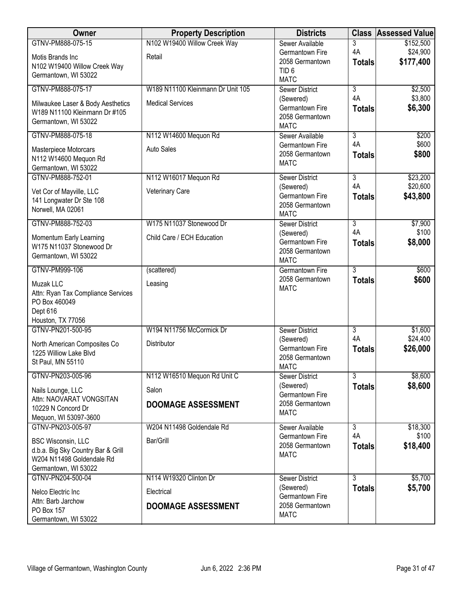| Owner                                                           | <b>Property Description</b>       | <b>Districts</b>                      | <b>Class</b>   | <b>Assessed Value</b> |
|-----------------------------------------------------------------|-----------------------------------|---------------------------------------|----------------|-----------------------|
| GTNV-PM888-075-15                                               | N102 W19400 Willow Creek Way      | Sewer Available                       | 3              | \$152,500             |
| Motis Brands Inc                                                | Retail                            | Germantown Fire                       | 4A             | \$24,900              |
| N102 W19400 Willow Creek Way                                    |                                   | 2058 Germantown<br>TID <sub>6</sub>   | <b>Totals</b>  | \$177,400             |
| Germantown, WI 53022                                            |                                   | <b>MATC</b>                           |                |                       |
| GTNV-PM888-075-17                                               | W189 N11100 Kleinmann Dr Unit 105 | <b>Sewer District</b>                 | $\overline{3}$ | \$2,500               |
| Milwaukee Laser & Body Aesthetics                               | <b>Medical Services</b>           | (Sewered)                             | 4A             | \$3,800               |
| W189 N11100 Kleinmann Dr #105                                   |                                   | Germantown Fire                       | <b>Totals</b>  | \$6,300               |
| Germantown, WI 53022                                            |                                   | 2058 Germantown<br><b>MATC</b>        |                |                       |
| GTNV-PM888-075-18                                               | N112 W14600 Mequon Rd             | Sewer Available                       | $\overline{3}$ | \$200                 |
|                                                                 |                                   | Germantown Fire                       | 4A             | \$600                 |
| Masterpiece Motorcars<br>N112 W14600 Mequon Rd                  | <b>Auto Sales</b>                 | 2058 Germantown                       | <b>Totals</b>  | \$800                 |
| Germantown, WI 53022                                            |                                   | <b>MATC</b>                           |                |                       |
| GTNV-PM888-752-01                                               | N112 W16017 Mequon Rd             | Sewer District                        | $\overline{3}$ | \$23,200              |
| Vet Cor of Mayville, LLC                                        | Veterinary Care                   | (Sewered)                             | 4A             | \$20,600              |
| 141 Longwater Dr Ste 108                                        |                                   | Germantown Fire                       | <b>Totals</b>  | \$43,800              |
| Norwell, MA 02061                                               |                                   | 2058 Germantown<br><b>MATC</b>        |                |                       |
| GTNV-PM888-752-03                                               | W175 N11037 Stonewood Dr          | <b>Sewer District</b>                 | $\overline{3}$ | \$7,900               |
|                                                                 |                                   | (Sewered)                             | 4A             | \$100                 |
| Momentum Early Learning<br>W175 N11037 Stonewood Dr             | Child Care / ECH Education        | Germantown Fire                       | <b>Totals</b>  | \$8,000               |
| Germantown, WI 53022                                            |                                   | 2058 Germantown                       |                |                       |
| GTNV-PM999-106                                                  | (scattered)                       | <b>MATC</b><br><b>Germantown Fire</b> | 3              | \$600                 |
|                                                                 |                                   | 2058 Germantown                       | <b>Totals</b>  | \$600                 |
| Muzak LLC                                                       | Leasing                           | <b>MATC</b>                           |                |                       |
| Attn: Ryan Tax Compliance Services<br>PO Box 460049             |                                   |                                       |                |                       |
| Dept 616                                                        |                                   |                                       |                |                       |
| Houston, TX 77056                                               |                                   |                                       |                |                       |
| GTNV-PN201-500-95                                               | W194 N11756 McCormick Dr          | <b>Sewer District</b>                 | $\overline{3}$ | \$1,600               |
| North American Composites Co                                    | Distributor                       | (Sewered)<br>Germantown Fire          | 4A             | \$24,400<br>\$26,000  |
| 1225 Williow Lake Blvd                                          |                                   | 2058 Germantown                       | <b>Totals</b>  |                       |
| St Paul, MN 55110                                               |                                   | <b>MATC</b>                           |                |                       |
| GTNV-PN203-005-96                                               | N112 W16510 Mequon Rd Unit C      | Sewer District                        | $\overline{3}$ | \$8,600               |
| Nails Lounge, LLC                                               | Salon                             | (Sewered)                             | <b>Totals</b>  | \$8,600               |
| Attn: NAOVARAT VONGSITAN                                        | <b>DOOMAGE ASSESSMENT</b>         | Germantown Fire<br>2058 Germantown    |                |                       |
| 10229 N Concord Dr                                              |                                   | <b>MATC</b>                           |                |                       |
| Mequon, WI 53097-3600<br>GTNV-PN203-005-97                      | W204 N11498 Goldendale Rd         | Sewer Available                       | $\overline{3}$ |                       |
|                                                                 |                                   | Germantown Fire                       | 4A             | \$18,300<br>\$100     |
| <b>BSC Wisconsin, LLC</b>                                       | Bar/Grill                         | 2058 Germantown                       | <b>Totals</b>  | \$18,400              |
| d.b.a. Big Sky Country Bar & Grill<br>W204 N11498 Goldendale Rd |                                   | <b>MATC</b>                           |                |                       |
| Germantown, WI 53022                                            |                                   |                                       |                |                       |
| GTNV-PN204-500-04                                               | N114 W19320 Clinton Dr            | Sewer District                        | $\overline{3}$ | \$5,700               |
| Nelco Electric Inc                                              | Electrical                        | (Sewered)                             | <b>Totals</b>  | \$5,700               |
| Attn: Barb Jarchow                                              |                                   | Germantown Fire<br>2058 Germantown    |                |                       |
| PO Box 157                                                      | <b>DOOMAGE ASSESSMENT</b>         | <b>MATC</b>                           |                |                       |
| Germantown, WI 53022                                            |                                   |                                       |                |                       |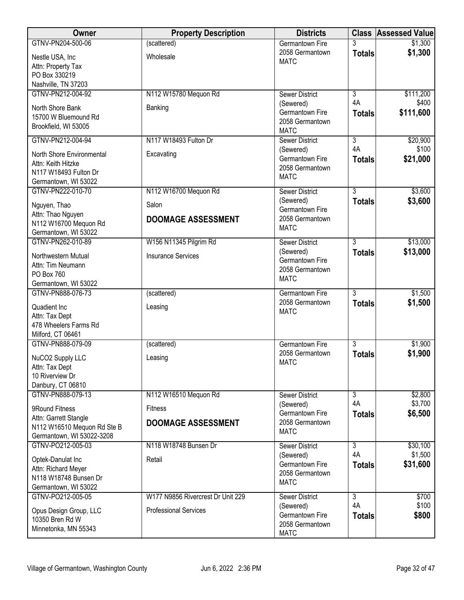| Owner                                           | <b>Property Description</b>       | <b>Districts</b>                     |                | <b>Class Assessed Value</b> |
|-------------------------------------------------|-----------------------------------|--------------------------------------|----------------|-----------------------------|
| GTNV-PN204-500-06                               | (scattered)                       | <b>Germantown Fire</b>               |                | \$1,300                     |
| Nestle USA, Inc                                 | Wholesale                         | 2058 Germantown<br><b>MATC</b>       | <b>Totals</b>  | \$1,300                     |
| Attn: Property Tax                              |                                   |                                      |                |                             |
| PO Box 330219<br>Nashville, TN 37203            |                                   |                                      |                |                             |
| GTNV-PN212-004-92                               | N112 W15780 Mequon Rd             | <b>Sewer District</b>                | $\overline{3}$ | \$111,200                   |
|                                                 |                                   | (Sewered)                            | 4A             | \$400                       |
| North Shore Bank<br>15700 W Bluemound Rd        | Banking                           | Germantown Fire                      | <b>Totals</b>  | \$111,600                   |
| Brookfield, WI 53005                            |                                   | 2058 Germantown                      |                |                             |
| GTNV-PN212-004-94                               | N117 W18493 Fulton Dr             | <b>MATC</b><br><b>Sewer District</b> | $\overline{3}$ | \$20,900                    |
|                                                 |                                   | (Sewered)                            | 4A             | \$100                       |
| North Shore Environmental<br>Attn: Keith Hitzke | Excavating                        | Germantown Fire                      | <b>Totals</b>  | \$21,000                    |
| N117 W18493 Fulton Dr                           |                                   | 2058 Germantown                      |                |                             |
| Germantown, WI 53022                            |                                   | <b>MATC</b>                          |                |                             |
| GTNV-PN222-010-70                               | N112 W16700 Mequon Rd             | <b>Sewer District</b>                | $\overline{3}$ | \$3,600                     |
| Nguyen, Thao                                    | Salon                             | (Sewered)                            | <b>Totals</b>  | \$3,600                     |
| Attn: Thao Nguyen                               | <b>DOOMAGE ASSESSMENT</b>         | Germantown Fire<br>2058 Germantown   |                |                             |
| N112 W16700 Mequon Rd                           |                                   | <b>MATC</b>                          |                |                             |
| Germantown, WI 53022<br>GTNV-PN262-010-89       | W156 N11345 Pilgrim Rd            | <b>Sewer District</b>                | $\overline{3}$ | \$13,000                    |
|                                                 |                                   | (Sewered)                            | <b>Totals</b>  | \$13,000                    |
| Northwestern Mutual                             | <b>Insurance Services</b>         | Germantown Fire                      |                |                             |
| Attn: Tim Neumann<br>PO Box 760                 |                                   | 2058 Germantown                      |                |                             |
| Germantown, WI 53022                            |                                   | <b>MATC</b>                          |                |                             |
| GTNV-PN888-076-73                               | (scattered)                       | Germantown Fire                      | $\overline{3}$ | \$1,500                     |
| Quadient Inc                                    | Leasing                           | 2058 Germantown                      | <b>Totals</b>  | \$1,500                     |
| Attn: Tax Dept                                  |                                   | <b>MATC</b>                          |                |                             |
| 478 Wheelers Farms Rd                           |                                   |                                      |                |                             |
| Milford, CT 06461<br>GTNV-PN888-079-09          | (scattered)                       | <b>Germantown Fire</b>               | 3              | \$1,900                     |
|                                                 |                                   | 2058 Germantown                      | <b>Totals</b>  | \$1,900                     |
| NuCO2 Supply LLC                                | Leasing                           | <b>MATC</b>                          |                |                             |
| Attn: Tax Dept<br>10 Riverview Dr               |                                   |                                      |                |                             |
| Danbury, CT 06810                               |                                   |                                      |                |                             |
| GTNV-PN888-079-13                               | N112 W16510 Mequon Rd             | <b>Sewer District</b>                | $\overline{3}$ | \$2,800                     |
| 9Round Fitness                                  | <b>Fitness</b>                    | (Sewered)                            | 4A             | \$3,700                     |
| Attn: Garrett Stangle                           | <b>DOOMAGE ASSESSMENT</b>         | Germantown Fire<br>2058 Germantown   | <b>Totals</b>  | \$6,500                     |
| N112 W16510 Mequon Rd Ste B                     |                                   | <b>MATC</b>                          |                |                             |
| Germantown, WI 53022-3208<br>GTNV-PO212-005-03  | N118 W18748 Bunsen Dr             | <b>Sewer District</b>                | $\overline{3}$ | \$30,100                    |
|                                                 |                                   | (Sewered)                            | 4A             | \$1,500                     |
| Optek-Danulat Inc<br>Attn: Richard Meyer        | Retail                            | Germantown Fire                      | <b>Totals</b>  | \$31,600                    |
| N118 W18748 Bunsen Dr                           |                                   | 2058 Germantown                      |                |                             |
| Germantown, WI 53022                            |                                   | <b>MATC</b>                          |                |                             |
| GTNV-PO212-005-05                               | W177 N9856 Rivercrest Dr Unit 229 | <b>Sewer District</b>                | $\overline{3}$ | \$700                       |
| Opus Design Group, LLC                          | <b>Professional Services</b>      | (Sewered)                            | 4A             | \$100                       |
| 10350 Bren Rd W                                 |                                   | Germantown Fire<br>2058 Germantown   | <b>Totals</b>  | \$800                       |
| Minnetonka, MN 55343                            |                                   | <b>MATC</b>                          |                |                             |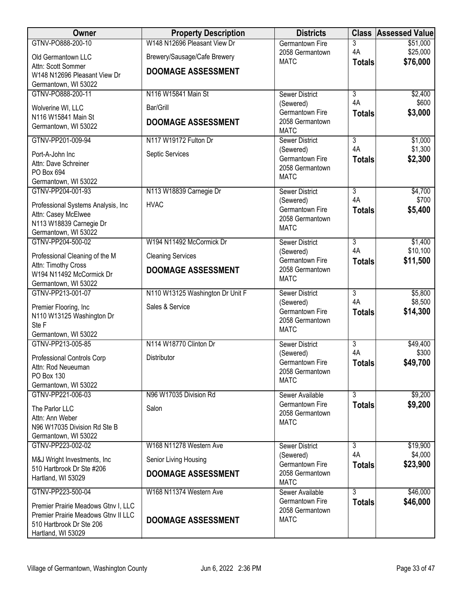| W148 N12696 Pleasant View Dr<br>GTNV-PO888-200-10<br>3<br>\$51,000<br><b>Germantown Fire</b><br>4A<br>\$25,000<br>2058 Germantown<br>Brewery/Sausage/Cafe Brewery<br>Old Germantown LLC<br>\$76,000<br><b>MATC</b><br><b>Totals</b><br>Attn: Scott Sommer<br><b>DOOMAGE ASSESSMENT</b><br>W148 N12696 Pleasant View Dr<br>Germantown, WI 53022<br>GTNV-PO888-200-11<br>N116 W15841 Main St<br>$\overline{3}$<br>\$2,400<br><b>Sewer District</b><br>4A<br>\$600<br>(Sewered)<br>Bar/Grill<br>Wolverine WI, LLC<br>Germantown Fire<br>\$3,000<br><b>Totals</b><br>N116 W15841 Main St<br>2058 Germantown<br><b>DOOMAGE ASSESSMENT</b><br>Germantown, WI 53022<br><b>MATC</b><br>N117 W19172 Fulton Dr<br>$\overline{3}$<br>GTNV-PP201-009-94<br><b>Sewer District</b><br>\$1,000<br>4A<br>\$1,300<br>(Sewered)<br>Septic Services<br>Port-A-John Inc<br>Germantown Fire<br>\$2,300<br><b>Totals</b><br>Attn: Dave Schreiner<br>2058 Germantown<br>PO Box 694<br><b>MATC</b><br>Germantown, WI 53022<br>GTNV-PP204-001-93<br>N113 W18839 Carnegie Dr<br>$\overline{3}$<br>\$4,700<br>Sewer District<br>4A<br>\$700<br>(Sewered)<br><b>HVAC</b><br>Professional Systems Analysis, Inc.<br>Germantown Fire<br>\$5,400<br><b>Totals</b><br>Attn: Casey McElwee<br>2058 Germantown<br>N113 W18839 Carnegie Dr<br><b>MATC</b><br>Germantown, WI 53022<br>W194 N11492 McCormick Dr<br>GTNV-PP204-500-02<br>$\overline{3}$<br>\$1,400<br><b>Sewer District</b><br>4A<br>\$10,100<br>(Sewered)<br><b>Cleaning Services</b><br>Professional Cleaning of the M<br>Germantown Fire<br>\$11,500<br><b>Totals</b><br>Attn: Timothy Cross<br>2058 Germantown<br><b>DOOMAGE ASSESSMENT</b><br>W194 N11492 McCormick Dr<br><b>MATC</b><br>Germantown, WI 53022<br>GTNV-PP213-001-07<br>$\overline{3}$<br>N110 W13125 Washington Dr Unit F<br>\$5,800<br><b>Sewer District</b><br>4A<br>\$8,500<br>(Sewered)<br>Sales & Service<br>Premier Flooring, Inc<br>Germantown Fire<br>\$14,300<br><b>Totals</b><br>N110 W13125 Washington Dr<br>2058 Germantown<br>Ste F<br><b>MATC</b><br>Germantown, WI 53022<br>GTNV-PP213-005-85<br>N114 W18770 Clinton Dr<br>3<br>\$49,400<br><b>Sewer District</b><br>4A<br>\$300<br>(Sewered)<br>Distributor<br>Professional Controls Corp<br>\$49,700<br>Germantown Fire<br><b>Totals</b><br>Attn: Rod Neueuman<br>2058 Germantown<br>PO Box 130<br><b>MATC</b><br>Germantown, WI 53022<br>\$9,200<br>GTNV-PP221-006-03<br>N96 W17035 Division Rd<br>3<br>Sewer Available<br>Germantown Fire<br>\$9,200<br><b>Totals</b><br>Salon<br>The Parlor LLC<br>2058 Germantown<br>Attn: Ann Weber<br><b>MATC</b><br>N96 W17035 Division Rd Ste B<br>Germantown, WI 53022<br>GTNV-PP223-002-02<br>W168 N11278 Western Ave<br>$\overline{3}$<br>\$19,900<br>Sewer District<br>4A<br>\$4,000<br>(Sewered)<br>Senior Living Housing<br>M&J Wright Investments, Inc.<br>\$23,900<br>Germantown Fire<br><b>Totals</b><br>510 Hartbrook Dr Ste #206<br>2058 Germantown<br><b>DOOMAGE ASSESSMENT</b><br>Hartland, WI 53029<br><b>MATC</b><br>GTNV-PP223-500-04<br>W168 N11374 Western Ave<br>$\overline{3}$<br>Sewer Available<br>\$46,000<br>\$46,000<br>Germantown Fire<br><b>Totals</b><br>Premier Prairie Meadows Gtnv I, LLC<br>2058 Germantown<br>Premier Prairie Meadows Gtnv II LLC<br><b>MATC</b><br><b>DOOMAGE ASSESSMENT</b><br>510 Hartbrook Dr Ste 206 | Owner              | <b>Property Description</b> | <b>Districts</b> | <b>Class Assessed Value</b> |
|-------------------------------------------------------------------------------------------------------------------------------------------------------------------------------------------------------------------------------------------------------------------------------------------------------------------------------------------------------------------------------------------------------------------------------------------------------------------------------------------------------------------------------------------------------------------------------------------------------------------------------------------------------------------------------------------------------------------------------------------------------------------------------------------------------------------------------------------------------------------------------------------------------------------------------------------------------------------------------------------------------------------------------------------------------------------------------------------------------------------------------------------------------------------------------------------------------------------------------------------------------------------------------------------------------------------------------------------------------------------------------------------------------------------------------------------------------------------------------------------------------------------------------------------------------------------------------------------------------------------------------------------------------------------------------------------------------------------------------------------------------------------------------------------------------------------------------------------------------------------------------------------------------------------------------------------------------------------------------------------------------------------------------------------------------------------------------------------------------------------------------------------------------------------------------------------------------------------------------------------------------------------------------------------------------------------------------------------------------------------------------------------------------------------------------------------------------------------------------------------------------------------------------------------------------------------------------------------------------------------------------------------------------------------------------------------------------------------------------------------------------------------------------------------------------------------------------------------------------------------------------------------------------------------------------------------------------------------------------------------------------------------------------------------------------------------------------------------------------------------------------------------------------------------------------------------------------------------------------------------------------------------------------------------------------------------------------------------------------------------|--------------------|-----------------------------|------------------|-----------------------------|
|                                                                                                                                                                                                                                                                                                                                                                                                                                                                                                                                                                                                                                                                                                                                                                                                                                                                                                                                                                                                                                                                                                                                                                                                                                                                                                                                                                                                                                                                                                                                                                                                                                                                                                                                                                                                                                                                                                                                                                                                                                                                                                                                                                                                                                                                                                                                                                                                                                                                                                                                                                                                                                                                                                                                                                                                                                                                                                                                                                                                                                                                                                                                                                                                                                                                                                                                                                   |                    |                             |                  |                             |
|                                                                                                                                                                                                                                                                                                                                                                                                                                                                                                                                                                                                                                                                                                                                                                                                                                                                                                                                                                                                                                                                                                                                                                                                                                                                                                                                                                                                                                                                                                                                                                                                                                                                                                                                                                                                                                                                                                                                                                                                                                                                                                                                                                                                                                                                                                                                                                                                                                                                                                                                                                                                                                                                                                                                                                                                                                                                                                                                                                                                                                                                                                                                                                                                                                                                                                                                                                   |                    |                             |                  |                             |
|                                                                                                                                                                                                                                                                                                                                                                                                                                                                                                                                                                                                                                                                                                                                                                                                                                                                                                                                                                                                                                                                                                                                                                                                                                                                                                                                                                                                                                                                                                                                                                                                                                                                                                                                                                                                                                                                                                                                                                                                                                                                                                                                                                                                                                                                                                                                                                                                                                                                                                                                                                                                                                                                                                                                                                                                                                                                                                                                                                                                                                                                                                                                                                                                                                                                                                                                                                   |                    |                             |                  |                             |
|                                                                                                                                                                                                                                                                                                                                                                                                                                                                                                                                                                                                                                                                                                                                                                                                                                                                                                                                                                                                                                                                                                                                                                                                                                                                                                                                                                                                                                                                                                                                                                                                                                                                                                                                                                                                                                                                                                                                                                                                                                                                                                                                                                                                                                                                                                                                                                                                                                                                                                                                                                                                                                                                                                                                                                                                                                                                                                                                                                                                                                                                                                                                                                                                                                                                                                                                                                   |                    |                             |                  |                             |
|                                                                                                                                                                                                                                                                                                                                                                                                                                                                                                                                                                                                                                                                                                                                                                                                                                                                                                                                                                                                                                                                                                                                                                                                                                                                                                                                                                                                                                                                                                                                                                                                                                                                                                                                                                                                                                                                                                                                                                                                                                                                                                                                                                                                                                                                                                                                                                                                                                                                                                                                                                                                                                                                                                                                                                                                                                                                                                                                                                                                                                                                                                                                                                                                                                                                                                                                                                   |                    |                             |                  |                             |
|                                                                                                                                                                                                                                                                                                                                                                                                                                                                                                                                                                                                                                                                                                                                                                                                                                                                                                                                                                                                                                                                                                                                                                                                                                                                                                                                                                                                                                                                                                                                                                                                                                                                                                                                                                                                                                                                                                                                                                                                                                                                                                                                                                                                                                                                                                                                                                                                                                                                                                                                                                                                                                                                                                                                                                                                                                                                                                                                                                                                                                                                                                                                                                                                                                                                                                                                                                   |                    |                             |                  |                             |
|                                                                                                                                                                                                                                                                                                                                                                                                                                                                                                                                                                                                                                                                                                                                                                                                                                                                                                                                                                                                                                                                                                                                                                                                                                                                                                                                                                                                                                                                                                                                                                                                                                                                                                                                                                                                                                                                                                                                                                                                                                                                                                                                                                                                                                                                                                                                                                                                                                                                                                                                                                                                                                                                                                                                                                                                                                                                                                                                                                                                                                                                                                                                                                                                                                                                                                                                                                   |                    |                             |                  |                             |
|                                                                                                                                                                                                                                                                                                                                                                                                                                                                                                                                                                                                                                                                                                                                                                                                                                                                                                                                                                                                                                                                                                                                                                                                                                                                                                                                                                                                                                                                                                                                                                                                                                                                                                                                                                                                                                                                                                                                                                                                                                                                                                                                                                                                                                                                                                                                                                                                                                                                                                                                                                                                                                                                                                                                                                                                                                                                                                                                                                                                                                                                                                                                                                                                                                                                                                                                                                   |                    |                             |                  |                             |
|                                                                                                                                                                                                                                                                                                                                                                                                                                                                                                                                                                                                                                                                                                                                                                                                                                                                                                                                                                                                                                                                                                                                                                                                                                                                                                                                                                                                                                                                                                                                                                                                                                                                                                                                                                                                                                                                                                                                                                                                                                                                                                                                                                                                                                                                                                                                                                                                                                                                                                                                                                                                                                                                                                                                                                                                                                                                                                                                                                                                                                                                                                                                                                                                                                                                                                                                                                   |                    |                             |                  |                             |
|                                                                                                                                                                                                                                                                                                                                                                                                                                                                                                                                                                                                                                                                                                                                                                                                                                                                                                                                                                                                                                                                                                                                                                                                                                                                                                                                                                                                                                                                                                                                                                                                                                                                                                                                                                                                                                                                                                                                                                                                                                                                                                                                                                                                                                                                                                                                                                                                                                                                                                                                                                                                                                                                                                                                                                                                                                                                                                                                                                                                                                                                                                                                                                                                                                                                                                                                                                   |                    |                             |                  |                             |
|                                                                                                                                                                                                                                                                                                                                                                                                                                                                                                                                                                                                                                                                                                                                                                                                                                                                                                                                                                                                                                                                                                                                                                                                                                                                                                                                                                                                                                                                                                                                                                                                                                                                                                                                                                                                                                                                                                                                                                                                                                                                                                                                                                                                                                                                                                                                                                                                                                                                                                                                                                                                                                                                                                                                                                                                                                                                                                                                                                                                                                                                                                                                                                                                                                                                                                                                                                   |                    |                             |                  |                             |
|                                                                                                                                                                                                                                                                                                                                                                                                                                                                                                                                                                                                                                                                                                                                                                                                                                                                                                                                                                                                                                                                                                                                                                                                                                                                                                                                                                                                                                                                                                                                                                                                                                                                                                                                                                                                                                                                                                                                                                                                                                                                                                                                                                                                                                                                                                                                                                                                                                                                                                                                                                                                                                                                                                                                                                                                                                                                                                                                                                                                                                                                                                                                                                                                                                                                                                                                                                   |                    |                             |                  |                             |
|                                                                                                                                                                                                                                                                                                                                                                                                                                                                                                                                                                                                                                                                                                                                                                                                                                                                                                                                                                                                                                                                                                                                                                                                                                                                                                                                                                                                                                                                                                                                                                                                                                                                                                                                                                                                                                                                                                                                                                                                                                                                                                                                                                                                                                                                                                                                                                                                                                                                                                                                                                                                                                                                                                                                                                                                                                                                                                                                                                                                                                                                                                                                                                                                                                                                                                                                                                   |                    |                             |                  |                             |
|                                                                                                                                                                                                                                                                                                                                                                                                                                                                                                                                                                                                                                                                                                                                                                                                                                                                                                                                                                                                                                                                                                                                                                                                                                                                                                                                                                                                                                                                                                                                                                                                                                                                                                                                                                                                                                                                                                                                                                                                                                                                                                                                                                                                                                                                                                                                                                                                                                                                                                                                                                                                                                                                                                                                                                                                                                                                                                                                                                                                                                                                                                                                                                                                                                                                                                                                                                   |                    |                             |                  |                             |
|                                                                                                                                                                                                                                                                                                                                                                                                                                                                                                                                                                                                                                                                                                                                                                                                                                                                                                                                                                                                                                                                                                                                                                                                                                                                                                                                                                                                                                                                                                                                                                                                                                                                                                                                                                                                                                                                                                                                                                                                                                                                                                                                                                                                                                                                                                                                                                                                                                                                                                                                                                                                                                                                                                                                                                                                                                                                                                                                                                                                                                                                                                                                                                                                                                                                                                                                                                   |                    |                             |                  |                             |
|                                                                                                                                                                                                                                                                                                                                                                                                                                                                                                                                                                                                                                                                                                                                                                                                                                                                                                                                                                                                                                                                                                                                                                                                                                                                                                                                                                                                                                                                                                                                                                                                                                                                                                                                                                                                                                                                                                                                                                                                                                                                                                                                                                                                                                                                                                                                                                                                                                                                                                                                                                                                                                                                                                                                                                                                                                                                                                                                                                                                                                                                                                                                                                                                                                                                                                                                                                   |                    |                             |                  |                             |
|                                                                                                                                                                                                                                                                                                                                                                                                                                                                                                                                                                                                                                                                                                                                                                                                                                                                                                                                                                                                                                                                                                                                                                                                                                                                                                                                                                                                                                                                                                                                                                                                                                                                                                                                                                                                                                                                                                                                                                                                                                                                                                                                                                                                                                                                                                                                                                                                                                                                                                                                                                                                                                                                                                                                                                                                                                                                                                                                                                                                                                                                                                                                                                                                                                                                                                                                                                   |                    |                             |                  |                             |
|                                                                                                                                                                                                                                                                                                                                                                                                                                                                                                                                                                                                                                                                                                                                                                                                                                                                                                                                                                                                                                                                                                                                                                                                                                                                                                                                                                                                                                                                                                                                                                                                                                                                                                                                                                                                                                                                                                                                                                                                                                                                                                                                                                                                                                                                                                                                                                                                                                                                                                                                                                                                                                                                                                                                                                                                                                                                                                                                                                                                                                                                                                                                                                                                                                                                                                                                                                   |                    |                             |                  |                             |
|                                                                                                                                                                                                                                                                                                                                                                                                                                                                                                                                                                                                                                                                                                                                                                                                                                                                                                                                                                                                                                                                                                                                                                                                                                                                                                                                                                                                                                                                                                                                                                                                                                                                                                                                                                                                                                                                                                                                                                                                                                                                                                                                                                                                                                                                                                                                                                                                                                                                                                                                                                                                                                                                                                                                                                                                                                                                                                                                                                                                                                                                                                                                                                                                                                                                                                                                                                   |                    |                             |                  |                             |
|                                                                                                                                                                                                                                                                                                                                                                                                                                                                                                                                                                                                                                                                                                                                                                                                                                                                                                                                                                                                                                                                                                                                                                                                                                                                                                                                                                                                                                                                                                                                                                                                                                                                                                                                                                                                                                                                                                                                                                                                                                                                                                                                                                                                                                                                                                                                                                                                                                                                                                                                                                                                                                                                                                                                                                                                                                                                                                                                                                                                                                                                                                                                                                                                                                                                                                                                                                   |                    |                             |                  |                             |
|                                                                                                                                                                                                                                                                                                                                                                                                                                                                                                                                                                                                                                                                                                                                                                                                                                                                                                                                                                                                                                                                                                                                                                                                                                                                                                                                                                                                                                                                                                                                                                                                                                                                                                                                                                                                                                                                                                                                                                                                                                                                                                                                                                                                                                                                                                                                                                                                                                                                                                                                                                                                                                                                                                                                                                                                                                                                                                                                                                                                                                                                                                                                                                                                                                                                                                                                                                   |                    |                             |                  |                             |
|                                                                                                                                                                                                                                                                                                                                                                                                                                                                                                                                                                                                                                                                                                                                                                                                                                                                                                                                                                                                                                                                                                                                                                                                                                                                                                                                                                                                                                                                                                                                                                                                                                                                                                                                                                                                                                                                                                                                                                                                                                                                                                                                                                                                                                                                                                                                                                                                                                                                                                                                                                                                                                                                                                                                                                                                                                                                                                                                                                                                                                                                                                                                                                                                                                                                                                                                                                   |                    |                             |                  |                             |
|                                                                                                                                                                                                                                                                                                                                                                                                                                                                                                                                                                                                                                                                                                                                                                                                                                                                                                                                                                                                                                                                                                                                                                                                                                                                                                                                                                                                                                                                                                                                                                                                                                                                                                                                                                                                                                                                                                                                                                                                                                                                                                                                                                                                                                                                                                                                                                                                                                                                                                                                                                                                                                                                                                                                                                                                                                                                                                                                                                                                                                                                                                                                                                                                                                                                                                                                                                   |                    |                             |                  |                             |
|                                                                                                                                                                                                                                                                                                                                                                                                                                                                                                                                                                                                                                                                                                                                                                                                                                                                                                                                                                                                                                                                                                                                                                                                                                                                                                                                                                                                                                                                                                                                                                                                                                                                                                                                                                                                                                                                                                                                                                                                                                                                                                                                                                                                                                                                                                                                                                                                                                                                                                                                                                                                                                                                                                                                                                                                                                                                                                                                                                                                                                                                                                                                                                                                                                                                                                                                                                   |                    |                             |                  |                             |
|                                                                                                                                                                                                                                                                                                                                                                                                                                                                                                                                                                                                                                                                                                                                                                                                                                                                                                                                                                                                                                                                                                                                                                                                                                                                                                                                                                                                                                                                                                                                                                                                                                                                                                                                                                                                                                                                                                                                                                                                                                                                                                                                                                                                                                                                                                                                                                                                                                                                                                                                                                                                                                                                                                                                                                                                                                                                                                                                                                                                                                                                                                                                                                                                                                                                                                                                                                   |                    |                             |                  |                             |
|                                                                                                                                                                                                                                                                                                                                                                                                                                                                                                                                                                                                                                                                                                                                                                                                                                                                                                                                                                                                                                                                                                                                                                                                                                                                                                                                                                                                                                                                                                                                                                                                                                                                                                                                                                                                                                                                                                                                                                                                                                                                                                                                                                                                                                                                                                                                                                                                                                                                                                                                                                                                                                                                                                                                                                                                                                                                                                                                                                                                                                                                                                                                                                                                                                                                                                                                                                   |                    |                             |                  |                             |
|                                                                                                                                                                                                                                                                                                                                                                                                                                                                                                                                                                                                                                                                                                                                                                                                                                                                                                                                                                                                                                                                                                                                                                                                                                                                                                                                                                                                                                                                                                                                                                                                                                                                                                                                                                                                                                                                                                                                                                                                                                                                                                                                                                                                                                                                                                                                                                                                                                                                                                                                                                                                                                                                                                                                                                                                                                                                                                                                                                                                                                                                                                                                                                                                                                                                                                                                                                   |                    |                             |                  |                             |
|                                                                                                                                                                                                                                                                                                                                                                                                                                                                                                                                                                                                                                                                                                                                                                                                                                                                                                                                                                                                                                                                                                                                                                                                                                                                                                                                                                                                                                                                                                                                                                                                                                                                                                                                                                                                                                                                                                                                                                                                                                                                                                                                                                                                                                                                                                                                                                                                                                                                                                                                                                                                                                                                                                                                                                                                                                                                                                                                                                                                                                                                                                                                                                                                                                                                                                                                                                   |                    |                             |                  |                             |
|                                                                                                                                                                                                                                                                                                                                                                                                                                                                                                                                                                                                                                                                                                                                                                                                                                                                                                                                                                                                                                                                                                                                                                                                                                                                                                                                                                                                                                                                                                                                                                                                                                                                                                                                                                                                                                                                                                                                                                                                                                                                                                                                                                                                                                                                                                                                                                                                                                                                                                                                                                                                                                                                                                                                                                                                                                                                                                                                                                                                                                                                                                                                                                                                                                                                                                                                                                   |                    |                             |                  |                             |
|                                                                                                                                                                                                                                                                                                                                                                                                                                                                                                                                                                                                                                                                                                                                                                                                                                                                                                                                                                                                                                                                                                                                                                                                                                                                                                                                                                                                                                                                                                                                                                                                                                                                                                                                                                                                                                                                                                                                                                                                                                                                                                                                                                                                                                                                                                                                                                                                                                                                                                                                                                                                                                                                                                                                                                                                                                                                                                                                                                                                                                                                                                                                                                                                                                                                                                                                                                   |                    |                             |                  |                             |
|                                                                                                                                                                                                                                                                                                                                                                                                                                                                                                                                                                                                                                                                                                                                                                                                                                                                                                                                                                                                                                                                                                                                                                                                                                                                                                                                                                                                                                                                                                                                                                                                                                                                                                                                                                                                                                                                                                                                                                                                                                                                                                                                                                                                                                                                                                                                                                                                                                                                                                                                                                                                                                                                                                                                                                                                                                                                                                                                                                                                                                                                                                                                                                                                                                                                                                                                                                   |                    |                             |                  |                             |
|                                                                                                                                                                                                                                                                                                                                                                                                                                                                                                                                                                                                                                                                                                                                                                                                                                                                                                                                                                                                                                                                                                                                                                                                                                                                                                                                                                                                                                                                                                                                                                                                                                                                                                                                                                                                                                                                                                                                                                                                                                                                                                                                                                                                                                                                                                                                                                                                                                                                                                                                                                                                                                                                                                                                                                                                                                                                                                                                                                                                                                                                                                                                                                                                                                                                                                                                                                   |                    |                             |                  |                             |
|                                                                                                                                                                                                                                                                                                                                                                                                                                                                                                                                                                                                                                                                                                                                                                                                                                                                                                                                                                                                                                                                                                                                                                                                                                                                                                                                                                                                                                                                                                                                                                                                                                                                                                                                                                                                                                                                                                                                                                                                                                                                                                                                                                                                                                                                                                                                                                                                                                                                                                                                                                                                                                                                                                                                                                                                                                                                                                                                                                                                                                                                                                                                                                                                                                                                                                                                                                   |                    |                             |                  |                             |
|                                                                                                                                                                                                                                                                                                                                                                                                                                                                                                                                                                                                                                                                                                                                                                                                                                                                                                                                                                                                                                                                                                                                                                                                                                                                                                                                                                                                                                                                                                                                                                                                                                                                                                                                                                                                                                                                                                                                                                                                                                                                                                                                                                                                                                                                                                                                                                                                                                                                                                                                                                                                                                                                                                                                                                                                                                                                                                                                                                                                                                                                                                                                                                                                                                                                                                                                                                   |                    |                             |                  |                             |
|                                                                                                                                                                                                                                                                                                                                                                                                                                                                                                                                                                                                                                                                                                                                                                                                                                                                                                                                                                                                                                                                                                                                                                                                                                                                                                                                                                                                                                                                                                                                                                                                                                                                                                                                                                                                                                                                                                                                                                                                                                                                                                                                                                                                                                                                                                                                                                                                                                                                                                                                                                                                                                                                                                                                                                                                                                                                                                                                                                                                                                                                                                                                                                                                                                                                                                                                                                   |                    |                             |                  |                             |
|                                                                                                                                                                                                                                                                                                                                                                                                                                                                                                                                                                                                                                                                                                                                                                                                                                                                                                                                                                                                                                                                                                                                                                                                                                                                                                                                                                                                                                                                                                                                                                                                                                                                                                                                                                                                                                                                                                                                                                                                                                                                                                                                                                                                                                                                                                                                                                                                                                                                                                                                                                                                                                                                                                                                                                                                                                                                                                                                                                                                                                                                                                                                                                                                                                                                                                                                                                   |                    |                             |                  |                             |
|                                                                                                                                                                                                                                                                                                                                                                                                                                                                                                                                                                                                                                                                                                                                                                                                                                                                                                                                                                                                                                                                                                                                                                                                                                                                                                                                                                                                                                                                                                                                                                                                                                                                                                                                                                                                                                                                                                                                                                                                                                                                                                                                                                                                                                                                                                                                                                                                                                                                                                                                                                                                                                                                                                                                                                                                                                                                                                                                                                                                                                                                                                                                                                                                                                                                                                                                                                   |                    |                             |                  |                             |
|                                                                                                                                                                                                                                                                                                                                                                                                                                                                                                                                                                                                                                                                                                                                                                                                                                                                                                                                                                                                                                                                                                                                                                                                                                                                                                                                                                                                                                                                                                                                                                                                                                                                                                                                                                                                                                                                                                                                                                                                                                                                                                                                                                                                                                                                                                                                                                                                                                                                                                                                                                                                                                                                                                                                                                                                                                                                                                                                                                                                                                                                                                                                                                                                                                                                                                                                                                   |                    |                             |                  |                             |
|                                                                                                                                                                                                                                                                                                                                                                                                                                                                                                                                                                                                                                                                                                                                                                                                                                                                                                                                                                                                                                                                                                                                                                                                                                                                                                                                                                                                                                                                                                                                                                                                                                                                                                                                                                                                                                                                                                                                                                                                                                                                                                                                                                                                                                                                                                                                                                                                                                                                                                                                                                                                                                                                                                                                                                                                                                                                                                                                                                                                                                                                                                                                                                                                                                                                                                                                                                   |                    |                             |                  |                             |
|                                                                                                                                                                                                                                                                                                                                                                                                                                                                                                                                                                                                                                                                                                                                                                                                                                                                                                                                                                                                                                                                                                                                                                                                                                                                                                                                                                                                                                                                                                                                                                                                                                                                                                                                                                                                                                                                                                                                                                                                                                                                                                                                                                                                                                                                                                                                                                                                                                                                                                                                                                                                                                                                                                                                                                                                                                                                                                                                                                                                                                                                                                                                                                                                                                                                                                                                                                   |                    |                             |                  |                             |
|                                                                                                                                                                                                                                                                                                                                                                                                                                                                                                                                                                                                                                                                                                                                                                                                                                                                                                                                                                                                                                                                                                                                                                                                                                                                                                                                                                                                                                                                                                                                                                                                                                                                                                                                                                                                                                                                                                                                                                                                                                                                                                                                                                                                                                                                                                                                                                                                                                                                                                                                                                                                                                                                                                                                                                                                                                                                                                                                                                                                                                                                                                                                                                                                                                                                                                                                                                   |                    |                             |                  |                             |
|                                                                                                                                                                                                                                                                                                                                                                                                                                                                                                                                                                                                                                                                                                                                                                                                                                                                                                                                                                                                                                                                                                                                                                                                                                                                                                                                                                                                                                                                                                                                                                                                                                                                                                                                                                                                                                                                                                                                                                                                                                                                                                                                                                                                                                                                                                                                                                                                                                                                                                                                                                                                                                                                                                                                                                                                                                                                                                                                                                                                                                                                                                                                                                                                                                                                                                                                                                   |                    |                             |                  |                             |
|                                                                                                                                                                                                                                                                                                                                                                                                                                                                                                                                                                                                                                                                                                                                                                                                                                                                                                                                                                                                                                                                                                                                                                                                                                                                                                                                                                                                                                                                                                                                                                                                                                                                                                                                                                                                                                                                                                                                                                                                                                                                                                                                                                                                                                                                                                                                                                                                                                                                                                                                                                                                                                                                                                                                                                                                                                                                                                                                                                                                                                                                                                                                                                                                                                                                                                                                                                   |                    |                             |                  |                             |
|                                                                                                                                                                                                                                                                                                                                                                                                                                                                                                                                                                                                                                                                                                                                                                                                                                                                                                                                                                                                                                                                                                                                                                                                                                                                                                                                                                                                                                                                                                                                                                                                                                                                                                                                                                                                                                                                                                                                                                                                                                                                                                                                                                                                                                                                                                                                                                                                                                                                                                                                                                                                                                                                                                                                                                                                                                                                                                                                                                                                                                                                                                                                                                                                                                                                                                                                                                   |                    |                             |                  |                             |
|                                                                                                                                                                                                                                                                                                                                                                                                                                                                                                                                                                                                                                                                                                                                                                                                                                                                                                                                                                                                                                                                                                                                                                                                                                                                                                                                                                                                                                                                                                                                                                                                                                                                                                                                                                                                                                                                                                                                                                                                                                                                                                                                                                                                                                                                                                                                                                                                                                                                                                                                                                                                                                                                                                                                                                                                                                                                                                                                                                                                                                                                                                                                                                                                                                                                                                                                                                   |                    |                             |                  |                             |
|                                                                                                                                                                                                                                                                                                                                                                                                                                                                                                                                                                                                                                                                                                                                                                                                                                                                                                                                                                                                                                                                                                                                                                                                                                                                                                                                                                                                                                                                                                                                                                                                                                                                                                                                                                                                                                                                                                                                                                                                                                                                                                                                                                                                                                                                                                                                                                                                                                                                                                                                                                                                                                                                                                                                                                                                                                                                                                                                                                                                                                                                                                                                                                                                                                                                                                                                                                   | Hartland, WI 53029 |                             |                  |                             |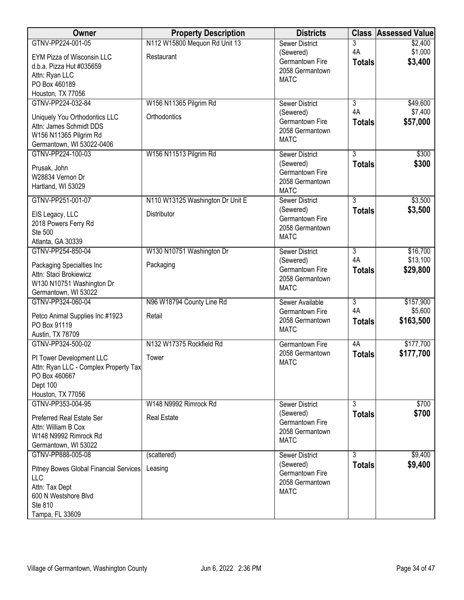| Owner                                                                                                                 | <b>Property Description</b>      | <b>Districts</b>                                               |                     | <b>Class Assessed Value</b> |
|-----------------------------------------------------------------------------------------------------------------------|----------------------------------|----------------------------------------------------------------|---------------------|-----------------------------|
| GTNV-PP224-001-05                                                                                                     | N112 W15800 Mequon Rd Unit 13    | <b>Sewer District</b>                                          | 3                   | \$2,400                     |
| EYM Pizza of Wisconsin LLC<br>d.b.a. Pizza Hut #035659<br>Attn: Ryan LLC<br>PO Box 460189<br>Houston, TX 77056        | Restaurant                       | (Sewered)<br>Germantown Fire<br>2058 Germantown<br><b>MATC</b> | 4A<br><b>Totals</b> | \$1,000<br>\$3,400          |
| GTNV-PP224-032-84                                                                                                     | W156 N11365 Pilgrim Rd           | <b>Sewer District</b>                                          | $\overline{3}$      | \$49,600                    |
| Uniquely You Orthodontics LLC<br>Attn: James Schmidt DDS<br>W156 N11365 Pilgrim Rd<br>Germantown, WI 53022-0406       | Orthodontics                     | (Sewered)<br>Germantown Fire<br>2058 Germantown<br><b>MATC</b> | 4A<br><b>Totals</b> | \$7,400<br>\$57,000         |
| GTNV-PP224-100-03                                                                                                     | W156 N11513 Pilgrim Rd           | <b>Sewer District</b>                                          | $\overline{3}$      | \$300                       |
| Prusak, John<br>W28834 Vernon Dr<br>Hartland, WI 53029                                                                |                                  | (Sewered)<br>Germantown Fire<br>2058 Germantown<br><b>MATC</b> | <b>Totals</b>       | \$300                       |
| GTNV-PP251-001-07                                                                                                     | N110 W13125 Washington Dr Unit E | Sewer District                                                 | $\overline{3}$      | \$3,500                     |
| EIS Legacy, LLC<br>2018 Powers Ferry Rd<br>Ste 500<br>Atlanta, GA 30339                                               | Distributor                      | (Sewered)<br>Germantown Fire<br>2058 Germantown<br><b>MATC</b> | <b>Totals</b>       | \$3,500                     |
| GTNV-PP254-850-04                                                                                                     | W130 N10751 Washington Dr        | <b>Sewer District</b>                                          | 3                   | \$16,700                    |
| Packaging Specialties Inc<br>Attn: Staci Brokiewicz<br>W130 N10751 Washington Dr<br>Germantown, WI 53022              | Packaging                        | (Sewered)<br>Germantown Fire<br>2058 Germantown<br><b>MATC</b> | 4A<br><b>Totals</b> | \$13,100<br>\$29,800        |
| GTNV-PP324-060-04                                                                                                     | N96 W18794 County Line Rd        | Sewer Available                                                | $\overline{3}$      | \$157,900                   |
| Petco Animal Supplies Inc #1923<br>PO Box 91119<br>Austin, TX 78709                                                   | Retail                           | Germantown Fire<br>2058 Germantown<br><b>MATC</b>              | 4A<br><b>Totals</b> | \$5,600<br>\$163,500        |
| GTNV-PP324-500-02                                                                                                     | N132 W17375 Rockfield Rd         | <b>Germantown Fire</b>                                         | 4A                  | \$177,700                   |
| PI Tower Development LLC<br>Attn: Ryan LLC - Complex Property Tax<br>PO Box 460667<br>Dept 100<br>Houston, TX 77056   | Tower                            | 2058 Germantown<br><b>MATC</b>                                 | <b>Totals</b>       | \$177,700                   |
| GTNV-PP353-004-95                                                                                                     | W148 N9992 Rimrock Rd            | Sewer District                                                 | $\overline{3}$      | \$700                       |
| Preferred Real Estate Ser<br>Attn: William B Cox<br>W148 N9992 Rimrock Rd<br>Germantown, WI 53022                     | <b>Real Estate</b>               | (Sewered)<br>Germantown Fire<br>2058 Germantown<br><b>MATC</b> | <b>Totals</b>       | \$700                       |
| GTNV-PP888-005-08                                                                                                     | (scattered)                      | Sewer District                                                 | $\overline{3}$      | \$9,400                     |
| Pitney Bowes Global Financial Services<br>LLC<br>Attn: Tax Dept<br>600 N Westshore Blvd<br>Ste 810<br>Tampa, FL 33609 | Leasing                          | (Sewered)<br>Germantown Fire<br>2058 Germantown<br><b>MATC</b> | <b>Totals</b>       | \$9,400                     |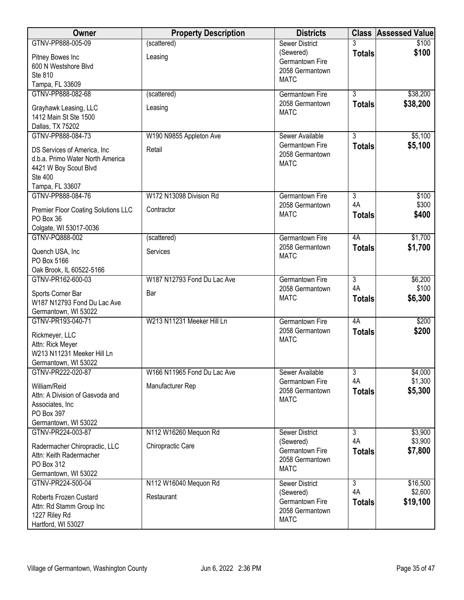| Owner                                               | <b>Property Description</b> | <b>Districts</b>                   |                | <b>Class Assessed Value</b> |
|-----------------------------------------------------|-----------------------------|------------------------------------|----------------|-----------------------------|
| GTNV-PP888-005-09                                   | (scattered)                 | <b>Sewer District</b>              |                | \$100                       |
| Pitney Bowes Inc                                    | Leasing                     | (Sewered)                          | <b>Totals</b>  | \$100                       |
| 600 N Westshore Blvd                                |                             | Germantown Fire<br>2058 Germantown |                |                             |
| Ste 810                                             |                             | <b>MATC</b>                        |                |                             |
| Tampa, FL 33609                                     |                             |                                    |                |                             |
| GTNV-PP888-082-68                                   | (scattered)                 | <b>Germantown Fire</b>             | $\overline{3}$ | \$38,200                    |
| Grayhawk Leasing, LLC                               | Leasing                     | 2058 Germantown                    | <b>Totals</b>  | \$38,200                    |
| 1412 Main St Ste 1500                               |                             | <b>MATC</b>                        |                |                             |
| Dallas, TX 75202                                    |                             |                                    |                |                             |
| GTNV-PP888-084-73                                   | W190 N9855 Appleton Ave     | Sewer Available                    | $\overline{3}$ | \$5,100                     |
| DS Services of America, Inc                         | Retail                      | Germantown Fire                    | <b>Totals</b>  | \$5,100                     |
| d.b.a. Primo Water North America                    |                             | 2058 Germantown                    |                |                             |
| 4421 W Boy Scout Blvd                               |                             | <b>MATC</b>                        |                |                             |
| Ste 400                                             |                             |                                    |                |                             |
| Tampa, FL 33607                                     |                             |                                    |                |                             |
| GTNV-PP888-084-76                                   | W172 N13098 Division Rd     | <b>Germantown Fire</b>             | $\overline{3}$ | \$100                       |
| Premier Floor Coating Solutions LLC                 | Contractor                  | 2058 Germantown                    | 4A             | \$300                       |
| PO Box 36                                           |                             | <b>MATC</b>                        | <b>Totals</b>  | \$400                       |
| Colgate, WI 53017-0036                              |                             |                                    |                |                             |
| GTNV-PQ888-002                                      | (scattered)                 | <b>Germantown Fire</b>             | 4A             | \$1,700                     |
|                                                     |                             | 2058 Germantown                    | <b>Totals</b>  | \$1,700                     |
| Quench USA, Inc<br>PO Box 5166                      | Services                    | <b>MATC</b>                        |                |                             |
| Oak Brook, IL 60522-5166                            |                             |                                    |                |                             |
| GTNV-PR162-600-03                                   | W187 N12793 Fond Du Lac Ave | Germantown Fire                    | $\overline{3}$ | \$6,200                     |
|                                                     |                             | 2058 Germantown                    | 4A             | \$100                       |
| Sports Corner Bar                                   | Bar                         | <b>MATC</b>                        | <b>Totals</b>  | \$6,300                     |
| W187 N12793 Fond Du Lac Ave<br>Germantown, WI 53022 |                             |                                    |                |                             |
| GTNV-PR193-040-71                                   | W213 N11231 Meeker Hill Ln  | <b>Germantown Fire</b>             | 4A             | \$200                       |
|                                                     |                             | 2058 Germantown                    | <b>Totals</b>  | \$200                       |
| Rickmeyer, LLC                                      |                             | <b>MATC</b>                        |                |                             |
| Attn: Rick Meyer                                    |                             |                                    |                |                             |
| W213 N11231 Meeker Hill Ln                          |                             |                                    |                |                             |
| Germantown, WI 53022<br>GTNV-PR222-020-87           | W166 N11965 Fond Du Lac Ave | Sewer Available                    | 3              | \$4,000                     |
|                                                     |                             | Germantown Fire                    | 4A             | \$1,300                     |
| William/Reid                                        | Manufacturer Rep            | 2058 Germantown                    | <b>Totals</b>  | \$5,300                     |
| Attn: A Division of Gasvoda and                     |                             | <b>MATC</b>                        |                |                             |
| Associates, Inc                                     |                             |                                    |                |                             |
| PO Box 397<br>Germantown, WI 53022                  |                             |                                    |                |                             |
| GTNV-PR224-003-87                                   | N112 W16260 Mequon Rd       | <b>Sewer District</b>              | $\overline{3}$ | \$3,900                     |
|                                                     |                             | (Sewered)                          | 4A             | \$3,900                     |
| Radermacher Chiropractic, LLC                       | Chiropractic Care           | Germantown Fire                    | <b>Totals</b>  | \$7,800                     |
| Attn: Keith Radermacher                             |                             | 2058 Germantown                    |                |                             |
| PO Box 312                                          |                             | <b>MATC</b>                        |                |                             |
| Germantown, WI 53022<br>GTNV-PR224-500-04           | N112 W16040 Mequon Rd       | <b>Sewer District</b>              | $\overline{3}$ | \$16,500                    |
|                                                     |                             | (Sewered)                          | 4A             | \$2,600                     |
| Roberts Frozen Custard                              | Restaurant                  | Germantown Fire                    | <b>Totals</b>  | \$19,100                    |
| Attn: Rd Stamm Group Inc                            |                             | 2058 Germantown                    |                |                             |
| 1227 Riley Rd                                       |                             | <b>MATC</b>                        |                |                             |
| Hartford, WI 53027                                  |                             |                                    |                |                             |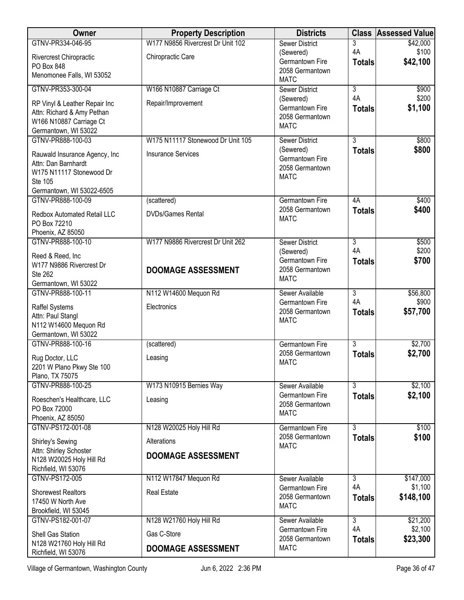| <b>Owner</b>                               | <b>Property Description</b>       | <b>Districts</b>                   |                      | <b>Class Assessed Value</b> |
|--------------------------------------------|-----------------------------------|------------------------------------|----------------------|-----------------------------|
| GTNV-PR334-046-95                          | W177 N9856 Rivercrest Dr Unit 102 | <b>Sewer District</b>              | 3                    | \$42,000                    |
| Rivercrest Chiropractic                    | Chiropractic Care                 | (Sewered)                          | 4A                   | \$100                       |
| PO Box 848                                 |                                   | Germantown Fire<br>2058 Germantown | <b>Totals</b>        | \$42,100                    |
| Menomonee Falls, WI 53052                  |                                   | <b>MATC</b>                        |                      |                             |
| GTNV-PR353-300-04                          | W166 N10887 Carriage Ct           | <b>Sewer District</b>              | $\overline{3}$       | \$900                       |
| RP Vinyl & Leather Repair Inc              | Repair/Improvement                | (Sewered)                          | 4A                   | \$200                       |
| Attn: Richard & Amy Pethan                 |                                   | Germantown Fire                    | <b>Totals</b>        | \$1,100                     |
| W166 N10887 Carriage Ct                    |                                   | 2058 Germantown                    |                      |                             |
| Germantown, WI 53022                       |                                   | <b>MATC</b>                        |                      |                             |
| GTNV-PR888-100-03                          | W175 N11117 Stonewood Dr Unit 105 | <b>Sewer District</b>              | $\overline{3}$       | \$800                       |
| Rauwald Insurance Agency, Inc              | <b>Insurance Services</b>         | (Sewered)                          | <b>Totals</b>        | \$800                       |
| Attn: Dan Barnhardt                        |                                   | Germantown Fire                    |                      |                             |
| W175 N11117 Stonewood Dr                   |                                   | 2058 Germantown<br><b>MATC</b>     |                      |                             |
| Ste 105                                    |                                   |                                    |                      |                             |
| Germantown, WI 53022-6505                  |                                   |                                    |                      |                             |
| GTNV-PR888-100-09                          | (scattered)                       | Germantown Fire<br>2058 Germantown | 4A                   | \$400                       |
| <b>Redbox Automated Retail LLC</b>         | <b>DVDs/Games Rental</b>          | <b>MATC</b>                        | <b>Totals</b>        | \$400                       |
| PO Box 72210                               |                                   |                                    |                      |                             |
| Phoenix, AZ 85050                          |                                   |                                    |                      |                             |
| GTNV-PR888-100-10                          | W177 N9886 Rivercrest Dr Unit 262 | <b>Sewer District</b><br>(Sewered) | $\overline{3}$<br>4A | \$500<br>\$200              |
| Reed & Reed, Inc                           |                                   | Germantown Fire                    | <b>Totals</b>        | \$700                       |
| W177 N9886 Rivercrest Dr                   | <b>DOOMAGE ASSESSMENT</b>         | 2058 Germantown                    |                      |                             |
| <b>Ste 262</b><br>Germantown, WI 53022     |                                   | <b>MATC</b>                        |                      |                             |
| GTNV-PR888-100-11                          | N112 W14600 Mequon Rd             | Sewer Available                    | $\overline{3}$       | \$56,800                    |
|                                            |                                   | Germantown Fire                    | 4A                   | \$900                       |
| <b>Raffel Systems</b>                      | Electronics                       | 2058 Germantown                    | <b>Totals</b>        | \$57,700                    |
| Attn: Paul Stangl<br>N112 W14600 Mequon Rd |                                   | <b>MATC</b>                        |                      |                             |
| Germantown, WI 53022                       |                                   |                                    |                      |                             |
| GTNV-PR888-100-16                          | (scattered)                       | <b>Germantown Fire</b>             | $\overline{3}$       | \$2,700                     |
| Rug Doctor, LLC                            | Leasing                           | 2058 Germantown                    | <b>Totals</b>        | \$2,700                     |
| 2201 W Plano Pkwy Ste 100                  |                                   | <b>MATC</b>                        |                      |                             |
| Plano, TX 75075                            |                                   |                                    |                      |                             |
| GTNV-PR888-100-25                          | W173 N10915 Bernies Way           | Sewer Available                    | 3                    | \$2,100                     |
| Roeschen's Healthcare, LLC                 | Leasing                           | Germantown Fire                    | <b>Totals</b>        | \$2,100                     |
| PO Box 72000                               |                                   | 2058 Germantown                    |                      |                             |
| Phoenix, AZ 85050                          |                                   | <b>MATC</b>                        |                      |                             |
| GTNV-PS172-001-08                          | N128 W20025 Holy Hill Rd          | Germantown Fire                    | $\overline{3}$       | \$100                       |
| Shirley's Sewing                           | Alterations                       | 2058 Germantown                    | <b>Totals</b>        | \$100                       |
| Attn: Shirley Schoster                     |                                   | <b>MATC</b>                        |                      |                             |
| N128 W20025 Holy Hill Rd                   | <b>DOOMAGE ASSESSMENT</b>         |                                    |                      |                             |
| Richfield, WI 53076                        |                                   |                                    |                      |                             |
| GTNV-PS172-005                             | N112 W17847 Mequon Rd             | Sewer Available                    | $\overline{3}$       | \$147,000                   |
| <b>Shorewest Realtors</b>                  | <b>Real Estate</b>                | Germantown Fire<br>2058 Germantown | 4A                   | \$1,100                     |
| 17450 W North Ave                          |                                   | <b>MATC</b>                        | <b>Totals</b>        | \$148,100                   |
| Brookfield, WI 53045                       |                                   |                                    |                      |                             |
| GTNV-PS182-001-07                          | N128 W21760 Holy Hill Rd          | Sewer Available                    | $\overline{3}$<br>4A | \$21,200                    |
| Shell Gas Station                          | Gas C-Store                       | Germantown Fire<br>2058 Germantown | <b>Totals</b>        | \$2,100<br>\$23,300         |
| N128 W21760 Holy Hill Rd                   | <b>DOOMAGE ASSESSMENT</b>         | <b>MATC</b>                        |                      |                             |
| Richfield, WI 53076                        |                                   |                                    |                      |                             |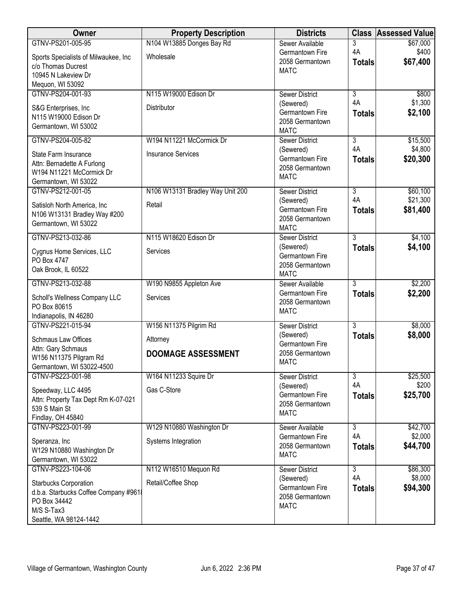| Owner                                                                                                                         | <b>Property Description</b>          | <b>Districts</b>                                                                        |                                       | <b>Class Assessed Value</b> |
|-------------------------------------------------------------------------------------------------------------------------------|--------------------------------------|-----------------------------------------------------------------------------------------|---------------------------------------|-----------------------------|
| GTNV-PS201-005-95                                                                                                             | N104 W13885 Donges Bay Rd            | Sewer Available                                                                         | 3                                     | \$67,000                    |
| Sports Specialists of Milwaukee, Inc<br>c/o Thomas Ducrest<br>10945 N Lakeview Dr                                             | Wholesale                            | Germantown Fire<br>2058 Germantown<br><b>MATC</b>                                       | 4A<br><b>Totals</b>                   | \$400<br>\$67,400           |
| Mequon, WI 53092                                                                                                              |                                      |                                                                                         |                                       |                             |
| GTNV-PS204-001-93<br>S&G Enterprises, Inc.<br>N115 W19000 Edison Dr<br>Germantown, WI 53002                                   | N115 W19000 Edison Dr<br>Distributor | <b>Sewer District</b><br>(Sewered)<br>Germantown Fire<br>2058 Germantown<br><b>MATC</b> | $\overline{3}$<br>4A<br><b>Totals</b> | \$800<br>\$1,300<br>\$2,100 |
| GTNV-PS204-005-82                                                                                                             | W194 N11221 McCormick Dr             | <b>Sewer District</b>                                                                   | $\overline{3}$                        | \$15,500                    |
| State Farm Insurance<br>Attn: Bernadette A Furlong<br>W194 N11221 McCormick Dr<br>Germantown, WI 53022                        | <b>Insurance Services</b>            | (Sewered)<br>Germantown Fire<br>2058 Germantown<br><b>MATC</b>                          | 4A<br><b>Totals</b>                   | \$4,800<br>\$20,300         |
| GTNV-PS212-001-05                                                                                                             | N106 W13131 Bradley Way Unit 200     | <b>Sewer District</b>                                                                   | $\overline{3}$                        | \$60,100                    |
| Satisloh North America, Inc.<br>N106 W13131 Bradley Way #200<br>Germantown, WI 53022                                          | Retail                               | (Sewered)<br>Germantown Fire<br>2058 Germantown<br><b>MATC</b>                          | 4A<br><b>Totals</b>                   | \$21,300<br>\$81,400        |
| GTNV-PS213-032-86                                                                                                             | N115 W18620 Edison Dr                | <b>Sewer District</b>                                                                   | $\overline{3}$                        | \$4,100                     |
| Cygnus Home Services, LLC<br>PO Box 4747<br>Oak Brook, IL 60522                                                               | Services                             | (Sewered)<br>Germantown Fire<br>2058 Germantown<br><b>MATC</b>                          | <b>Totals</b>                         | \$4,100                     |
| GTNV-PS213-032-88                                                                                                             | W190 N9855 Appleton Ave              | Sewer Available                                                                         | $\overline{3}$                        | \$2,200                     |
| Scholl's Wellness Company LLC<br>PO Box 80615<br>Indianapolis, IN 46280                                                       | Services                             | Germantown Fire<br>2058 Germantown<br><b>MATC</b>                                       | <b>Totals</b>                         | \$2,200                     |
| GTNV-PS221-015-94                                                                                                             | W156 N11375 Pilgrim Rd               | <b>Sewer District</b>                                                                   | $\overline{3}$                        | \$8,000                     |
| <b>Schmaus Law Offices</b><br>Attn: Gary Schmaus                                                                              | Attorney                             | (Sewered)<br>Germantown Fire                                                            | <b>Totals</b>                         | \$8,000                     |
| W156 N11375 Pilgram Rd<br>Germantown, WI 53022-4500                                                                           | <b>DOOMAGE ASSESSMENT</b>            | 2058 Germantown<br><b>MATC</b>                                                          |                                       |                             |
| GTNV-PS223-001-98                                                                                                             | W164 N11233 Squire Dr                | <b>Sewer District</b>                                                                   | $\overline{3}$                        | \$25,500                    |
| Speedway, LLC 4495<br>Attn: Property Tax Dept Rm K-07-021<br>539 S Main St<br>Findlay, OH 45840                               | Gas C-Store                          | (Sewered)<br>Germantown Fire<br>2058 Germantown<br><b>MATC</b>                          | 4A<br><b>Totals</b>                   | \$200<br>\$25,700           |
| GTNV-PS223-001-99                                                                                                             | W129 N10880 Washington Dr            | Sewer Available                                                                         | $\overline{3}$                        | \$42,700                    |
| Speranza, Inc<br>W129 N10880 Washington Dr<br>Germantown, WI 53022                                                            | Systems Integration                  | Germantown Fire<br>2058 Germantown<br><b>MATC</b>                                       | 4A<br><b>Totals</b>                   | \$2,000<br>\$44,700         |
| GTNV-PS223-104-06                                                                                                             | N112 W16510 Mequon Rd                | <b>Sewer District</b>                                                                   | $\overline{3}$<br>4A                  | \$86,300<br>\$8,000         |
| <b>Starbucks Corporation</b><br>d.b.a. Starbucks Coffee Company #9618<br>PO Box 34442<br>M/S S-Tax3<br>Seattle, WA 98124-1442 | Retail/Coffee Shop                   | (Sewered)<br>Germantown Fire<br>2058 Germantown<br><b>MATC</b>                          | <b>Totals</b>                         | \$94,300                    |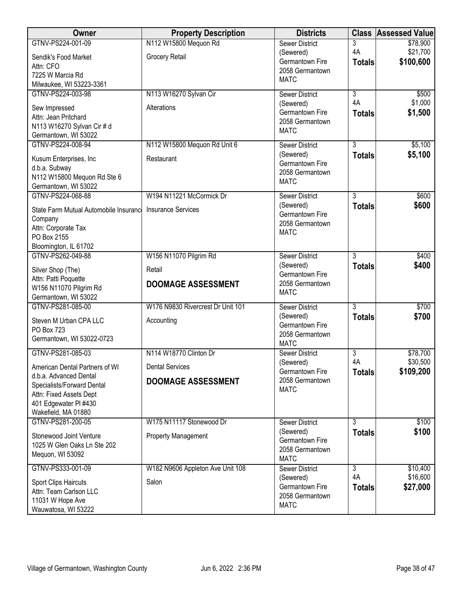| Owner                                      | <b>Property Description</b>       | <b>Districts</b>                   |                | <b>Class Assessed Value</b> |
|--------------------------------------------|-----------------------------------|------------------------------------|----------------|-----------------------------|
| GTNV-PS224-001-09                          | N112 W15800 Mequon Rd             | <b>Sewer District</b>              | 3              | \$78,900                    |
| Sendik's Food Market                       | Grocery Retail                    | (Sewered)                          | 4A             | \$21,700                    |
| Attn: CFO                                  |                                   | Germantown Fire<br>2058 Germantown | <b>Totals</b>  | \$100,600                   |
| 7225 W Marcia Rd                           |                                   | <b>MATC</b>                        |                |                             |
| Milwaukee, WI 53223-3361                   |                                   |                                    |                |                             |
| GTNV-PS224-003-98                          | N113 W16270 Sylvan Cir            | <b>Sewer District</b>              | $\overline{3}$ | \$500                       |
| Sew Impressed                              | Alterations                       | (Sewered)                          | 4A             | \$1,000                     |
| Attn: Jean Pritchard                       |                                   | Germantown Fire<br>2058 Germantown | <b>Totals</b>  | \$1,500                     |
| N113 W16270 Sylvan Cir # d                 |                                   | <b>MATC</b>                        |                |                             |
| Germantown, WI 53022                       |                                   |                                    |                |                             |
| GTNV-PS224-008-94                          | N112 W15800 Mequon Rd Unit 6      | <b>Sewer District</b>              | $\overline{3}$ | \$5,100                     |
| Kusum Enterprises, Inc                     | Restaurant                        | (Sewered)                          | <b>Totals</b>  | \$5,100                     |
| d.b.a. Subway                              |                                   | Germantown Fire<br>2058 Germantown |                |                             |
| N112 W15800 Mequon Rd Ste 6                |                                   | <b>MATC</b>                        |                |                             |
| Germantown, WI 53022                       |                                   |                                    |                |                             |
| GTNV-PS224-068-88                          | W194 N11221 McCormick Dr          | <b>Sewer District</b>              | $\overline{3}$ | \$600                       |
| State Farm Mutual Automobile Insurance     | <b>Insurance Services</b>         | (Sewered)                          | <b>Totals</b>  | \$600                       |
| Company                                    |                                   | Germantown Fire                    |                |                             |
| Attn: Corporate Tax                        |                                   | 2058 Germantown<br><b>MATC</b>     |                |                             |
| PO Box 2155                                |                                   |                                    |                |                             |
| Bloomington, IL 61702                      |                                   |                                    |                |                             |
| GTNV-PS262-049-88                          | W156 N11070 Pilgrim Rd            | <b>Sewer District</b>              | $\overline{3}$ | \$400                       |
| Silver Shop (The)                          | Retail                            | (Sewered)                          | <b>Totals</b>  | \$400                       |
| Attn: Patti Poquette                       |                                   | Germantown Fire<br>2058 Germantown |                |                             |
| W156 N11070 Pilgrim Rd                     | <b>DOOMAGE ASSESSMENT</b>         | <b>MATC</b>                        |                |                             |
| Germantown, WI 53022                       |                                   |                                    |                |                             |
| GTNV-PS281-085-00                          | W176 N9830 Rivercrest Dr Unit 101 | <b>Sewer District</b>              | $\overline{3}$ | \$700                       |
| Steven M Urban CPA LLC                     | Accounting                        | (Sewered)<br>Germantown Fire       | <b>Totals</b>  | \$700                       |
| PO Box 723                                 |                                   | 2058 Germantown                    |                |                             |
| Germantown, WI 53022-0723                  |                                   | <b>MATC</b>                        |                |                             |
| GTNV-PS281-085-03                          | N114 W18770 Clinton Dr            | Sewer District                     | $\overline{3}$ | \$78,700                    |
| American Dental Partners of WI             | <b>Dental Services</b>            | (Sewered)                          | 4A             | \$30,500                    |
| d.b.a. Advanced Dental                     |                                   | Germantown Fire                    | <b>Totals</b>  | \$109,200                   |
| Specialists/Forward Dental                 | <b>DOOMAGE ASSESSMENT</b>         | 2058 Germantown                    |                |                             |
| Attn: Fixed Assets Dept                    |                                   | <b>MATC</b>                        |                |                             |
| 401 Edgewater PI #430                      |                                   |                                    |                |                             |
| Wakefield, MA 01880                        |                                   |                                    |                |                             |
| GTNV-PS281-200-05                          | W175 N11117 Stonewood Dr          | <b>Sewer District</b>              | 3              | \$100                       |
| Stonewood Joint Venture                    | <b>Property Management</b>        | (Sewered)                          | <b>Totals</b>  | \$100                       |
| 1025 W Glen Oaks Ln Ste 202                |                                   | Germantown Fire                    |                |                             |
| Mequon, WI 53092                           |                                   | 2058 Germantown<br><b>MATC</b>     |                |                             |
| GTNV-PS333-001-09                          | W182 N9606 Appleton Ave Unit 108  | <b>Sewer District</b>              | 3              | \$10,400                    |
|                                            |                                   | (Sewered)                          | 4A             | \$16,600                    |
| <b>Sport Clips Haircuts</b>                | Salon                             | Germantown Fire                    | <b>Totals</b>  | \$27,000                    |
| Attn: Team Carlson LLC<br>11031 W Hope Ave |                                   | 2058 Germantown                    |                |                             |
| Wauwatosa, WI 53222                        |                                   | <b>MATC</b>                        |                |                             |
|                                            |                                   |                                    |                |                             |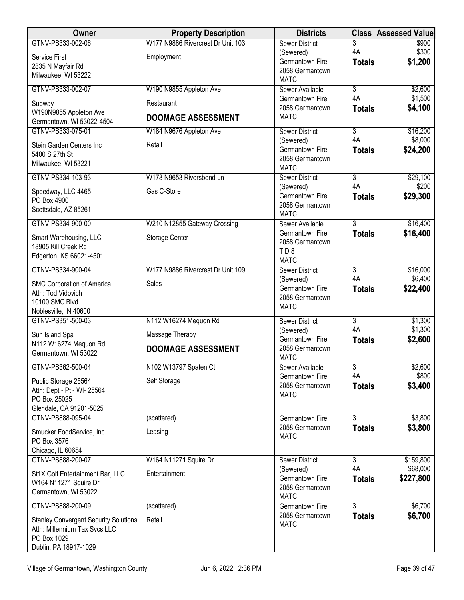| Owner                                        | <b>Property Description</b>       | <b>Districts</b>                   | <b>Class</b>         | <b>Assessed Value</b> |
|----------------------------------------------|-----------------------------------|------------------------------------|----------------------|-----------------------|
| GTNV-PS333-002-06                            | W177 N9886 Rivercrest Dr Unit 103 | <b>Sewer District</b>              | 3                    | \$900                 |
| Service First                                | Employment                        | (Sewered)<br>Germantown Fire       | 4A<br><b>Totals</b>  | \$300<br>\$1,200      |
| 2835 N Mayfair Rd                            |                                   | 2058 Germantown                    |                      |                       |
| Milwaukee, WI 53222                          |                                   | <b>MATC</b>                        |                      |                       |
| GTNV-PS333-002-07                            | W190 N9855 Appleton Ave           | Sewer Available                    | $\overline{3}$       | \$2,600               |
| Subway                                       | Restaurant                        | Germantown Fire<br>2058 Germantown | 4A                   | \$1,500               |
| W190N9855 Appleton Ave                       | <b>DOOMAGE ASSESSMENT</b>         | <b>MATC</b>                        | <b>Totals</b>        | \$4,100               |
| Germantown, WI 53022-4504                    |                                   |                                    |                      |                       |
| GTNV-PS333-075-01                            | W184 N9676 Appleton Ave           | <b>Sewer District</b><br>(Sewered) | $\overline{3}$<br>4A | \$16,200<br>\$8,000   |
| Stein Garden Centers Inc                     | Retail                            | Germantown Fire                    | <b>Totals</b>        | \$24,200              |
| 5400 S 27th St<br>Milwaukee, WI 53221        |                                   | 2058 Germantown                    |                      |                       |
|                                              |                                   | <b>MATC</b>                        |                      |                       |
| GTNV-PS334-103-93                            | W178 N9653 Riversbend Ln          | <b>Sewer District</b><br>(Sewered) | $\overline{3}$<br>4A | \$29,100<br>\$200     |
| Speedway, LLC 4465                           | Gas C-Store                       | Germantown Fire                    | <b>Totals</b>        | \$29,300              |
| PO Box 4900                                  |                                   | 2058 Germantown                    |                      |                       |
| Scottsdale, AZ 85261                         |                                   | <b>MATC</b>                        |                      |                       |
| GTNV-PS334-900-00                            | W210 N12855 Gateway Crossing      | Sewer Available                    | $\overline{3}$       | \$16,400              |
| Smart Warehousing, LLC                       | Storage Center                    | Germantown Fire<br>2058 Germantown | <b>Totals</b>        | \$16,400              |
| 18905 Kill Creek Rd                          |                                   | TID <sub>8</sub>                   |                      |                       |
| Edgerton, KS 66021-4501                      |                                   | <b>MATC</b>                        |                      |                       |
| GTNV-PS334-900-04                            | W177 N9886 Rivercrest Dr Unit 109 | <b>Sewer District</b>              | 3                    | \$16,000              |
| SMC Corporation of America                   | Sales                             | (Sewered)                          | 4A                   | \$6,400               |
| Attn: Tod Vidovich                           |                                   | Germantown Fire<br>2058 Germantown | <b>Totals</b>        | \$22,400              |
| 10100 SMC Blvd                               |                                   | <b>MATC</b>                        |                      |                       |
| Noblesville, IN 40600<br>GTNV-PS351-500-03   | N112 W16274 Mequon Rd             |                                    | $\overline{3}$       | \$1,300               |
|                                              |                                   | <b>Sewer District</b><br>(Sewered) | 4A                   | \$1,300               |
| Sun Island Spa<br>N112 W16274 Mequon Rd      | Massage Therapy                   | Germantown Fire                    | <b>Totals</b>        | \$2,600               |
| Germantown, WI 53022                         | <b>DOOMAGE ASSESSMENT</b>         | 2058 Germantown                    |                      |                       |
| GTNV-PS362-500-04                            | N102 W13797 Spaten Ct             | <b>MATC</b>                        | $\overline{3}$       | \$2,600               |
|                                              |                                   | Sewer Available<br>Germantown Fire | 4A                   | \$800                 |
| Public Storage 25564                         | Self Storage                      | 2058 Germantown                    | <b>Totals</b>        | \$3,400               |
| Attn: Dept - Pt - WI- 25564<br>PO Box 25025  |                                   | <b>MATC</b>                        |                      |                       |
| Glendale, CA 91201-5025                      |                                   |                                    |                      |                       |
| GTNV-PS888-095-04                            | (scattered)                       | <b>Germantown Fire</b>             | $\overline{3}$       | \$3,800               |
| Smucker FoodService, Inc                     | Leasing                           | 2058 Germantown                    | <b>Totals</b>        | \$3,800               |
| PO Box 3576                                  |                                   | <b>MATC</b>                        |                      |                       |
| Chicago, IL 60654                            |                                   |                                    |                      |                       |
| GTNV-PS888-200-07                            | W164 N11271 Squire Dr             | <b>Sewer District</b>              | $\overline{3}$       | \$159,800             |
| St1X Golf Entertainment Bar, LLC             | Entertainment                     | (Sewered)                          | 4A                   | \$68,000              |
| W164 N11271 Squire Dr                        |                                   | Germantown Fire<br>2058 Germantown | <b>Totals</b>        | \$227,800             |
| Germantown, WI 53022                         |                                   | <b>MATC</b>                        |                      |                       |
| GTNV-PS888-200-09                            | (scattered)                       | <b>Germantown Fire</b>             | $\overline{3}$       | \$6,700               |
| <b>Stanley Convergent Security Solutions</b> | Retail                            | 2058 Germantown                    | <b>Totals</b>        | \$6,700               |
| Attn: Millennium Tax Svcs LLC                |                                   | <b>MATC</b>                        |                      |                       |
| PO Box 1029                                  |                                   |                                    |                      |                       |
| Dublin, PA 18917-1029                        |                                   |                                    |                      |                       |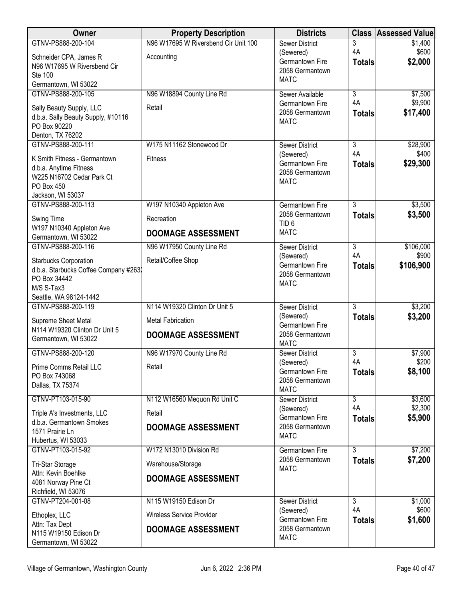| <b>Owner</b>                                            | <b>Property Description</b>          | <b>Districts</b>                          | <b>Class</b>                    | <b>Assessed Value</b> |
|---------------------------------------------------------|--------------------------------------|-------------------------------------------|---------------------------------|-----------------------|
| GTNV-PS888-200-104                                      | N96 W17695 W Riversbend Cir Unit 100 | <b>Sewer District</b>                     | 3                               | \$1,400               |
| Schneider CPA, James R                                  | Accounting                           | (Sewered)<br>Germantown Fire              | 4A<br><b>Totals</b>             | \$600<br>\$2,000      |
| N96 W17695 W Riversbend Cir<br>Ste 100                  |                                      | 2058 Germantown                           |                                 |                       |
| Germantown, WI 53022                                    |                                      | <b>MATC</b>                               |                                 |                       |
| GTNV-PS888-200-105                                      | N96 W18894 County Line Rd            | Sewer Available                           | $\overline{3}$                  | \$7,500               |
| Sally Beauty Supply, LLC                                | Retail                               | Germantown Fire                           | 4A                              | \$9,900               |
| d.b.a. Sally Beauty Supply, #10116                      |                                      | 2058 Germantown<br><b>MATC</b>            | <b>Totals</b>                   | \$17,400              |
| PO Box 90220                                            |                                      |                                           |                                 |                       |
| Denton, TX 76202<br>GTNV-PS888-200-111                  | W175 N11162 Stonewood Dr             | <b>Sewer District</b>                     | $\overline{3}$                  | \$28,900              |
|                                                         |                                      | (Sewered)                                 | 4A                              | \$400                 |
| K Smith Fitness - Germantown<br>d.b.a. Anytime Fitness  | <b>Fitness</b>                       | Germantown Fire                           | <b>Totals</b>                   | \$29,300              |
| W225 N16702 Cedar Park Ct                               |                                      | 2058 Germantown<br><b>MATC</b>            |                                 |                       |
| PO Box 450                                              |                                      |                                           |                                 |                       |
| Jackson, WI 53037<br>GTNV-PS888-200-113                 | W197 N10340 Appleton Ave             | Germantown Fire                           | $\overline{3}$                  | \$3,500               |
|                                                         | Recreation                           | 2058 Germantown                           | <b>Totals</b>                   | \$3,500               |
| Swing Time<br>W197 N10340 Appleton Ave                  |                                      | TID <sub>6</sub>                          |                                 |                       |
| Germantown, WI 53022                                    | <b>DOOMAGE ASSESSMENT</b>            | <b>MATC</b>                               |                                 |                       |
| GTNV-PS888-200-116                                      | N96 W17950 County Line Rd            | <b>Sewer District</b>                     | $\overline{3}$                  | \$106,000             |
| Starbucks Corporation                                   | Retail/Coffee Shop                   | (Sewered)<br>Germantown Fire              | 4A<br><b>Totals</b>             | \$900<br>\$106,900    |
| d.b.a. Starbucks Coffee Company #2632                   |                                      | 2058 Germantown                           |                                 |                       |
| PO Box 34442<br>M/S S-Tax3                              |                                      | <b>MATC</b>                               |                                 |                       |
| Seattle, WA 98124-1442                                  |                                      |                                           |                                 |                       |
| GTNV-PS888-200-119                                      | N114 W19320 Clinton Dr Unit 5        | <b>Sewer District</b>                     | $\overline{3}$                  | \$3,200               |
| Supreme Sheet Metal                                     | <b>Metal Fabrication</b>             | (Sewered)<br>Germantown Fire              | <b>Totals</b>                   | \$3,200               |
| N114 W19320 Clinton Dr Unit 5<br>Germantown, WI 53022   | <b>DOOMAGE ASSESSMENT</b>            | 2058 Germantown                           |                                 |                       |
|                                                         |                                      | <b>MATC</b>                               |                                 |                       |
| GTNV-PS888-200-120                                      | N96 W17970 County Line Rd            | Sewer District<br>(Sewered)               | $\overline{3}$<br>4A            | \$7,900<br>\$200      |
| Prime Comms Retail LLC                                  | Retail                               | Germantown Fire                           | <b>Totals</b>                   | \$8,100               |
| PO Box 743068<br>Dallas, TX 75374                       |                                      | 2058 Germantown                           |                                 |                       |
| GTNV-PT103-015-90                                       | N112 W16560 Mequon Rd Unit C         | <b>MATC</b><br><b>Sewer District</b>      | $\overline{3}$                  | \$3,600               |
|                                                         |                                      | (Sewered)                                 | 4A                              | \$2,300               |
| Triple A's Investments, LLC<br>d.b.a. Germantown Smokes | Retail                               | Germantown Fire                           | <b>Totals</b>                   | \$5,900               |
| 1571 Prairie Ln                                         | <b>DOOMAGE ASSESSMENT</b>            | 2058 Germantown<br><b>MATC</b>            |                                 |                       |
| Hubertus, WI 53033                                      |                                      |                                           |                                 |                       |
| GTNV-PT103-015-92                                       | W172 N13010 Division Rd              | <b>Germantown Fire</b><br>2058 Germantown | $\overline{3}$<br><b>Totals</b> | \$7,200<br>\$7,200    |
| Tri-Star Storage                                        | Warehouse/Storage                    | <b>MATC</b>                               |                                 |                       |
| Attn: Kevin Boehlke<br>4081 Norway Pine Ct              | <b>DOOMAGE ASSESSMENT</b>            |                                           |                                 |                       |
| Richfield, WI 53076                                     |                                      |                                           |                                 |                       |
| GTNV-PT204-001-08                                       | N115 W19150 Edison Dr                | <b>Sewer District</b>                     | $\overline{3}$                  | \$1,000               |
| Ethoplex, LLC                                           | Wireless Service Provider            | (Sewered)<br>Germantown Fire              | 4A<br><b>Totals</b>             | \$600<br>\$1,600      |
| Attn: Tax Dept<br>N115 W19150 Edison Dr                 | <b>DOOMAGE ASSESSMENT</b>            | 2058 Germantown                           |                                 |                       |
| Germantown, WI 53022                                    |                                      | <b>MATC</b>                               |                                 |                       |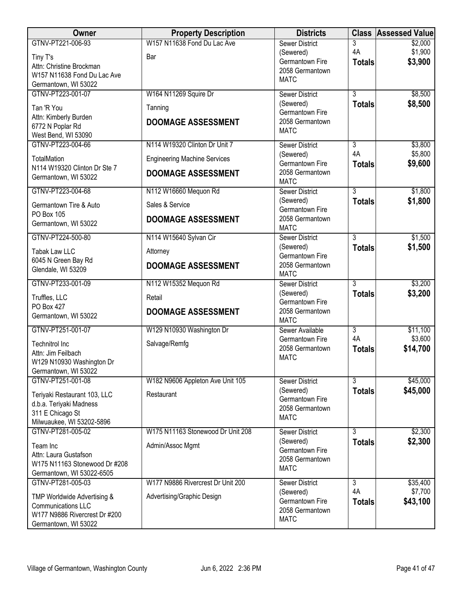| Owner                                                | <b>Property Description</b>         | <b>Districts</b>                     |                     | <b>Class Assessed Value</b> |
|------------------------------------------------------|-------------------------------------|--------------------------------------|---------------------|-----------------------------|
| GTNV-PT221-006-93                                    | W157 N11638 Fond Du Lac Ave         | <b>Sewer District</b>                | 3                   | \$2,000                     |
| Tiny T's                                             | Bar                                 | (Sewered)                            | 4A                  | \$1,900                     |
| Attn: Christine Brockman                             |                                     | Germantown Fire                      | <b>Totals</b>       | \$3,900                     |
| W157 N11638 Fond Du Lac Ave                          |                                     | 2058 Germantown<br><b>MATC</b>       |                     |                             |
| Germantown, WI 53022                                 |                                     |                                      |                     |                             |
| GTNV-PT223-001-07                                    | W164 N11269 Squire Dr               | <b>Sewer District</b>                | $\overline{3}$      | \$8,500                     |
| Tan 'R You                                           | Tanning                             | (Sewered)                            | <b>Totals</b>       | \$8,500                     |
| Attn: Kimberly Burden                                |                                     | Germantown Fire                      |                     |                             |
| 6772 N Poplar Rd                                     | <b>DOOMAGE ASSESSMENT</b>           | 2058 Germantown                      |                     |                             |
| West Bend, WI 53090                                  |                                     | <b>MATC</b>                          |                     |                             |
| GTNV-PT223-004-66                                    | N114 W19320 Clinton Dr Unit 7       | <b>Sewer District</b>                | $\overline{3}$      | \$3,800                     |
| TotalMation                                          | <b>Engineering Machine Services</b> | (Sewered)<br>Germantown Fire         | 4A<br><b>Totals</b> | \$5,800<br>\$9,600          |
| N114 W19320 Clinton Dr Ste 7<br>Germantown, WI 53022 | <b>DOOMAGE ASSESSMENT</b>           | 2058 Germantown                      |                     |                             |
|                                                      |                                     | <b>MATC</b>                          |                     |                             |
| GTNV-PT223-004-68                                    | N112 W16660 Mequon Rd               | <b>Sewer District</b>                | $\overline{3}$      | \$1,800                     |
| Germantown Tire & Auto<br><b>PO Box 105</b>          | Sales & Service                     | (Sewered)<br>Germantown Fire         | <b>Totals</b>       | \$1,800                     |
| Germantown, WI 53022                                 | <b>DOOMAGE ASSESSMENT</b>           | 2058 Germantown                      |                     |                             |
| GTNV-PT224-500-80                                    | N114 W15640 Sylvan Cir              | <b>MATC</b><br><b>Sewer District</b> | $\overline{3}$      | \$1,500                     |
|                                                      |                                     | (Sewered)                            | <b>Totals</b>       | \$1,500                     |
| <b>Tabak Law LLC</b>                                 | Attorney                            | Germantown Fire                      |                     |                             |
| 6045 N Green Bay Rd<br>Glendale, WI 53209            | <b>DOOMAGE ASSESSMENT</b>           | 2058 Germantown                      |                     |                             |
|                                                      |                                     | <b>MATC</b>                          |                     |                             |
| GTNV-PT233-001-09                                    | N112 W15352 Mequon Rd               | <b>Sewer District</b>                | $\overline{3}$      | \$3,200                     |
| Truffles, LLC                                        | Retail                              | (Sewered)<br>Germantown Fire         | <b>Totals</b>       | \$3,200                     |
| <b>PO Box 427</b>                                    | <b>DOOMAGE ASSESSMENT</b>           | 2058 Germantown                      |                     |                             |
| Germantown, WI 53022                                 |                                     | <b>MATC</b>                          |                     |                             |
| GTNV-PT251-001-07                                    | W129 N10930 Washington Dr           | Sewer Available                      | $\overline{3}$      | \$11,100                    |
| <b>Technitrol Inc</b>                                | Salvage/Remfg                       | Germantown Fire                      | 4A                  | \$3,600                     |
| Attn: Jim Feilbach                                   |                                     | 2058 Germantown                      | <b>Totals</b>       | \$14,700                    |
| W129 N10930 Washington Dr                            |                                     | <b>MATC</b>                          |                     |                             |
| Germantown, WI 53022                                 |                                     |                                      |                     |                             |
| GTNV-PT251-001-08                                    | W182 N9606 Appleton Ave Unit 105    | <b>Sewer District</b>                | 3                   | \$45,000                    |
| Teriyaki Restaurant 103, LLC                         | Restaurant                          | (Sewered)                            | <b>Totals</b>       | \$45,000                    |
| d.b.a. Teriyaki Madness                              |                                     | Germantown Fire                      |                     |                             |
| 311 E Chicago St                                     |                                     | 2058 Germantown<br><b>MATC</b>       |                     |                             |
| Milwuaukee, WI 53202-5896                            |                                     |                                      |                     |                             |
| GTNV-PT281-005-02                                    | W175 N11163 Stonewood Dr Unit 208   | <b>Sewer District</b>                | 3                   | \$2,300                     |
| Team Inc                                             | Admin/Assoc Mgmt                    | (Sewered)                            | <b>Totals</b>       | \$2,300                     |
| Attn: Laura Gustafson                                |                                     | Germantown Fire<br>2058 Germantown   |                     |                             |
| W175 N11163 Stonewood Dr #208                        |                                     | <b>MATC</b>                          |                     |                             |
| Germantown, WI 53022-6505                            |                                     |                                      |                     |                             |
| GTNV-PT281-005-03                                    | W177 N9886 Rivercrest Dr Unit 200   | <b>Sewer District</b>                | $\overline{3}$      | \$35,400                    |
| TMP Worldwide Advertising &                          | Advertising/Graphic Design          | (Sewered)                            | 4A                  | \$7,700                     |
| <b>Communications LLC</b>                            |                                     | Germantown Fire<br>2058 Germantown   | <b>Totals</b>       | \$43,100                    |
| W177 N9886 Rivercrest Dr #200                        |                                     | <b>MATC</b>                          |                     |                             |
| Germantown, WI 53022                                 |                                     |                                      |                     |                             |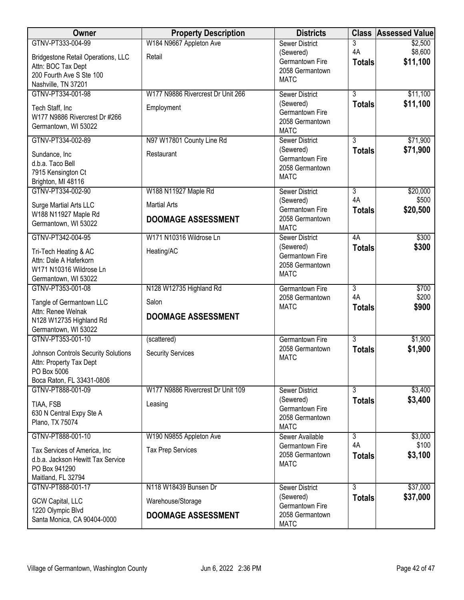| Owner                                                                                                      | <b>Property Description</b>                     | <b>Districts</b>                                                         |                                 | <b>Class Assessed Value</b> |
|------------------------------------------------------------------------------------------------------------|-------------------------------------------------|--------------------------------------------------------------------------|---------------------------------|-----------------------------|
| GTNV-PT333-004-99<br><b>Bridgestone Retail Operations, LLC</b>                                             | W184 N9667 Appleton Ave<br>Retail               | <b>Sewer District</b><br>(Sewered)                                       | 3<br>4A                         | \$2,500<br>\$8,600          |
| Attn: BOC Tax Dept<br>200 Fourth Ave S Ste 100                                                             |                                                 | Germantown Fire<br>2058 Germantown<br><b>MATC</b>                        | <b>Totals</b>                   | \$11,100                    |
| Nashville, TN 37201                                                                                        |                                                 |                                                                          |                                 |                             |
| GTNV-PT334-001-98<br>Tech Staff, Inc<br>W177 N9886 Rivercrest Dr #266                                      | W177 N9886 Rivercrest Dr Unit 266<br>Employment | <b>Sewer District</b><br>(Sewered)<br>Germantown Fire<br>2058 Germantown | $\overline{3}$<br><b>Totals</b> | \$11,100<br>\$11,100        |
| Germantown, WI 53022                                                                                       |                                                 | <b>MATC</b>                                                              |                                 |                             |
| GTNV-PT334-002-89<br>Sundance, Inc.                                                                        | N97 W17801 County Line Rd<br>Restaurant         | <b>Sewer District</b><br>(Sewered)<br>Germantown Fire                    | $\overline{3}$<br><b>Totals</b> | \$71,900<br>\$71,900        |
| d.b.a. Taco Bell<br>7915 Kensington Ct<br>Brighton, MI 48116                                               |                                                 | 2058 Germantown<br><b>MATC</b>                                           |                                 |                             |
| GTNV-PT334-002-90<br>Surge Martial Arts LLC                                                                | W188 N11927 Maple Rd<br><b>Martial Arts</b>     | <b>Sewer District</b><br>(Sewered)                                       | $\overline{3}$<br>4A            | \$20,000<br>\$500           |
| W188 N11927 Maple Rd<br>Germantown, WI 53022                                                               | <b>DOOMAGE ASSESSMENT</b>                       | Germantown Fire<br>2058 Germantown<br><b>MATC</b>                        | <b>Totals</b>                   | \$20,500                    |
| GTNV-PT342-004-95                                                                                          | W171 N10316 Wildrose Ln                         | <b>Sewer District</b>                                                    | 4A                              | \$300                       |
| Tri-Tech Heating & AC<br>Attn: Dale A Haferkorn<br>W171 N10316 Wildrose Ln<br>Germantown, WI 53022         | Heating/AC                                      | (Sewered)<br>Germantown Fire<br>2058 Germantown<br><b>MATC</b>           | <b>Totals</b>                   | \$300                       |
| GTNV-PT353-001-08                                                                                          | N128 W12735 Highland Rd                         | <b>Germantown Fire</b>                                                   | $\overline{3}$                  | \$700                       |
| Tangle of Germantown LLC<br>Attn: Renee Welnak<br>N128 W12735 Highland Rd<br>Germantown, WI 53022          | Salon<br><b>DOOMAGE ASSESSMENT</b>              | 2058 Germantown<br><b>MATC</b>                                           | 4A<br><b>Totals</b>             | \$200<br>\$900              |
| GTNV-PT353-001-10                                                                                          | (scattered)                                     | <b>Germantown Fire</b>                                                   | $\overline{3}$                  | \$1,900                     |
| Johnson Controls Security Solutions<br>Attn: Property Tax Dept<br>PO Box 5006<br>Boca Raton, FL 33431-0806 | <b>Security Services</b>                        | 2058 Germantown<br><b>MATC</b>                                           | <b>Totals</b>                   | \$1,900                     |
| GTNV-PT888-001-09                                                                                          | W177 N9886 Rivercrest Dr Unit 109               | <b>Sewer District</b>                                                    | $\overline{3}$                  | \$3,400                     |
| TIAA, FSB<br>630 N Central Expy Ste A<br>Plano, TX 75074                                                   | Leasing                                         | (Sewered)<br>Germantown Fire<br>2058 Germantown<br><b>MATC</b>           | <b>Totals</b>                   | \$3,400                     |
| GTNV-PT888-001-10                                                                                          | W190 N9855 Appleton Ave                         | Sewer Available                                                          | $\overline{3}$                  | \$3,000                     |
| Tax Services of America, Inc.<br>d.b.a. Jackson Hewitt Tax Service<br>PO Box 941290<br>Maitland, FL 32794  | <b>Tax Prep Services</b>                        | Germantown Fire<br>2058 Germantown<br><b>MATC</b>                        | 4A<br><b>Totals</b>             | \$100<br>\$3,100            |
| GTNV-PT888-001-17                                                                                          | N118 W18439 Bunsen Dr                           | <b>Sewer District</b>                                                    | $\overline{3}$                  | \$37,000                    |
| <b>GCW Capital, LLC</b><br>1220 Olympic Blvd                                                               | Warehouse/Storage                               | (Sewered)<br>Germantown Fire                                             | <b>Totals</b>                   | \$37,000                    |
| Santa Monica, CA 90404-0000                                                                                | <b>DOOMAGE ASSESSMENT</b>                       | 2058 Germantown<br><b>MATC</b>                                           |                                 |                             |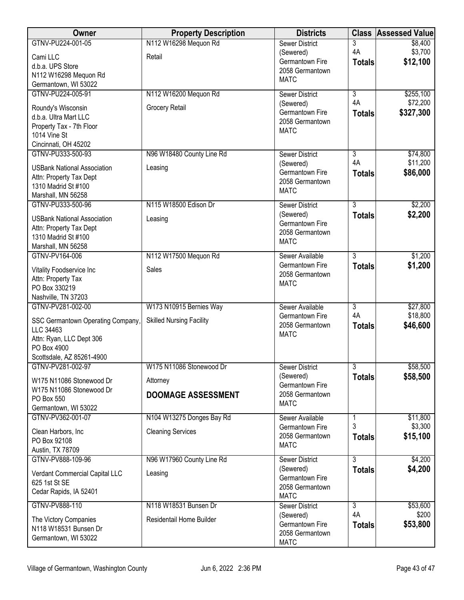| Owner                                                         | <b>Property Description</b>     | <b>Districts</b>                   | <b>Class</b>         | <b>Assessed Value</b> |
|---------------------------------------------------------------|---------------------------------|------------------------------------|----------------------|-----------------------|
| GTNV-PU224-001-05                                             | N112 W16298 Mequon Rd           | <b>Sewer District</b>              | 3                    | \$8,400               |
| Cami LLC                                                      | Retail                          | (Sewered)<br>Germantown Fire       | 4A                   | \$3,700               |
| d.b.a. UPS Store                                              |                                 | 2058 Germantown                    | <b>Totals</b>        | \$12,100              |
| N112 W16298 Mequon Rd                                         |                                 | <b>MATC</b>                        |                      |                       |
| Germantown, WI 53022                                          |                                 |                                    | $\overline{3}$       |                       |
| GTNV-PU224-005-91                                             | N112 W16200 Mequon Rd           | <b>Sewer District</b><br>(Sewered) | 4A                   | \$255,100<br>\$72,200 |
| Roundy's Wisconsin                                            | Grocery Retail                  | Germantown Fire                    | <b>Totals</b>        | \$327,300             |
| d.b.a. Ultra Mart LLC                                         |                                 | 2058 Germantown                    |                      |                       |
| Property Tax - 7th Floor                                      |                                 | <b>MATC</b>                        |                      |                       |
| 1014 Vine St<br>Cincinnati, OH 45202                          |                                 |                                    |                      |                       |
| GTNV-PU333-500-93                                             | N96 W18480 County Line Rd       | <b>Sewer District</b>              | $\overline{3}$       | \$74,800              |
|                                                               |                                 | (Sewered)                          | 4A                   | \$11,200              |
| <b>USBank National Association</b><br>Attn: Property Tax Dept | Leasing                         | Germantown Fire                    | <b>Totals</b>        | \$86,000              |
| 1310 Madrid St #100                                           |                                 | 2058 Germantown                    |                      |                       |
| Marshall, MN 56258                                            |                                 | <b>MATC</b>                        |                      |                       |
| GTNV-PU333-500-96                                             | N115 W18500 Edison Dr           | <b>Sewer District</b>              | $\overline{3}$       | \$2,200               |
| <b>USBank National Association</b>                            | Leasing                         | (Sewered)                          | <b>Totals</b>        | \$2,200               |
| Attn: Property Tax Dept                                       |                                 | Germantown Fire                    |                      |                       |
| 1310 Madrid St #100                                           |                                 | 2058 Germantown                    |                      |                       |
| Marshall, MN 56258                                            |                                 | <b>MATC</b>                        |                      |                       |
| GTNV-PV164-006                                                | N112 W17500 Mequon Rd           | Sewer Available                    | $\overline{3}$       | \$1,200               |
| Vitality Foodservice Inc                                      | Sales                           | Germantown Fire                    | <b>Totals</b>        | \$1,200               |
| Attn: Property Tax                                            |                                 | 2058 Germantown<br><b>MATC</b>     |                      |                       |
| PO Box 330219                                                 |                                 |                                    |                      |                       |
| Nashville, TN 37203                                           |                                 |                                    |                      |                       |
| GTNV-PV281-002-00                                             | W173 N10915 Bernies Way         | Sewer Available                    | $\overline{3}$<br>4A | \$27,800              |
| SSC Germantown Operating Company,                             | <b>Skilled Nursing Facility</b> | Germantown Fire<br>2058 Germantown |                      | \$18,800<br>\$46,600  |
| LLC 34463                                                     |                                 | <b>MATC</b>                        | <b>Totals</b>        |                       |
| Attn: Ryan, LLC Dept 306                                      |                                 |                                    |                      |                       |
| PO Box 4900<br>Scottsdale, AZ 85261-4900                      |                                 |                                    |                      |                       |
| GTNV-PV281-002-97                                             | W175 N11086 Stonewood Dr        | <b>Sewer District</b>              | $\overline{3}$       | \$58,500              |
|                                                               |                                 | (Sewered)                          | <b>Totals</b>        | \$58,500              |
| W175 N11086 Stonewood Dr<br>W175 N11086 Stonewood Dr          | Attorney                        | Germantown Fire                    |                      |                       |
| PO Box 550                                                    | <b>DOOMAGE ASSESSMENT</b>       | 2058 Germantown                    |                      |                       |
| Germantown, WI 53022                                          |                                 | <b>MATC</b>                        |                      |                       |
| GTNV-PV362-001-07                                             | N104 W13275 Donges Bay Rd       | Sewer Available                    |                      | \$11,800              |
| Clean Harbors, Inc.                                           | <b>Cleaning Services</b>        | Germantown Fire                    | 3                    | \$3,300               |
| PO Box 92108                                                  |                                 | 2058 Germantown                    | <b>Totals</b>        | \$15,100              |
| Austin, TX 78709                                              |                                 | <b>MATC</b>                        |                      |                       |
| GTNV-PV888-109-96                                             | N96 W17960 County Line Rd       | Sewer District                     | $\overline{3}$       | \$4,200               |
| Verdant Commercial Capital LLC                                | Leasing                         | (Sewered)                          | <b>Totals</b>        | \$4,200               |
| 625 1st St SE                                                 |                                 | Germantown Fire<br>2058 Germantown |                      |                       |
| Cedar Rapids, IA 52401                                        |                                 | <b>MATC</b>                        |                      |                       |
| GTNV-PV888-110                                                | N118 W18531 Bunsen Dr           | Sewer District                     | $\overline{3}$       | \$53,600              |
| The Victory Companies                                         | Residentail Home Builder        | (Sewered)                          | 4A                   | \$200                 |
| N118 W18531 Bunsen Dr                                         |                                 | Germantown Fire                    | <b>Totals</b>        | \$53,800              |
| Germantown, WI 53022                                          |                                 | 2058 Germantown                    |                      |                       |
|                                                               |                                 | <b>MATC</b>                        |                      |                       |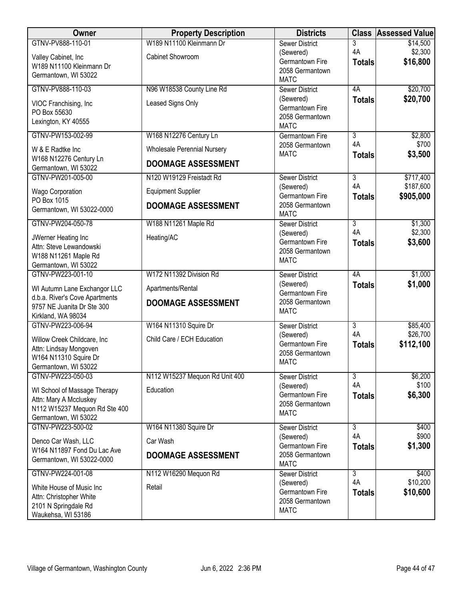| Owner                                                   | <b>Property Description</b>        | <b>Districts</b>                          |                      | <b>Class Assessed Value</b> |
|---------------------------------------------------------|------------------------------------|-------------------------------------------|----------------------|-----------------------------|
| GTNV-PV888-110-01                                       | W189 N11100 Kleinmann Dr           | <b>Sewer District</b>                     | 3                    | \$14,500                    |
| Valley Cabinet, Inc                                     | Cabinet Showroom                   | (Sewered)<br>Germantown Fire              | 4A<br><b>Totals</b>  | \$2,300<br>\$16,800         |
| W189 N11100 Kleinmann Dr                                |                                    | 2058 Germantown                           |                      |                             |
| Germantown, WI 53022                                    |                                    | <b>MATC</b>                               |                      |                             |
| GTNV-PV888-110-03                                       | N96 W18538 County Line Rd          | <b>Sewer District</b>                     | 4A                   | \$20,700                    |
| VIOC Franchising, Inc.                                  | Leased Signs Only                  | (Sewered)<br>Germantown Fire              | <b>Totals</b>        | \$20,700                    |
| PO Box 55630                                            |                                    | 2058 Germantown                           |                      |                             |
| Lexington, KY 40555                                     |                                    | <b>MATC</b>                               |                      |                             |
| GTNV-PW153-002-99                                       | W168 N12276 Century Ln             | <b>Germantown Fire</b><br>2058 Germantown | $\overline{3}$<br>4A | \$2,800<br>\$700            |
| W & E Radtke Inc                                        | <b>Wholesale Perennial Nursery</b> | <b>MATC</b>                               | <b>Totals</b>        | \$3,500                     |
| W168 N12276 Century Ln<br>Germantown, WI 53022          | <b>DOOMAGE ASSESSMENT</b>          |                                           |                      |                             |
| GTNV-PW201-005-00                                       | N120 W19129 Freistadt Rd           | <b>Sewer District</b>                     | $\overline{3}$       | \$717,400                   |
| Wago Corporation                                        | <b>Equipment Supplier</b>          | (Sewered)                                 | 4A                   | \$187,600                   |
| PO Box 1015                                             |                                    | Germantown Fire                           | <b>Totals</b>        | \$905,000                   |
| Germantown, WI 53022-0000                               | <b>DOOMAGE ASSESSMENT</b>          | 2058 Germantown<br><b>MATC</b>            |                      |                             |
| GTNV-PW204-050-78                                       | W188 N11261 Maple Rd               | <b>Sewer District</b>                     | $\overline{3}$       | \$1,300                     |
| JWerner Heating Inc                                     | Heating/AC                         | (Sewered)<br>Germantown Fire              | 4A<br><b>Totals</b>  | \$2,300<br>\$3,600          |
| Attn: Steve Lewandowski                                 |                                    | 2058 Germantown                           |                      |                             |
| W188 N11261 Maple Rd<br>Germantown, WI 53022            |                                    | <b>MATC</b>                               |                      |                             |
| GTNV-PW223-001-10                                       | W172 N11392 Division Rd            | <b>Sewer District</b>                     | 4A                   | \$1,000                     |
| WI Autumn Lane Exchangor LLC                            | Apartments/Rental                  | (Sewered)                                 | <b>Totals</b>        | \$1,000                     |
| d.b.a. River's Cove Apartments                          | <b>DOOMAGE ASSESSMENT</b>          | Germantown Fire<br>2058 Germantown        |                      |                             |
| 9757 NE Juanita Dr Ste 300                              |                                    | <b>MATC</b>                               |                      |                             |
| Kirkland, WA 98034<br>GTNV-PW223-006-94                 | W164 N11310 Squire Dr              | <b>Sewer District</b>                     | 3                    | \$85,400                    |
|                                                         | Child Care / ECH Education         | (Sewered)                                 | 4A                   | \$26,700                    |
| Willow Creek Childcare, Inc<br>Attn: Lindsay Mongoven   |                                    | Germantown Fire                           | <b>Totals</b>        | \$112,100                   |
| W164 N11310 Squire Dr                                   |                                    | 2058 Germantown<br><b>MATC</b>            |                      |                             |
| Germantown, WI 53022                                    |                                    |                                           |                      |                             |
| GTNV-PW223-050-03                                       | N112 W15237 Mequon Rd Unit 400     | <b>Sewer District</b>                     | $\overline{3}$<br>4A | \$6,200<br>\$100            |
| WI School of Massage Therapy                            | Education                          | (Sewered)<br>Germantown Fire              | <b>Totals</b>        | \$6,300                     |
| Attn: Mary A Mccluskey<br>N112 W15237 Mequon Rd Ste 400 |                                    | 2058 Germantown                           |                      |                             |
| Germantown, WI 53022                                    |                                    | <b>MATC</b>                               |                      |                             |
| GTNV-PW223-500-02                                       | W164 N11380 Squire Dr              | <b>Sewer District</b>                     | $\overline{3}$       | \$400                       |
| Denco Car Wash, LLC                                     | Car Wash                           | (Sewered)                                 | 4A                   | \$900                       |
| W164 N11897 Fond Du Lac Ave                             | <b>DOOMAGE ASSESSMENT</b>          | Germantown Fire<br>2058 Germantown        | <b>Totals</b>        | \$1,300                     |
| Germantown, WI 53022-0000                               |                                    | <b>MATC</b>                               |                      |                             |
| GTNV-PW224-001-08                                       | N112 W16290 Mequon Rd              | <b>Sewer District</b>                     | 3                    | \$400                       |
| White House of Music Inc                                | Retail                             | (Sewered)<br>Germantown Fire              | 4A                   | \$10,200                    |
| Attn: Christopher White                                 |                                    | 2058 Germantown                           | <b>Totals</b>        | \$10,600                    |
| 2101 N Springdale Rd<br>Waukehsa, WI 53186              |                                    | <b>MATC</b>                               |                      |                             |
|                                                         |                                    |                                           |                      |                             |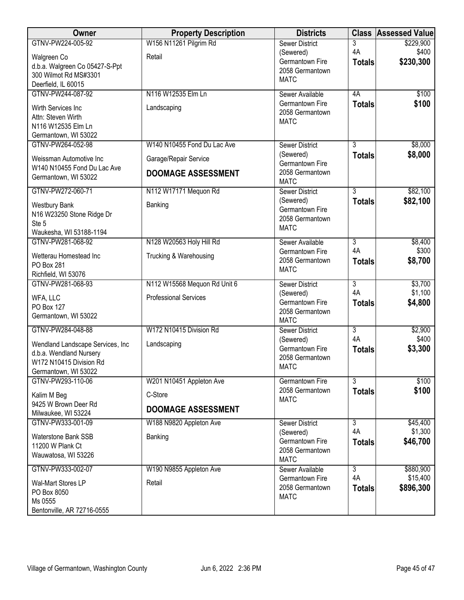| Owner                                     | <b>Property Description</b>  | <b>Districts</b>                   |                      | <b>Class Assessed Value</b> |
|-------------------------------------------|------------------------------|------------------------------------|----------------------|-----------------------------|
| GTNV-PW224-005-92                         | W156 N11261 Pilgrim Rd       | <b>Sewer District</b>              | 3                    | \$229,900                   |
| Walgreen Co                               | Retail                       | (Sewered)                          | 4A                   | \$400                       |
| d.b.a. Walgreen Co 05427-S-Ppt            |                              | Germantown Fire<br>2058 Germantown | <b>Totals</b>        | \$230,300                   |
| 300 Wilmot Rd MS#3301                     |                              | <b>MATC</b>                        |                      |                             |
| Deerfield, IL 60015                       |                              |                                    |                      |                             |
| GTNV-PW244-087-92                         | N116 W12535 Elm Ln           | Sewer Available<br>Germantown Fire | 4A                   | \$100                       |
| Wirth Services Inc                        | Landscaping                  | 2058 Germantown                    | <b>Totals</b>        | \$100                       |
| Attn: Steven Wirth                        |                              | <b>MATC</b>                        |                      |                             |
| N116 W12535 Elm Ln                        |                              |                                    |                      |                             |
| Germantown, WI 53022<br>GTNV-PW264-052-98 | W140 N10455 Fond Du Lac Ave  | <b>Sewer District</b>              | $\overline{3}$       | \$8,000                     |
|                                           |                              | (Sewered)                          | <b>Totals</b>        | \$8,000                     |
| Weissman Automotive Inc                   | Garage/Repair Service        | Germantown Fire                    |                      |                             |
| W140 N10455 Fond Du Lac Ave               | <b>DOOMAGE ASSESSMENT</b>    | 2058 Germantown                    |                      |                             |
| Germantown, WI 53022                      |                              | <b>MATC</b>                        |                      |                             |
| GTNV-PW272-060-71                         | N112 W17171 Mequon Rd        | <b>Sewer District</b>              | $\overline{3}$       | \$82,100                    |
| <b>Westbury Bank</b>                      | Banking                      | (Sewered)                          | <b>Totals</b>        | \$82,100                    |
| N16 W23250 Stone Ridge Dr                 |                              | Germantown Fire<br>2058 Germantown |                      |                             |
| Ste 5                                     |                              | <b>MATC</b>                        |                      |                             |
| Waukesha, WI 53188-1194                   |                              |                                    |                      |                             |
| GTNV-PW281-068-92                         | N128 W20563 Holy Hill Rd     | Sewer Available                    | $\overline{3}$       | \$8,400                     |
| Wetterau Homestead Inc                    | Trucking & Warehousing       | Germantown Fire<br>2058 Germantown | 4A                   | \$300<br>\$8,700            |
| PO Box 281                                |                              | <b>MATC</b>                        | <b>Totals</b>        |                             |
| Richfield, WI 53076                       |                              |                                    |                      |                             |
| GTNV-PW281-068-93                         | N112 W15568 Mequon Rd Unit 6 | Sewer District                     | $\overline{3}$<br>4A | \$3,700<br>\$1,100          |
| WFA, LLC                                  | <b>Professional Services</b> | (Sewered)<br>Germantown Fire       | <b>Totals</b>        | \$4,800                     |
| PO Box 127                                |                              | 2058 Germantown                    |                      |                             |
| Germantown, WI 53022                      |                              | <b>MATC</b>                        |                      |                             |
| GTNV-PW284-048-88                         | W172 N10415 Division Rd      | <b>Sewer District</b>              | $\overline{3}$       | \$2,900                     |
| Wendland Landscape Services, Inc          | Landscaping                  | (Sewered)                          | 4A                   | \$400                       |
| d.b.a. Wendland Nursery                   |                              | Germantown Fire                    | <b>Totals</b>        | \$3,300                     |
| W172 N10415 Division Rd                   |                              | 2058 Germantown<br><b>MATC</b>     |                      |                             |
| Germantown, WI 53022                      |                              |                                    |                      |                             |
| GTNV-PW293-110-06                         | W201 N10451 Appleton Ave     | <b>Germantown Fire</b>             | $\overline{3}$       | \$100                       |
| Kalim M Beg                               | C-Store                      | 2058 Germantown                    | <b>Totals</b>        | \$100                       |
| 9425 W Brown Deer Rd                      | <b>DOOMAGE ASSESSMENT</b>    | <b>MATC</b>                        |                      |                             |
| Milwaukee, WI 53224                       |                              |                                    |                      |                             |
| GTNV-PW333-001-09                         | W188 N9820 Appleton Ave      | <b>Sewer District</b>              | $\overline{3}$       | \$45,400                    |
| <b>Waterstone Bank SSB</b>                | Banking                      | (Sewered)<br>Germantown Fire       | 4A                   | \$1,300                     |
| 11200 W Plank Ct                          |                              | 2058 Germantown                    | <b>Totals</b>        | \$46,700                    |
| Wauwatosa, WI 53226                       |                              | <b>MATC</b>                        |                      |                             |
| GTNV-PW333-002-07                         | W190 N9855 Appleton Ave      | Sewer Available                    | $\overline{3}$       | \$880,900                   |
| Wal-Mart Stores LP                        | Retail                       | Germantown Fire                    | 4A                   | \$15,400                    |
| PO Box 8050                               |                              | 2058 Germantown                    | <b>Totals</b>        | \$896,300                   |
| Ms 0555                                   |                              | <b>MATC</b>                        |                      |                             |
| Bentonville, AR 72716-0555                |                              |                                    |                      |                             |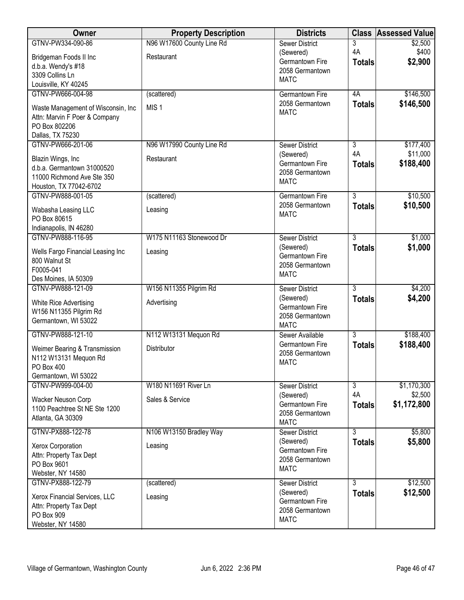| Owner                                                    | <b>Property Description</b> | <b>Districts</b>                   |                      | <b>Class Assessed Value</b> |
|----------------------------------------------------------|-----------------------------|------------------------------------|----------------------|-----------------------------|
| GTNV-PW334-090-86                                        | N96 W17600 County Line Rd   | <b>Sewer District</b>              | 3                    | \$2,500                     |
| Bridgeman Foods II Inc                                   | Restaurant                  | (Sewered)                          | 4A                   | \$400                       |
| d.b.a. Wendy's #18                                       |                             | Germantown Fire<br>2058 Germantown | <b>Totals</b>        | \$2,900                     |
| 3309 Collins Ln                                          |                             | <b>MATC</b>                        |                      |                             |
| Louisville, KY 40245                                     |                             |                                    |                      |                             |
| GTNV-PW666-004-98                                        | (scattered)                 | <b>Germantown Fire</b>             | 4A                   | \$146,500                   |
| Waste Management of Wisconsin, Inc                       | MIS <sub>1</sub>            | 2058 Germantown<br><b>MATC</b>     | <b>Totals</b>        | \$146,500                   |
| Attn: Marvin F Poer & Company                            |                             |                                    |                      |                             |
| PO Box 802206                                            |                             |                                    |                      |                             |
| Dallas, TX 75230<br>GTNV-PW666-201-06                    | N96 W17990 County Line Rd   | <b>Sewer District</b>              | $\overline{3}$       | \$177,400                   |
|                                                          |                             | (Sewered)                          | 4A                   | \$11,000                    |
| Blazin Wings, Inc                                        | Restaurant                  | Germantown Fire                    | <b>Totals</b>        | \$188,400                   |
| d.b.a. Germantown 31000520<br>11000 Richmond Ave Ste 350 |                             | 2058 Germantown                    |                      |                             |
| Houston, TX 77042-6702                                   |                             | <b>MATC</b>                        |                      |                             |
| GTNV-PW888-001-05                                        | (scattered)                 | Germantown Fire                    | $\overline{3}$       | \$10,500                    |
| Wabasha Leasing LLC                                      | Leasing                     | 2058 Germantown                    | <b>Totals</b>        | \$10,500                    |
| PO Box 80615                                             |                             | <b>MATC</b>                        |                      |                             |
| Indianapolis, IN 46280                                   |                             |                                    |                      |                             |
| GTNV-PW888-116-95                                        | W175 N11163 Stonewood Dr    | <b>Sewer District</b>              | $\overline{3}$       | \$1,000                     |
| Wells Fargo Financial Leasing Inc                        | Leasing                     | (Sewered)                          | <b>Totals</b>        | \$1,000                     |
| 800 Walnut St                                            |                             | Germantown Fire                    |                      |                             |
| F0005-041                                                |                             | 2058 Germantown<br><b>MATC</b>     |                      |                             |
| Des Moines, IA 50309                                     |                             |                                    |                      |                             |
| GTNV-PW888-121-09                                        | W156 N11355 Pilgrim Rd      | <b>Sewer District</b>              | $\overline{3}$       | \$4,200                     |
| White Rice Advertising                                   | Advertising                 | (Sewered)<br>Germantown Fire       | <b>Totals</b>        | \$4,200                     |
| W156 N11355 Pilgrim Rd                                   |                             | 2058 Germantown                    |                      |                             |
| Germantown, WI 53022                                     |                             | <b>MATC</b>                        |                      |                             |
| GTNV-PW888-121-10                                        | N112 W13131 Mequon Rd       | Sewer Available                    | 3                    | \$188,400                   |
| Weimer Bearing & Transmission                            | Distributor                 | Germantown Fire                    | <b>Totals</b>        | \$188,400                   |
| N112 W13131 Mequon Rd                                    |                             | 2058 Germantown                    |                      |                             |
| PO Box 400                                               |                             | <b>MATC</b>                        |                      |                             |
| Germantown, WI 53022                                     |                             |                                    |                      |                             |
| GTNV-PW999-004-00                                        | W180 N11691 River Ln        | <b>Sewer District</b>              | $\overline{3}$<br>4A | \$1,170,300                 |
| Wacker Neuson Corp                                       | Sales & Service             | (Sewered)<br>Germantown Fire       | <b>Totals</b>        | \$2,500<br>\$1,172,800      |
| 1100 Peachtree St NE Ste 1200                            |                             | 2058 Germantown                    |                      |                             |
| Atlanta, GA 30309                                        |                             | <b>MATC</b>                        |                      |                             |
| GTNV-PX888-122-78                                        | N106 W13150 Bradley Way     | <b>Sewer District</b>              | $\overline{3}$       | \$5,800                     |
| Xerox Corporation                                        | Leasing                     | (Sewered)                          | <b>Totals</b>        | \$5,800                     |
| Attn: Property Tax Dept                                  |                             | Germantown Fire                    |                      |                             |
| PO Box 9601                                              |                             | 2058 Germantown<br><b>MATC</b>     |                      |                             |
| Webster, NY 14580                                        |                             |                                    |                      |                             |
| GTNV-PX888-122-79                                        | (scattered)                 | <b>Sewer District</b>              | 3                    | \$12,500                    |
| Xerox Financial Services, LLC                            | Leasing                     | (Sewered)<br>Germantown Fire       | <b>Totals</b>        | \$12,500                    |
| Attn: Property Tax Dept                                  |                             | 2058 Germantown                    |                      |                             |
| PO Box 909                                               |                             | <b>MATC</b>                        |                      |                             |
| Webster, NY 14580                                        |                             |                                    |                      |                             |